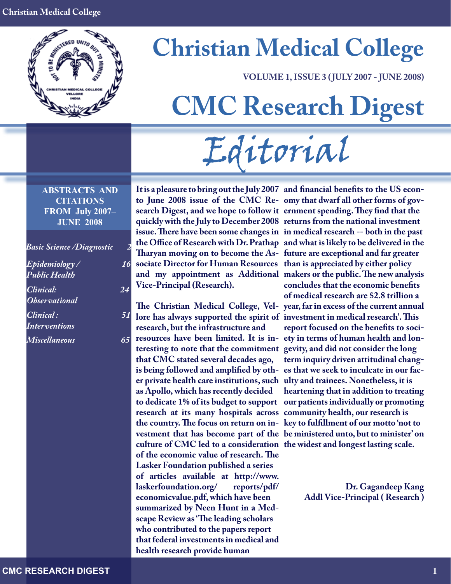

# **Christian Medical College**

**VOLUME 1, ISSUE 3 ( JULY 2007 - JUNE 2008)**

# **CMC Research Digest** Editorial

#### **ABSTRACTS AND CITATIONS FROM July 2007– JUNE 2008**

| <b>Basic Science /Diagnostic</b>      |                |
|---------------------------------------|----------------|
| Epidemiology/<br><b>Public Health</b> | 16             |
| Clinical:<br><b>Observational</b>     | 24             |
| Clinical :<br><b>Interventions</b>    | 51             |
| Miscellaneous                         | 6 <sup>5</sup> |

**It is a pleasure to bring out the July 2007 and financial benefits to the US econto June 2008 issue of the CMC Re-omy that dwarf all other forms of govsearch Digest, and we hope to follow it ernment spending. They find that the quickly with the July to December 2008 returns from the national investment issue. There have been some changes in in medical research -- both in the past the Office of Research with Dr. Prathap and what is likely to be delivered in the Tharyan moving on to become the As-future are exceptional and far greater sociate Director for Human Resources than is appreciated by either policy and my appointment as Additional makers or the public. The new analysis Vice-Principal (Research).**

**The Christian Medical College, Vel-year, far in excess of the current annual lore has always supported the spirit of investment in medical research'. This research, but the infrastructure and resources have been limited. It is in-ety in terms of human health and lonteresting to note that the commitment gevity, and did not consider the long that CMC stated several decades ago, is being followed and amplified by oth-es that we seek to inculcate in our facer private health care institutions, such ulty and trainees. Nonetheless, it is as Apollo, which has recently decided to dedicate 1% of its budget to support our patients individually or promoting research at its many hospitals across community health, our research is the country. The focus on return on in-key to fulfillment of our motto 'not to vestment that has become part of the be ministered unto, but to minister' on culture of CMC led to a consideration the widest and longest lasting scale. of the economic value of research. The Lasker Foundation published a series of articles available at http://www. laskerfoundation.org/ reports/pdf/ economicvalue.pdf, which have been summarized by Neen Hunt in a Medscape Review as 'The leading scholars who contributed to the papers report that federal investments in medical and health research provide human**

**concludes that the economic benefits of medical research are \$2.8 trillion a report focused on the benefits to sociterm inquiry driven attitudinal changheartening that in addition to treating**

> **Dr. Gagandeep Kang Addl Vice-Principal ( Research )**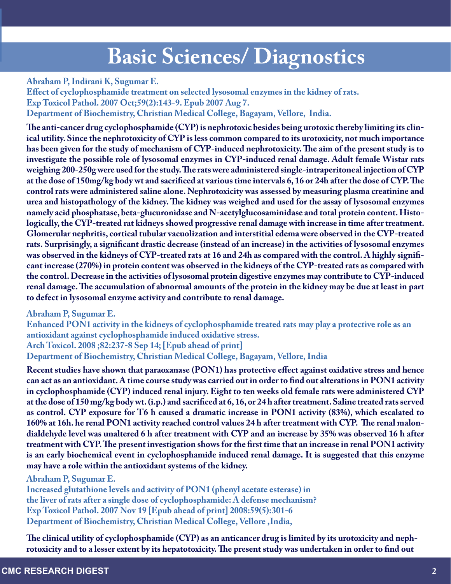### **Basic Sciences/ Diagnostics**

**Abraham P, Indirani K, Sugumar E.**

**Effect of cyclophosphamide treatment on selected lysosomal enzymes in the kidney of rats. Exp Toxicol Pathol. 2007 Oct;59(2):143-9. Epub 2007 Aug 7. Department of Biochemistry, Christian Medical College, Bagayam, Vellore, India.**

**The anti-cancer drug cyclophosphamide (CYP) is nephrotoxic besides being urotoxic thereby limiting its clinical utility. Since the nephrotoxicity of CYP is less common compared to its urotoxicity, not much importance has been given for the study of mechanism of CYP-induced nephrotoxicity. The aim of the present study is to investigate the possible role of lysosomal enzymes in CYP-induced renal damage. Adult female Wistar rats weighing 200-250g were used for the study. The rats were administered single-intraperitoneal injection of CYP at the dose of 150mg/kg body wt and sacrificed at various time intervals 6, 16 or 24h after the dose of CYP. The control rats were administered saline alone. Nephrotoxicity was assessed by measuring plasma creatinine and urea and histopathology of the kidney. The kidney was weighed and used for the assay of lysosomal enzymes namely acid phosphatase, beta-glucuronidase and N-acetylglucosaminidase and total protein content. Histologically, the CYP-treated rat kidneys showed progressive renal damage with increase in time after treatment. Glomerular nephritis, cortical tubular vacuolization and interstitial edema were observed in the CYP-treated rats. Surprisingly, a significant drastic decrease (instead of an increase) in the activities of lysosomal enzymes was observed in the kidneys of CYP-treated rats at 16 and 24h as compared with the control. A highly significant increase (270%) in protein content was observed in the kidneys of the CYP-treated rats as compared with the control. Decrease in the activities of lysosomal protein digestive enzymes may contribute to CYP-induced renal damage. The accumulation of abnormal amounts of the protein in the kidney may be due at least in part to defect in lysosomal enzyme activity and contribute to renal damage.**

**Abraham P, Sugumar E.**

**Enhanced PON1 activity in the kidneys of cyclophosphamide treated rats may play a protective role as an antioxidant against cyclophosphamide induced oxidative stress. Arch Toxicol. 2008 ;82:237-8 Sep 14; [Epub ahead of print]**

**Department of Biochemistry, Christian Medical College, Bagayam, Vellore, India** 

**Recent studies have shown that paraoxanase (PON1) has protective effect against oxidative stress and hence can act as an antioxidant. A time course study was carried out in order to find out alterations in PON1 activity in cyclophosphamide (CYP) induced renal injury. Eight to ten weeks old female rats were administered CYP at the dose of 150 mg/kg body wt. (i.p.) and sacrificed at 6, 16, or 24 h after treatment. Saline treated rats served as control. CYP exposure for T6 h caused a dramatic increase in PON1 activity (83%), which escalated to 160% at 16h. he renal PON1 activity reached control values 24 h after treatment with CYP. The renal malondialdehyde level was unaltered 6 h after treatment with CYP and an increase by 35% was observed 16 h after treatment with CYP. The present investigation shows for the first time that an increase in renal PON1 activity is an early biochemical event in cyclophosphamide induced renal damage. It is suggested that this enzyme may have a role within the antioxidant systems of the kidney.** 

#### **Abraham P, Sugumar E.**

**Increased glutathione levels and activity of PON1 (phenyl acetate esterase) in the liver of rats after a single dose of cyclophosphamide: A defense mechanism? Exp Toxicol Pathol. 2007 Nov 19 [Epub ahead of print] 2008:59(5):301-6 Department of Biochemistry, Christian Medical College, Vellore ,India,**

**The clinical utility of cyclophosphamide (CYP) as an anticancer drug is limited by its urotoxicity and nephrotoxicity and to a lesser extent by its hepatotoxicity. The present study was undertaken in order to find out**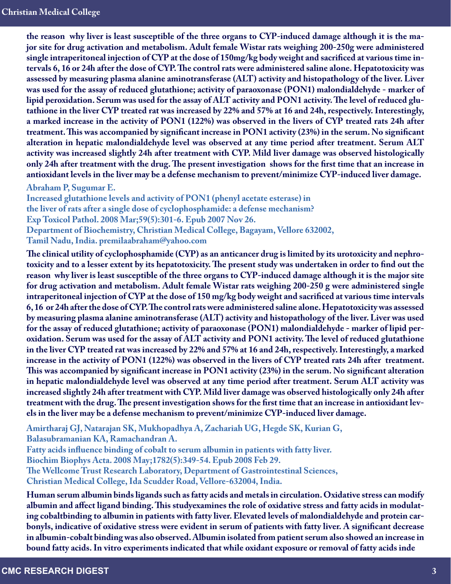**the reason why liver is least susceptible of the three organs to CYP-induced damage although it is the major site for drug activation and metabolism. Adult female Wistar rats weighing 200-250g were administered single intraperitoneal injection of CYP at the dose of 150mg/kg body weight and sacrificed at various time intervals 6, 16 or 24h after the dose of CYP. The control rats were administered saline alone. Hepatotoxicity was assessed by measuring plasma alanine aminotransferase (ALT) activity and histopathology of the liver. Liver was used for the assay of reduced glutathione; activity of paraoxonase (PON1) malondialdehyde - marker of lipid peroxidation. Serum was used for the assay of ALT activity and PON1 activity. The level of reduced glutathione in the liver CYP treated rat was increased by 22% and 57% at 16 and 24h, respectively. Interestingly, a marked increase in the activity of PON1 (122%) was observed in the livers of CYP treated rats 24h after treatment. This was accompanied by significant increase in PON1 activity (23%) in the serum. No significant alteration in hepatic malondialdehyde level was observed at any time period after treatment. Serum ALT activity was increased slightly 24h after treatment with CYP. Mild liver damage was observed histologically only 24h after treatment with the drug. The present investigation shows for the first time that an increase in antioxidant levels in the liver may be a defense mechanism to prevent/minimize CYP-induced liver damage.** 

#### **Abraham P, Sugumar E.**

**Increased glutathione levels and activity of PON1 (phenyl acetate esterase) in the liver of rats after a single dose of cyclophosphamide: a defense mechanism? Exp Toxicol Pathol. 2008 Mar;59(5):301-6. Epub 2007 Nov 26. Department of Biochemistry, Christian Medical College, Bagayam, Vellore 632002, Tamil Nadu, India. premilaabraham@yahoo.com**

**The clinical utility of cyclophosphamide (CYP) as an anticancer drug is limited by its urotoxicity and nephrotoxicity and to a lesser extent by its hepatotoxicity. The present study was undertaken in order to find out the reason why liver is least susceptible of the three organs to CYP-induced damage although it is the major site for drug activation and metabolism. Adult female Wistar rats weighing 200-250 g were administered single intraperitoneal injection of CYP at the dose of 150 mg/kg body weight and sacrificed at various time intervals 6, 16 or 24h after the dose of CYP. The control rats were administered saline alone. Hepatotoxicity was assessed by measuring plasma alanine aminotransferase (ALT) activity and histopathology of the liver. Liver was used for the assay of reduced glutathione; activity of paraoxonase (PON1) malondialdehyde - marker of lipid peroxidation. Serum was used for the assay of ALT activity and PON1 activity. The level of reduced glutathione in the liver CYP treated rat was increased by 22% and 57% at 16 and 24h, respectively. Interestingly, a marked increase in the activity of PON1 (122%) was observed in the livers of CYP treated rats 24h after treatment. This was accompanied by significant increase in PON1 activity (23%) in the serum. No significant alteration in hepatic malondialdehyde level was observed at any time period after treatment. Serum ALT activity was increased slightly 24h after treatment with CYP. Mild liver damage was observed histologically only 24h after treatment with the drug. The present investigation shows for the first time that an increase in antioxidant levels in the liver may be a defense mechanism to prevent/minimize CYP-induced liver damage.**

**Amirtharaj GJ, Natarajan SK, Mukhopadhya A, Zachariah UG, Hegde SK, Kurian G,**

**Balasubramanian KA, Ramachandran A.**

**Fatty acids influence binding of cobalt to serum albumin in patients with fatty liver.**

**Biochim Biophys Acta. 2008 May;1782(5):349-54. Epub 2008 Feb 29.**

**The Wellcome Trust Research Laboratory, Department of Gastrointestinal Sciences,** 

**Christian Medical College, Ida Scudder Road, Vellore-632004, India.**

**Human serum albumin binds ligands such as fatty acids and metals in circulation. Oxidative stress can modify albumin and affect ligand binding. This studyexamines the role of oxidative stress and fatty acids in modulating cobaltbinding to albumin in patients with fatty liver. Elevated levels of malondialdehyde and protein carbonyls, indicative of oxidative stress were evident in serum of patients with fatty liver. A significant decrease in albumin-cobalt binding was also observed. Albumin isolated from patient serum also showed an increase in bound fatty acids. In vitro experiments indicated that while oxidant exposure or removal of fatty acids inde**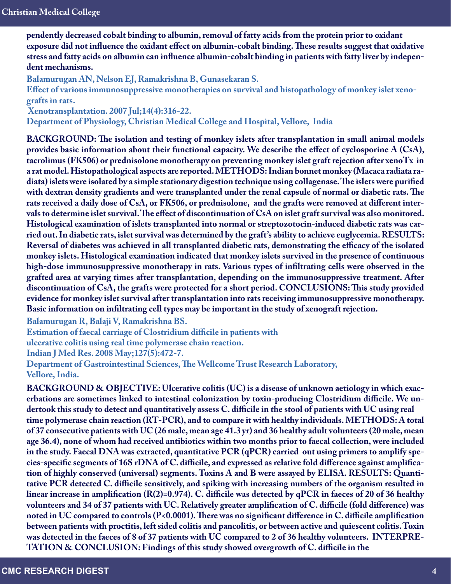**pendently decreased cobalt binding to albumin, removal of fatty acids from the protein prior to oxidant exposure did not influence the oxidant effect on albumin-cobalt binding. These results suggest that oxidative stress and fatty acids on albumin can influence albumin-cobalt binding in patients with fatty liver by independent mechanisms.**

**Balamurugan AN, Nelson EJ, Ramakrishna B, Gunasekaran S.**

**Effect of various immunosuppressive monotherapies on survival and histopathology of monkey islet xenografts in rats.** 

 **Xenotransplantation. 2007 Jul;14(4):316-22.**

**Department of Physiology, Christian Medical College and Hospital, Vellore, India** 

**BACKGROUND: The isolation and testing of monkey islets after transplantation in small animal models provides basic information about their functional capacity. We describe the effect of cyclosporine A (CsA), tacrolimus (FK506) or prednisolone monotherapy on preventing monkey islet graft rejection after xenoTx in a rat model. Histopathological aspects are reported. METHODS: Indian bonnet monkey (Macaca radiata radiata) islets were isolated by a simple stationary digestion technique using collagenase. The islets were purified with dextran density gradients and were transplanted under the renal capsule of normal or diabetic rats. The rats received a daily dose of CsA, or FK506, or prednisolone, and the grafts were removed at different intervals to determine islet survival. The effect of discontinuation of CsA on islet graft survival was also monitored. Histological examination of islets transplanted into normal or streptozotocin-induced diabetic rats was carried out. In diabetic rats, islet survival was determined by the graft's ability to achieve euglycemia. RESULTS: Reversal of diabetes was achieved in all transplanted diabetic rats, demonstrating the efficacy of the isolated monkey islets. Histological examination indicated that monkey islets survived in the presence of continuous high-dose immunosuppressive monotherapy in rats. Various types of infiltrating cells were observed in the grafted area at varying times after transplantation, depending on the immunosuppressive treatment. After discontinuation of CsA, the grafts were protected for a short period. CONCLUSIONS: This study provided evidence for monkey islet survival after transplantation into rats receiving immunosuppressive monotherapy. Basic information on infiltrating cell types may be important in the study of xenograft rejection.**

**Balamurugan R, Balaji V, Ramakrishna BS.**

**Estimation of faecal carriage of Clostridium difficile in patients with**

**ulcerative colitis using real time polymerase chain reaction.**

**Indian J Med Res. 2008 May;127(5):472-7.**

**Department of Gastrointestinal Sciences, The Wellcome Trust Research Laboratory, Vellore, India.**

**BACKGROUND & OBJECTIVE: Ulcerative colitis (UC) is a disease of unknown aetiology in which exacerbations are sometimes linked to intestinal colonization by toxin-producing Clostridium difficile. We undertook this study to detect and quantitatively assess C. difficile in the stool of patients with UC using real time polymerase chain reaction (RT-PCR), and to compare it with healthy individuals. METHODS: A total of 37 consecutive patients with UC (26 male, mean age 41.3 yr) and 36 healthy adult volunteers (20 male, mean age 36.4), none of whom had received antibiotics within two months prior to faecal collection, were included in the study. Faecal DNA was extracted, quantitative PCR (qPCR) carried out using primers to amplify species-specific segments of 16S rDNA of C. difficile, and expressed as relative fold difference against amplification of highly conserved (universal) segments. Toxins A and B were assayed by ELISA. RESULTS: Quantitative PCR detected C. difficile sensitively, and spiking with increasing numbers of the organism resulted in linear increase in amplification (R(2)=0.974). C. difficile was detected by qPCR in faeces of 20 of 36 healthy volunteers and 34 of 37 patients with UC. Relatively greater amplification of C. difficile (fold difference) was noted in UC compared to controls (P<0.0001). There was no significant difference in C. difficile amplification between patients with proctitis, left sided colitis and pancolitis, or between active and quiescent colitis. Toxin was detected in the faeces of 8 of 37 patients with UC compared to 2 of 36 healthy volunteers. INTERPRE-TATION & CONCLUSION: Findings of this study showed overgrowth of C. difficile in the**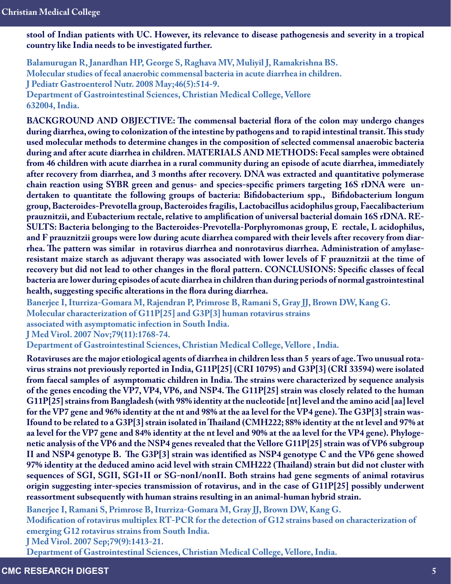**stool of Indian patients with UC. However, its relevance to disease pathogenesis and severity in a tropical country like India needs to be investigated further.**

**Balamurugan R, Janardhan HP, George S, Raghava MV, Muliyil J, Ramakrishna BS. Molecular studies of fecal anaerobic commensal bacteria in acute diarrhea in children. J Pediatr Gastroenterol Nutr. 2008 May;46(5):514-9.**

**Department of Gastrointestinal Sciences, Christian Medical College, Vellore 632004, India.**

**BACKGROUND AND OBJECTIVE: The commensal bacterial flora of the colon may undergo changes during diarrhea, owing to colonization of the intestine by pathogens and to rapid intestinal transit. This study used molecular methods to determine changes in the composition of selected commensal anaerobic bacteria during and after acute diarrhea in children. MATERIALS AND METHODS: Fecal samples were obtained from 46 children with acute diarrhea in a rural community during an episode of acute diarrhea, immediately after recovery from diarrhea, and 3 months after recovery. DNA was extracted and quantitative polymerase chain reaction using SYBR green and genus- and species-specific primers targeting 16S rDNA were undertaken to quantitate the following groups of bacteria: Bifidobacterium spp., Bifidobacterium longum group, Bacteroides-Prevotella group, Bacteroides fragilis, Lactobacillus acidophilus group, Faecalibacterium prauznitzii, and Eubacterium rectale, relative to amplification of universal bacterial domain 16S rDNA. RE-SULTS: Bacteria belonging to the Bacteroides-Prevotella-Porphyromonas group, E rectale, L acidophilus, and F prauznitzii groups were low during acute diarrhea compared with their levels after recovery from diarrhea. The pattern was similar in rotavirus diarrhea and nonrotavirus diarrhea. Administration of amylaseresistant maize starch as adjuvant therapy was associated with lower levels of F prauznitzii at the time of recovery but did not lead to other changes in the floral pattern. CONCLUSIONS: Specific classes of fecal bacteria are lower during episodes of acute diarrhea in children than during periods of normal gastrointestinal health, suggesting specific alterations in the flora during diarrhea.**

**Banerjee I, Iturriza-Gomara M, Rajendran P, Primrose B, Ramani S, Gray JJ, Brown DW, Kang G. Molecular characterization of G11P[25] and G3P[3] human rotavirus strains associated with asymptomatic infection in South India.**

**J Med Virol. 2007 Nov;79(11):1768-74.** 

**Department of Gastrointestinal Sciences, Christian Medical College, Vellore , India.**

**Rotaviruses are the major etiological agents of diarrhea in children less than 5 years of age. Two unusual rotavirus strains not previously reported in India, G11P[25] (CRI 10795) and G3P[3] (CRI 33594) were isolated from faecal samples of asymptomatic children in India. The strains were characterized by sequence analysis of the genes encoding the VP7, VP4, VP6, and NSP4. The G11P[25] strain was closely related to the human G11P[25] strains from Bangladesh (with 98% identity at the nucleotide [nt] level and the amino acid [aa] level for the VP7 gene and 96% identity at the nt and 98% at the aa level for the VP4 gene). The G3P[3] strain was-Ifound to be related to a G3P[3] strain isolated in Thailand (CMH222; 88% identity at the nt level and 97% at aa level for the VP7 gene and 84% identity at the nt level and 90% at the aa level for the VP4 gene). Phylogenetic analysis of the VP6 and the NSP4 genes revealed that the Vellore G11P[25] strain was of VP6 subgroup II and NSP4 genotype B. The G3P[3] strain was identified as NSP4 genotype C and the VP6 gene showed 97% identity at the deduced amino acid level with strain CMH222 (Thailand) strain but did not cluster with sequences of SGI, SGII, SGI+II or SG-nonI/nonII. Both strains had gene segments of animal rotavirus origin suggesting inter-species transmission of rotavirus, and in the case of G11P[25] possibly underwent reassortment subsequently with human strains resulting in an animal-human hybrid strain.** 

**Banerjee I, Ramani S, Primrose B, Iturriza-Gomara M, Gray JJ, Brown DW, Kang G.** 

**Modification of rotavirus multiplex RT-PCR for the detection of G12 strains based on characterization of emerging G12 rotavirus strains from South India.**

**J Med Virol. 2007 Sep;79(9):1413-21.**

**Department of Gastrointestinal Sciences, Christian Medical College, Vellore, India.**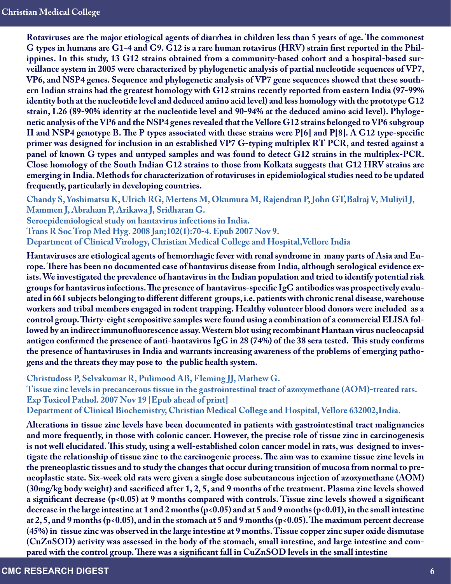**Rotaviruses are the major etiological agents of diarrhea in children less than 5 years of age. The commonest G types in humans are G1-4 and G9. G12 is a rare human rotavirus (HRV) strain first reported in the Philippines. In this study, 13 G12 strains obtained from a community-based cohort and a hospital-based surveillance system in 2005 were characterized by phylogenetic analysis of partial nucleotide sequences of VP7, VP6, and NSP4 genes. Sequence and phylogenetic analysis of VP7 gene sequences showed that these southern Indian strains had the greatest homology with G12 strains recently reported from eastern India (97-99% identity both at the nucleotide level and deduced amino acid level) and less homology with the prototype G12 strain, L26 (89-90% identity at the nucleotide level and 90-94% at the deduced amino acid level). Phylogenetic analysis of the VP6 and the NSP4 genes revealed that the Vellore G12 strains belonged to VP6 subgroup II and NSP4 genotype B. The P types associated with these strains were P[6] and P[8]. A G12 type-specific primer was designed for inclusion in an established VP7 G-typing multiplex RT PCR, and tested against a panel of known G types and untyped samples and was found to detect G12 strains in the multiplex-PCR. Close homology of the South Indian G12 strains to those from Kolkata suggests that G12 HRV strains are emerging in India. Methods for characterization of rotaviruses in epidemiological studies need to be updated frequently, particularly in developing countries.**

**Chandy S, Yoshimatsu K, Ulrich RG, Mertens M, Okumura M, Rajendran P, John GT,Balraj V, Muliyil J, Mammen J, Abraham P, Arikawa J, Sridharan G.**

**Seroepidemiological study on hantavirus infections in India.**

**Trans R Soc Trop Med Hyg. 2008 Jan;102(1):70-4. Epub 2007 Nov 9.**

**Department of Clinical Virology, Christian Medical College and Hospital,Vellore India**

**Hantaviruses are etiological agents of hemorrhagic fever with renal syndrome in many parts of Asia and Europe. There has been no documented case of hantavirus disease from India, although serological evidence exists. We investigated the prevalence of hantavirus in the Indian population and tried to identify potential risk groups for hantavirus infections. The presence of hantavirus-specific IgG antibodies was prospectively evaluated in 661 subjects belonging to different different groups, i.e. patients with chronic renal disease, warehouse workers and tribal members engaged in rodent trapping. Healthy volunteer blood donors were included as a control group. Thirty-eight seropositive samples were found using a combination of a commercial ELISA followed by an indirect immunofluorescence assay. Western blot using recombinant Hantaan virus nucleocapsid antigen confirmed the presence of anti-hantavirus IgG in 28 (74%) of the 38 sera tested. This study confirms the presence of hantaviruses in India and warrants increasing awareness of the problems of emerging pathogens and the threats they may pose to the public health system.**

**Christudoss P, Selvakumar R, Pulimood AB, Fleming JJ, Mathew G.**

**Tissue zinc levels in precancerous tissue in the gastrointestinal tract of azoxymethane (AOM)-treated rats. Exp Toxicol Pathol. 2007 Nov 19 [Epub ahead of print]**

**Department of Clinical Biochemistry, Christian Medical College and Hospital, Vellore 632002,India.**

**Alterations in tissue zinc levels have been documented in patients with gastrointestinal tract malignancies and more frequently, in those with colonic cancer. However, the precise role of tissue zinc in carcinogenesis is not well elucidated. This study, using a well-established colon cancer model in rats, was designed to investigate the relationship of tissue zinc to the carcinogenic process. The aim was to examine tissue zinc levels in the preneoplastic tissues and to study the changes that occur during transition of mucosa from normal to preneoplastic state. Six-week old rats were given a single dose subcutaneous injection of azoxymethane (AOM) (30mg/kg body weight) and sacrificed after 1, 2, 5, and 9 months of the treatment. Plasma zinc levels showed a significant decrease (p<0.05) at 9 months compared with controls. Tissue zinc levels showed a significant decrease in the large intestine at 1 and 2 months (p<0.05) and at 5 and 9 months (p<0.01), in the small intestine at 2, 5, and 9 months (p<0.05), and in the stomach at 5 and 9 months (p<0.05). The maximum percent decrease (45%) in tissue zinc was observed in the large intestine at 9 months. Tissue copper zinc super oxide dismutase (CuZnSOD) activity was assessed in the body of the stomach, small intestine, and large intestine and compared with the control group. There was a significant fall in CuZnSOD levels in the small intestine**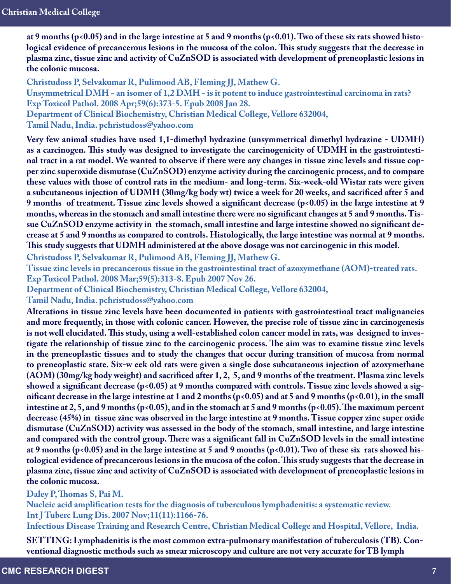**at 9 months (p<0.05) and in the large intestine at 5 and 9 months (p<0.01). Two of these six rats showed histological evidence of precancerous lesions in the mucosa of the colon. This study suggests that the decrease in plasma zinc, tissue zinc and activity of CuZnSOD is associated with development of preneoplastic lesions in the colonic mucosa.** 

**Christudoss P, Selvakumar R, Pulimood AB, Fleming JJ, Mathew G.**

**Unsymmetrical DMH - an isomer of 1,2 DMH - is it potent to induce gastrointestinal carcinoma in rats?**

**Exp Toxicol Pathol. 2008 Apr;59(6):373-5. Epub 2008 Jan 28.**

**Department of Clinical Biochemistry, Christian Medical College, Vellore 632004,**

**Tamil Nadu, India. pchristudoss@yahoo.com** 

**Very few animal studies have used 1,1-dimethyl hydrazine (unsymmetrical dimethyl hydrazine - UDMH) as a carcinogen. This study was designed to investigate the carcinogenicity of UDMH in the gastrointestinal tract in a rat model. We wanted to observe if there were any changes in tissue zinc levels and tissue copper zinc superoxide dismutase (CuZnSOD) enzyme activity during the carcinogenic process, and to compare these values with those of control rats in the medium- and long-term. Six-week-old Wistar rats were given a subcutaneous injection of UDMH (30mg/kg body wt) twice a week for 20 weeks, and sacrificed after 5 and 9 months of treatment. Tissue zinc levels showed a significant decrease (p<0.05) in the large intestine at 9 months, whereas in the stomach and small intestine there were no significant changes at 5 and 9 months. Tissue CuZnSOD enzyme activity in the stomach, small intestine and large intestine showed no significant decrease at 5 and 9 months as compared to controls. Histologically, the large intestine was normal at 9 months. This study suggests that UDMH administered at the above dosage was not carcinogenic in this model.** 

**Christudoss P, Selvakumar R, Pulimood AB, Fleming JJ, Mathew G.**

**Tissue zinc levels in precancerous tissue in the gastrointestinal tract of azoxymethane (AOM)-treated rats. Exp Toxicol Pathol. 2008 Mar;59(5):313-8. Epub 2007 Nov 26.**

**Department of Clinical Biochemistry, Christian Medical College, Vellore 632004,**

**Tamil Nadu, India. pchristudoss@yahoo.com**

**Alterations in tissue zinc levels have been documented in patients with gastrointestinal tract malignancies and more frequently, in those with colonic cancer. However, the precise role of tissue zinc in carcinogenesis is not well elucidated. This study, using a well-established colon cancer model in rats, was designed to investigate the relationship of tissue zinc to the carcinogenic process. The aim was to examine tissue zinc levels in the preneoplastic tissues and to study the changes that occur during transition of mucosa from normal to preneoplastic state. Six-w eek old rats were given a single dose subcutaneous injection of azoxymethane (AOM) (30mg/kg body weight) and sacrificed after 1, 2, 5, and 9 months of the treatment. Plasma zinc levels showed a significant decrease (p<0.05) at 9 months compared with controls. Tissue zinc levels showed a significant decrease in the large intestine at 1 and 2 months (p<0.05) and at 5 and 9 months (p<0.01), in the small intestine at 2, 5, and 9 months (p<0.05), and in the stomach at 5 and 9 months (p<0.05). The maximum percent decrease (45%) in tissue zinc was observed in the large intestine at 9 months. Tissue copper zinc super oxide dismutase (CuZnSOD) activity was assessed in the body of the stomach, small intestine, and large intestine and compared with the control group. There was a significant fall in CuZnSOD levels in the small intestine at 9 months (p<0.05) and in the large intestine at 5 and 9 months (p<0.01). Two of these six rats showed histological evidence of precancerous lesions in the mucosa of the colon. This study suggests that the decrease in plasma zinc, tissue zinc and activity of CuZnSOD is associated with development of preneoplastic lesions in the colonic mucosa.** 

**Daley P, Thomas S, Pai M.**

**Nucleic acid amplification tests for the diagnosis of tuberculous lymphadenitis: a systematic review. Int J Tuberc Lung Dis. 2007 Nov;11(11):1166-76.** 

**Infectious Disease Training and Research Centre, Christian Medical College and Hospital, Vellore, India.**

**SETTING: Lymphadenitis is the most common extra-pulmonary manifestation of tuberculosis (TB). Conventional diagnostic methods such as smear microscopy and culture are not very accurate for TB lymph**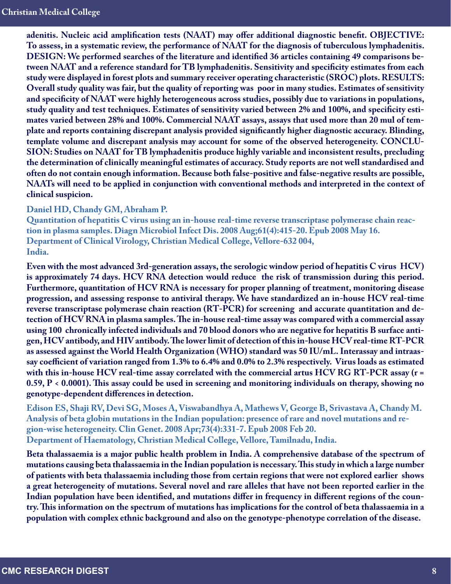**adenitis. Nucleic acid amplification tests (NAAT) may offer additional diagnostic benefit. OBJECTIVE: To assess, in a systematic review, the performance of NAAT for the diagnosis of tuberculous lymphadenitis. DESIGN: We performed searches of the literature and identified 36 articles containing 49 comparisons between NAAT and a reference standard for TB lymphadenitis. Sensitivity and specificity estimates from each study were displayed in forest plots and summary receiver operating characteristic (SROC) plots. RESULTS: Overall study quality was fair, but the quality of reporting was poor in many studies. Estimates of sensitivity and specificity of NAAT were highly heterogeneous across studies, possibly due to variations in populations, study quality and test techniques. Estimates of sensitivity varied between 2% and 100%, and specificity estimates varied between 28% and 100%. Commercial NAAT assays, assays that used more than 20 mul of template and reports containing discrepant analysis provided significantly higher diagnostic accuracy. Blinding, template volume and discrepant analysis may account for some of the observed heterogeneity. CONCLU-SION: Studies on NAAT for TB lymphadenitis produce highly variable and inconsistent results, precluding the determination of clinically meaningful estimates of accuracy. Study reports are not well standardised and often do not contain enough information. Because both false-positive and false-negative results are possible, NAATs will need to be applied in conjunction with conventional methods and interpreted in the context of clinical suspicion.**

#### **Daniel HD, Chandy GM, Abraham P.**

**Quantitation of hepatitis C virus using an in-house real-time reverse transcriptase polymerase chain reaction in plasma samples. Diagn Microbiol Infect Dis. 2008 Aug;61(4):415-20. Epub 2008 May 16. Department of Clinical Virology, Christian Medical College, Vellore-632 004, India.**

**Even with the most advanced 3rd-generation assays, the serologic window period of hepatitis C virus HCV) is approximately 74 days. HCV RNA detection would reduce the risk of transmission during this period. Furthermore, quantitation of HCV RNA is necessary for proper planning of treatment, monitoring disease progression, and assessing response to antiviral therapy. We have standardized an in-house HCV real-time reverse transcriptase polymerase chain reaction (RT-PCR) for screening and accurate quantitation and detection of HCV RNA in plasma samples. The in-house real-time assay was compared with a commercial assay using 100 chronically infected individuals and 70 blood donors who are negative for hepatitis B surface antigen, HCV antibody, and HIV antibody. The lower limit of detection of this in-house HCV real-time RT-PCR as assessed against the World Health Organization (WHO) standard was 50 IU/mL. Interassay and intraassay coefficient of variation ranged from 1.3% to 6.4% and 0.0% to 2.3% respectively. Virus loads as estimated with this in-house HCV real-time assay correlated with the commercial artus HCV RG RT-PCR assay (r = 0.59, P < 0.0001). This assay could be used in screening and monitoring individuals on therapy, showing no genotype-dependent differences in detection.**

**Edison ES, Shaji RV, Devi SG, Moses A, Viswabandhya A, Mathews V, George B, Srivastava A, Chandy M. Analysis of beta globin mutations in the Indian population: presence of rare and novel mutations and region-wise heterogeneity. Clin Genet. 2008 Apr;73(4):331-7. Epub 2008 Feb 20. Department of Haematology, Christian Medical College, Vellore, Tamilnadu, India.**

**Beta thalassaemia is a major public health problem in India. A comprehensive database of the spectrum of mutations causing beta thalassaemia in the Indian population is necessary. This study in which a large number of patients with beta thalassaemia including those from certain regions that were not explored earlier shows a great heterogeneity of mutations. Several novel and rare alleles that have not been reported earlier in the Indian population have been identified, and mutations differ in frequency in different regions of the country. This information on the spectrum of mutations has implications for the control of beta thalassaemia in a population with complex ethnic background and also on the genotype-phenotype correlation of the disease.**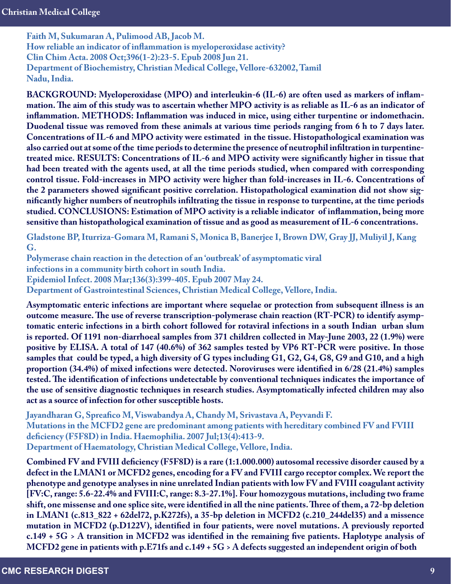**Faith M, Sukumaran A, Pulimood AB, Jacob M. How reliable an indicator of inflammation is myeloperoxidase activity? Clin Chim Acta. 2008 Oct;396(1-2):23-5. Epub 2008 Jun 21. Department of Biochemistry, Christian Medical College, Vellore-632002, Tamil Nadu, India.**

**BACKGROUND: Myeloperoxidase (MPO) and interleukin-6 (IL-6) are often used as markers of inflammation. The aim of this study was to ascertain whether MPO activity is as reliable as IL-6 as an indicator of inflammation. METHODS: Inflammation was induced in mice, using either turpentine or indomethacin. Duodenal tissue was removed from these animals at various time periods ranging from 6 h to 7 days later. Concentrations of IL-6 and MPO activity were estimated in the tissue. Histopathological examination was also carried out at some of the time periods to determine the presence of neutrophil infiltration in turpentinetreated mice. RESULTS: Concentrations of IL-6 and MPO activity were significantly higher in tissue that had been treated with the agents used, at all the time periods studied, when compared with corresponding control tissue. Fold-increases in MPO activity were higher than fold-increases in IL-6. Concentrations of the 2 parameters showed significant positive correlation. Histopathological examination did not show significantly higher numbers of neutrophils infiltrating the tissue in response to turpentine, at the time periods studied. CONCLUSIONS: Estimation of MPO activity is a reliable indicator of inflammation, being more sensitive than histopathological examination of tissue and as good as measurement of IL-6 concentrations.**

**Gladstone BP, Iturriza-Gomara M, Ramani S, Monica B, Banerjee I, Brown DW, Gray JJ, Muliyil J, Kang G.**

**Polymerase chain reaction in the detection of an 'outbreak' of asymptomatic viral**

**infections in a community birth cohort in south India.**

**Epidemiol Infect. 2008 Mar;136(3):399-405. Epub 2007 May 24.**

**Department of Gastrointestinal Sciences, Christian Medical College, Vellore, India.**

**Asymptomatic enteric infections are important where sequelae or protection from subsequent illness is an outcome measure. The use of reverse transcription-polymerase chain reaction (RT-PCR) to identify asymptomatic enteric infections in a birth cohort followed for rotaviral infections in a south Indian urban slum is reported. Of 1191 non-diarrhoeal samples from 371 children collected in May-June 2003, 22 (1.9%) were positive by ELISA. A total of 147 (40.6%) of 362 samples tested by VP6 RT-PCR were positive. In those samples that could be typed, a high diversity of G types including G1, G2, G4, G8, G9 and G10, and a high proportion (34.4%) of mixed infections were detected. Noroviruses were identified in 6/28 (21.4%) samples tested. The identification of infections undetectable by conventional techniques indicates the importance of the use of sensitive diagnostic techniques in research studies. Asymptomatically infected children may also act as a source of infection for other susceptible hosts.** 

**Jayandharan G, Spreafico M, Viswabandya A, Chandy M, Srivastava A, Peyvandi F. Mutations in the MCFD2 gene are predominant among patients with hereditary combined FV and FVIII deficiency (F5F8D) in India. Haemophilia. 2007 Jul;13(4):413-9. Department of Haematology, Christian Medical College, Vellore, India.**

**Combined FV and FVIII deficiency (F5F8D) is a rare (1:1.000.000) autosomal recessive disorder caused by a defect in the LMAN1 or MCFD2 genes, encoding for a FV and FVIII cargo receptor complex. We report the phenotype and genotype analyses in nine unrelated Indian patients with low FV and FVIII coagulant activity [FV:C, range: 5.6-22.4% and FVIII:C, range: 8.3-27.1%]. Four homozygous mutations, including two frame shift, one missense and one splice site, were identified in all the nine patients. Three of them, a 72-bp deletion in LMAN1 (c.813\_822 + 62del72, p.K272fs), a 35-bp deletion in MCFD2 (c.210\_244del35) and a missence mutation in MCFD2 (p.D122V), identified in four patients, were novel mutations. A previously reported c.149 + 5G > A transition in MCFD2 was identified in the remaining five patients. Haplotype analysis of MCFD2 gene in patients with p.E71fs and c.149 + 5G > A defects suggested an independent origin of both**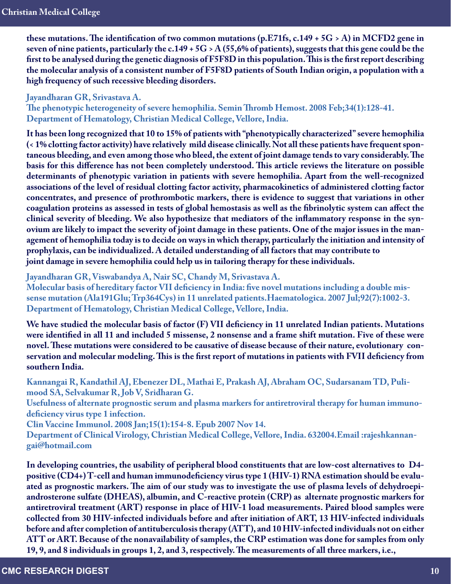**these mutations. The identification of two common mutations (p.E71fs, c.149 + 5G > A) in MCFD2 gene in seven of nine patients, particularly the c.149 + 5G > A (55,6% of patients), suggests that this gene could be the first to be analysed during the genetic diagnosis of F5F8D in this population. This is the first report describing the molecular analysis of a consistent number of F5F8D patients of South Indian origin, a population with a high frequency of such recessive bleeding disorders.**

**Jayandharan GR, Srivastava A.**

**The phenotypic heterogeneity of severe hemophilia. Semin Thromb Hemost. 2008 Feb;34(1):128-41. Department of Hematology, Christian Medical College, Vellore, India.**

**It has been long recognized that 10 to 15% of patients with "phenotypically characterized" severe hemophilia (< 1% clotting factor activity) have relatively mild disease clinically. Not all these patients have frequent spontaneous bleeding, and even among those who bleed, the extent of joint damage tends to vary considerably. The basis for this difference has not been completely understood. This article reviews the literature on possible determinants of phenotypic variation in patients with severe hemophilia. Apart from the well-recognized associations of the level of residual clotting factor activity, pharmacokinetics of administered clotting factor concentrates, and presence of prothrombotic markers, there is evidence to suggest that variations in other coagulation proteins as assessed in tests of global hemostasis as well as the fibrinolytic system can affect the clinical severity of bleeding. We also hypothesize that mediators of the inflammatory response in the synovium are likely to impact the severity of joint damage in these patients. One of the major issues in the management of hemophilia today is to decide on ways in which therapy, particularly the initiation and intensity of prophylaxis, can be individualized. A detailed understanding of all factors that may contribute to joint damage in severe hemophilia could help us in tailoring therapy for these individuals.**

**Jayandharan GR, Viswabandya A, Nair SC, Chandy M, Srivastava A.**

**Molecular basis of hereditary factor VII deficiency in India: five novel mutations including a double missense mutation (Ala191Glu; Trp364Cys) in 11 unrelated patients.Haematologica. 2007 Jul;92(7):1002-3. Department of Hematology, Christian Medical College, Vellore, India.**

**We have studied the molecular basis of factor (F) VII deficiency in 11 unrelated Indian patients. Mutations were identified in all 11 and included 5 missense, 2 nonsense and a frame shift mutation. Five of these were novel. These mutations were considered to be causative of disease because of their nature, evolutionary conservation and molecular modeling. This is the first report of mutations in patients with FVII deficiency from southern India.**

**Kannangai R, Kandathil AJ, Ebenezer DL, Mathai E, Prakash AJ, Abraham OC, Sudarsanam TD, Pulimood SA, Selvakumar R, Job V, Sridharan G.**

**Usefulness of alternate prognostic serum and plasma markers for antiretroviral therapy for human immunodeficiency virus type 1 infection.**

**Clin Vaccine Immunol. 2008 Jan;15(1):154-8. Epub 2007 Nov 14.**

**Department of Clinical Virology, Christian Medical College, Vellore, India. 632004.Email :rajeshkannangai@hotmail.com** 

**In developing countries, the usability of peripheral blood constituents that are low-cost alternatives to D4 positive (CD4+) T-cell and human immunodeficiency virus type 1 (HIV-1) RNA estimation should be evaluated as prognostic markers. The aim of our study was to investigate the use of plasma levels of dehydroepiandrosterone sulfate (DHEAS), albumin, and C-reactive protein (CRP) as alternate prognostic markers for antiretroviral treatment (ART) response in place of HIV-1 load measurements. Paired blood samples were collected from 30 HIV-infected individuals before and after initiation of ART, 13 HIV-infected individuals before and after completion of antituberculosis therapy (ATT), and 10 HIV-infected individuals not on either ATT or ART. Because of the nonavailability of samples, the CRP estimation was done for samples from only 19, 9, and 8 individuals in groups 1, 2, and 3, respectively. The measurements of all three markers, i.e.,**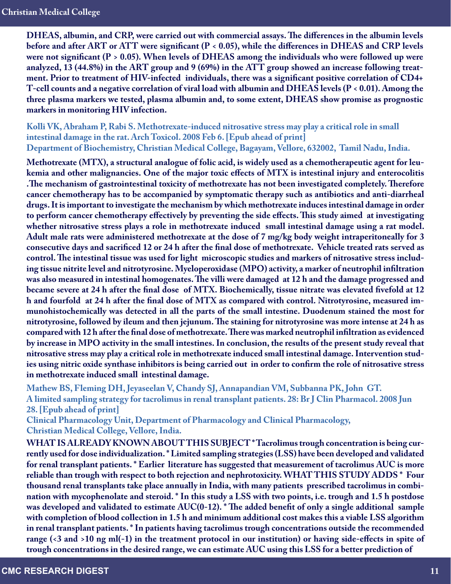**DHEAS, albumin, and CRP, were carried out with commercial assays. The differences in the albumin levels before and after ART or ATT were significant (P < 0.05), while the differences in DHEAS and CRP levels were not significant (P > 0.05). When levels of DHEAS among the individuals who were followed up were analyzed, 13 (44.8%) in the ART group and 9 (69%) in the ATT group showed an increase following treatment. Prior to treatment of HIV-infected individuals, there was a significant positive correlation of CD4+ T-cell counts and a negative correlation of viral load with albumin and DHEAS levels (P < 0.01). Among the three plasma markers we tested, plasma albumin and, to some extent, DHEAS show promise as prognostic markers in monitoring HIV infection.**

**Kolli VK, Abraham P, Rabi S. Methotrexate-induced nitrosative stress may play a critical role in small intestinal damage in the rat. Arch Toxicol. 2008 Feb 6. [Epub ahead of print] Department of Biochemistry, Christian Medical College, Bagayam, Vellore, 632002, Tamil Nadu, India.**

**Methotrexate (MTX), a structural analogue of folic acid, is widely used as a chemotherapeutic agent for leukemia and other malignancies. One of the major toxic effects of MTX is intestinal injury and enterocolitis .The mechanism of gastrointestinal toxicity of methotrexate has not been investigated completely. Therefore cancer chemotherapy has to be accompanied by symptomatic therapy such as antibiotics and anti-diarrheal drugs. It is important to investigate the mechanism by which methotrexate induces intestinal damage in order to perform cancer chemotherapy effectively by preventing the side effects. This study aimed at investigating whether nitrosative stress plays a role in methotrexate induced small intestinal damage using a rat model. Adult male rats were administered methotrexate at the dose of 7 mg/kg body weight intraperitoneally for 3 consecutive days and sacrificed 12 or 24 h after the final dose of methotrexate. Vehicle treated rats served as control. The intestinal tissue was used for light microscopic studies and markers of nitrosative stress including tissue nitrite level and nitrotyrosine. Myeloperoxidase (MPO) activity, a marker of neutrophil infiltration was also measured in intestinal homogenates. The villi were damaged at 12 h and the damage progressed and became severe at 24 h after the final dose of MTX. Biochemically, tissue nitrate was elevated fivefold at 12 h and fourfold at 24 h after the final dose of MTX as compared with control. Nitrotyrosine, measured immunohistochemically was detected in all the parts of the small intestine. Duodenum stained the most for nitrotyrosine, followed by ileum and then jejunum. The staining for nitrotyrosine was more intense at 24 h as compared with 12 h after the final dose of methotrexate. There was marked neutrophil infiltration as evidenced by increase in MPO activity in the small intestines. In conclusion, the results of the present study reveal that nitrosative stress may play a critical role in methotrexate induced small intestinal damage. Intervention studies using nitric oxide synthase inhibitors is being carried out in order to confirm the role of nitrosative stress in methotrexate induced small intestinal damage.**

**Mathew BS, Fleming DH, Jeyaseelan V, Chandy SJ, Annapandian VM, Subbanna PK, John GT.**

**A limited sampling strategy for tacrolimus in renal transplant patients. 28: Br J Clin Pharmacol. 2008 Jun 28. [Epub ahead of print]**

**Clinical Pharmacology Unit, Department of Pharmacology and Clinical Pharmacology, Christian Medical College, Vellore, India.**

**WHAT IS ALREADY KNOWN ABOUT THIS SUBJECT \* Tacrolimus trough concentration is being currently used for dose individualization. \* Limited sampling strategies (LSS) have been developed and validated for renal transplant patients. \* Earlier literature has suggested that measurement of tacrolimus AUC is more reliable than trough with respect to both rejection and nephrotoxicity. WHAT THIS STUDY ADDS \* Four thousand renal transplants take place annually in India, with many patients prescribed tacrolimus in combination with mycophenolate and steroid. \* In this study a LSS with two points, i.e. trough and 1.5 h postdose was developed and validated to estimate AUC(0-12). \* The added benefit of only a single additional sample with completion of blood collection in 1.5 h and minimum additional cost makes this a viable LSS algorithm in renal transplant patients. \* In patients having tacrolimus trough concentrations outside the recommended range (<3 and >10 ng ml(-1) in the treatment protocol in our institution) or having side-effects in spite of trough concentrations in the desired range, we can estimate AUC using this LSS for a better prediction of**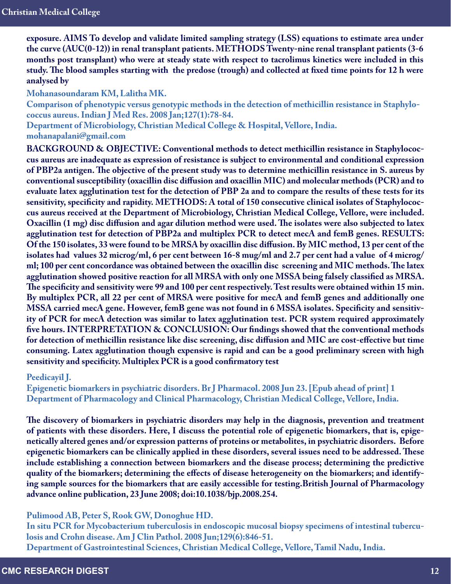**exposure. AIMS To develop and validate limited sampling strategy (LSS) equations to estimate area under the curve (AUC(0-12)) in renal transplant patients. METHODS Twenty-nine renal transplant patients (3-6 months post transplant) who were at steady state with respect to tacrolimus kinetics were included in this study. The blood samples starting with the predose (trough) and collected at fixed time points for 12 h were analysed by**

**Mohanasoundaram KM, Lalitha MK.**

**Comparison of phenotypic versus genotypic methods in the detection of methicillin resistance in Staphylococcus aureus. Indian J Med Res. 2008 Jan;127(1):78-84.**

**Department of Microbiology, Christian Medical College & Hospital, Vellore, India. mohanapalani@gmail.com** 

**BACKGROUND & OBJECTIVE: Conventional methods to detect methicillin resistance in Staphylococcus aureus are inadequate as expression of resistance is subject to environmental and conditional expression of PBP2a antigen. The objective of the present study was to determine methicillin resistance in S. aureus by conventional susceptibility (oxacillin disc diffusion and oxacillin MIC) and molecular methods (PCR) and to evaluate latex agglutination test for the detection of PBP 2a and to compare the results of these tests for its sensitivity, specificity and rapidity. METHODS: A total of 150 consecutive clinical isolates of Staphylococcus aureus received at the Department of Microbiology, Christian Medical College, Vellore, were included. Oxacillin (1 mg) disc diffusion and agar dilution method were used. The isolates were also subjected to latex agglutination test for detection of PBP2a and multiplex PCR to detect mecA and femB genes. RESULTS: Of the 150 isolates, 33 were found to be MRSA by oxacillin disc diffusion. By MIC method, 13 per cent of the isolates had values 32 microg/ml, 6 per cent between 16-8 mug/ml and 2.7 per cent had a value of 4 microg/ ml; 100 per cent concordance was obtained between the oxacillin disc screening and MIC methods. The latex agglutination showed positive reaction for all MRSA with only one MSSA being falsely classified as MRSA. The specificity and sensitivity were 99 and 100 per cent respectively. Test results were obtained within 15 min. By multiplex PCR, all 22 per cent of MRSA were positive for mecA and femB genes and additionally one MSSA carried mecA gene. However, femB gene was not found in 6 MSSA isolates. Specificity and sensitivity of PCR for mecA detection was similar to latex agglutination test. PCR system required approximately five hours. INTERPRETATION & CONCLUSION: Our findings showed that the conventional methods for detection of methicillin resistance like disc screening, disc diffusion and MIC are cost-effective but time consuming. Latex agglutination though expensive is rapid and can be a good preliminary screen with high sensitivity and specificity. Multiplex PCR is a good confirmatory test**

#### **Peedicayil J.**

**Epigenetic biomarkers in psychiatric disorders. Br J Pharmacol. 2008 Jun 23. [Epub ahead of print] 1 Department of Pharmacology and Clinical Pharmacology, Christian Medical College, Vellore, India.**

**The discovery of biomarkers in psychiatric disorders may help in the diagnosis, prevention and treatment of patients with these disorders. Here, I discuss the potential role of epigenetic biomarkers, that is, epigenetically altered genes and/or expression patterns of proteins or metabolites, in psychiatric disorders. Before epigenetic biomarkers can be clinically applied in these disorders, several issues need to be addressed. These include establishing a connection between biomarkers and the disease process; determining the predictive quality of the biomarkers; determining the effects of disease heterogeneity on the biomarkers; and identifying sample sources for the biomarkers that are easily accessible for testing.British Journal of Pharmacology advance online publication, 23 June 2008; doi:10.1038/bjp.2008.254.**

**Pulimood AB, Peter S, Rook GW, Donoghue HD.**

**In situ PCR for Mycobacterium tuberculosis in endoscopic mucosal biopsy specimens of intestinal tuberculosis and Crohn disease. Am J Clin Pathol. 2008 Jun;129(6):846-51. Department of Gastrointestinal Sciences, Christian Medical College, Vellore, Tamil Nadu, India.**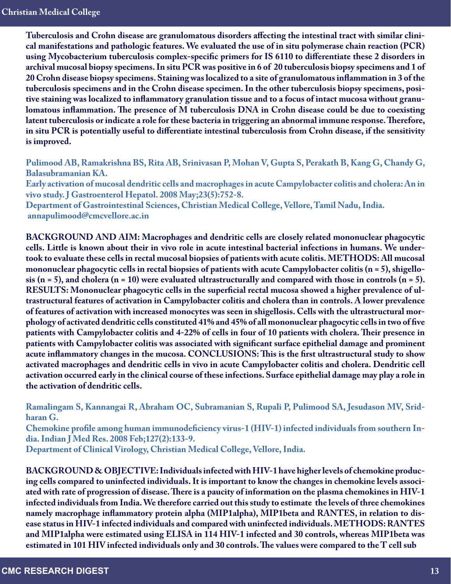**Tuberculosis and Crohn disease are granulomatous disorders affecting the intestinal tract with similar clinical manifestations and pathologic features. We evaluated the use of in situ polymerase chain reaction (PCR) using Mycobacterium tuberculosis complex-specific primers for IS 6110 to differentiate these 2 disorders in archival mucosal biopsy specimens. In situ PCR was positive in 6 of 20 tuberculosis biopsy specimens and 1 of 20 Crohn disease biopsy specimens. Staining was localized to a site of granulomatous inflammation in 3 of the tuberculosis specimens and in the Crohn disease specimen. In the other tuberculosis biopsy specimens, positive staining was localized to inflammatory granulation tissue and to a focus of intact mucosa without granulomatous inflammation. The presence of M tuberculosis DNA in Crohn disease could be due to coexisting latent tuberculosis or indicate a role for these bacteria in triggering an abnormal immune response. Therefore, in situ PCR is potentially useful to differentiate intestinal tuberculosis from Crohn disease, if the sensitivity is improved.**

**Pulimood AB, Ramakrishna BS, Rita AB, Srinivasan P, Mohan V, Gupta S, Perakath B, Kang G, Chandy G, Balasubramanian KA.**

**Early activation of mucosal dendritic cells and macrophages in acute Campylobacter colitis and cholera: An in vivo study. J Gastroenterol Hepatol. 2008 May;23(5):752-8.**

**Department of Gastrointestinal Sciences, Christian Medical College, Vellore, Tamil Nadu, India. annapulimood@cmcvellore.ac.in**

**BACKGROUND AND AIM: Macrophages and dendritic cells are closely related mononuclear phagocytic cells. Little is known about their in vivo role in acute intestinal bacterial infections in humans. We undertook to evaluate these cells in rectal mucosal biopsies of patients with acute colitis. METHODS: All mucosal mononuclear phagocytic cells in rectal biopsies of patients with acute Campylobacter colitis (n = 5), shigellosis (n = 5), and cholera (n = 10) were evaluated ultrastructurally and compared with those in controls (n = 5). RESULTS: Mononuclear phagocytic cells in the superficial rectal mucosa showed a higher prevalence of ultrastructural features of activation in Campylobacter colitis and cholera than in controls. A lower prevalence of features of activation with increased monocytes was seen in shigellosis. Cells with the ultrastructural morphology of activated dendritic cells constituted 41% and 45% of all mononuclear phagocytic cells in two of five patients with Campylobacter colitis and 4-22% of cells in four of 10 patients with cholera. Their presence in patients with Campylobacter colitis was associated with significant surface epithelial damage and prominent acute inflammatory changes in the mucosa. CONCLUSIONS: This is the first ultrastructural study to show activated macrophages and dendritic cells in vivo in acute Campylobacter colitis and cholera. Dendritic cell activation occurred early in the clinical course of these infections. Surface epithelial damage may play a role in the activation of dendritic cells.**

**Ramalingam S, Kannangai R, Abraham OC, Subramanian S, Rupali P, Pulimood SA, Jesudason MV, Sridharan G.**

**Chemokine profile among human immunodeficiency virus-1 (HIV-1) infected individuals from southern India. Indian J Med Res. 2008 Feb;127(2):133-9.**

**Department of Clinical Virology, Christian Medical College, Vellore, India.**

**BACKGROUND & OBJECTIVE: Individuals infected with HIV-1 have higher levels of chemokine producing cells compared to uninfected individuals. It is important to know the changes in chemokine levels associated with rate of progression of disease. There is a paucity of information on the plasma chemokines in HIV-1 infected individuals from India. We therefore carried out this study to estimate the levels of three chemokines namely macrophage inflammatory protein alpha (MIP1alpha), MIP1beta and RANTES, in relation to disease status in HIV-1 infected individuals and compared with uninfected individuals. METHODS: RANTES and MIP1alpha were estimated using ELISA in 114 HIV-1 infected and 30 controls, whereas MIP1beta was estimated in 101 HIV infected individuals only and 30 controls. The values were compared to the T cell sub**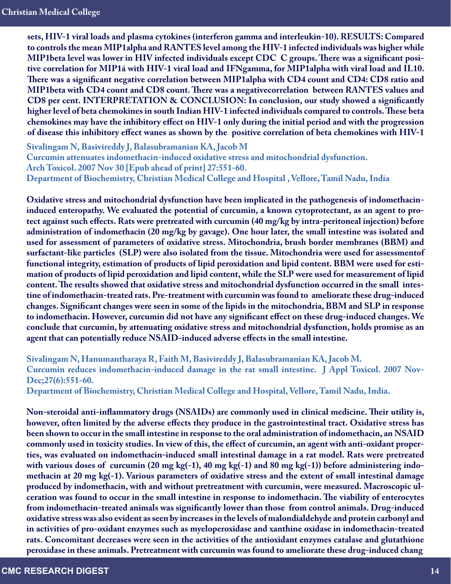**sets, HIV-1 viral loads and plasma cytokines (interferon gamma and interleukin-10). RESULTS: Compared to controls the mean MIP1alpha and RANTES level among the HIV-1 infected individuals was higher while MIP1beta level was lower in HIV infected individuals except CDC C groups. There was a significant positive correlation for MIP1á with HIV-1 viral load and IFNgamma, for MIP1alpha with viral load and IL10. There was a significant negative correlation between MIP1alpha with CD4 count and CD4: CD8 ratio and MIP1beta with CD4 count and CD8 count. There was a negativecorrelation between RANTES values and CD8 per cent. INTERPRETATION & CONCLUSION: In conclusion, our study showed a significantly higher level of beta chemokines in south Indian HIV-1 infected individuals compared to controls. These beta chemokines may have the inhibitory effect on HIV-1 only during the initial period and with the progression of disease this inhibitory effect wanes as shown by the positive correlation of beta chemokines with HIV-1** 

**Sivalingam N, Basivireddy J, Balasubramanian KA, Jacob M Curcumin attenuates indomethacin-induced oxidative stress and mitochondrial dysfunction. Arch Toxicol. 2007 Nov 30 [Epub ahead of print] 27:551-60. Department of Biochemistry, Christian Medical College and Hospital , Vellore, Tamil Nadu, India** 

**Oxidative stress and mitochondrial dysfunction have been implicated in the pathogenesis of indomethacininduced enteropathy. We evaluated the potential of curcumin, a known cytoprotectant, as an agent to protect against such effects. Rats were pretreated with curcumin (40 mg/kg by intra-peritoneal injection) before administration of indomethacin (20 mg/kg by gavage). One hour later, the small intestine was isolated and used for assessment of parameters of oxidative stress. Mitochondria, brush border membranes (BBM) and surfactant-like particles (SLP) were also isolated from the tissue. Mitochondria were used for assessmentof functional integrity, estimation of products of lipid peroxidation and lipid content. BBM were used for estimation of products of lipid peroxidation and lipid content, while the SLP were used for measurement of lipid content. The results showed that oxidative stress and mitochondrial dysfunction occurred in the small intestine of indomethacin-treated rats. Pre-treatment with curcumin was found to ameliorate these drug-induced changes. Significant changes were seen in some of the lipids in the mitochondria, BBM and SLP in response to indomethacin. However, curcumin did not have any significant effect on these drug-induced changes. We conclude that curcumin, by attenuating oxidative stress and mitochondrial dysfunction, holds promise as an agent that can potentially reduce NSAID-induced adverse effects in the small intestine.**

**Sivalingam N, Hanumantharaya R, Faith M, Basivireddy J, Balasubramanian KA, Jacob M. Curcumin reduces indomethacin-induced damage in the rat small intestine. J Appl Toxicol. 2007 Nov-Dec;27(6):551-60.**

**Department of Biochemistry, Christian Medical College and Hospital, Vellore, Tamil Nadu, India.**

**Non-steroidal anti-inflammatory drugs (NSAIDs) are commonly used in clinical medicine. Their utility is, however, often limited by the adverse effects they produce in the gastrointestinal tract. Oxidative stress has been shown to occur in the small intestine in response to the oral administration of indomethacin, an NSAID commonly used in toxicity studies. In view of this, the effect of curcumin, an agent with anti-oxidant properties, was evaluated on indomethacin-induced small intestinal damage in a rat model. Rats were pretreated with various doses of curcumin (20 mg kg(-1), 40 mg kg(-1) and 80 mg kg(-1)) before administering indomethacin at 20 mg kg(-1). Various parameters of oxidative stress and the extent of small intestinal damage produced by indomethacin, with and without pretreatment with curcumin, were measured. Macroscopic ulceration was found to occur in the small intestine in response to indomethacin. The viability of enterocytes from indomethacin-treated animals was significantly lower than those from control animals. Drug-induced oxidative stress was also evident as seen by increases in the levels of malondialdehyde and protein carbonyl and in activities of pro-oxidant enzymes such as myeloperoxidase and xanthine oxidase in indomethacin-treated rats. Concomitant decreases were seen in the activities of the antioxidant enzymes catalase and glutathione peroxidase in these animals. Pretreatment with curcumin was found to ameliorate these drug-induced chang**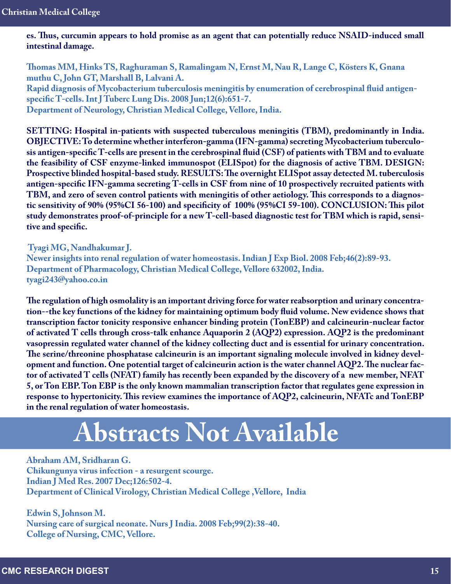**es. Thus, curcumin appears to hold promise as an agent that can potentially reduce NSAID-induced small intestinal damage.**

**Thomas MM, Hinks TS, Raghuraman S, Ramalingam N, Ernst M, Nau R, Lange C, Kösters K, Gnana muthu C, John GT, Marshall B, Lalvani A. Rapid diagnosis of Mycobacterium tuberculosis meningitis by enumeration of cerebrospinal fluid antigenspecific T-cells. Int J Tuberc Lung Dis. 2008 Jun;12(6):651-7. Department of Neurology, Christian Medical College, Vellore, India.**

**SETTING: Hospital in-patients with suspected tuberculous meningitis (TBM), predominantly in India. OBJECTIVE: To determine whether interferon-gamma (IFN-gamma) secreting Mycobacterium tuberculosis antigen-specific T-cells are present in the cerebrospinal fluid (CSF) of patients with TBM and to evaluate the feasibility of CSF enzyme-linked immunospot (ELISpot) for the diagnosis of active TBM. DESIGN: Prospective blinded hospital-based study. RESULTS: The overnight ELISpot assay detected M. tuberculosis antigen-specific IFN-gamma secreting T-cells in CSF from nine of 10 prospectively recruited patients with TBM, and zero of seven control patients with meningitis of other aetiology. This corresponds to a diagnostic sensitivity of 90% (95%CI 56-100) and specificity of 100% (95%CI 59-100). CONCLUSION: This pilot study demonstrates proof-of-principle for a new T-cell-based diagnostic test for TBM which is rapid, sensitive and specific.**

 **Tyagi MG, Nandhakumar J.**

**Newer insights into renal regulation of water homeostasis. Indian J Exp Biol. 2008 Feb;46(2):89-93. Department of Pharmacology, Christian Medical College, Vellore 632002, India. tyagi243@yahoo.co.in** 

**The regulation of high osmolality is an important driving force for water reabsorption and urinary concentration--the key functions of the kidney for maintaining optimum body fluid volume. New evidence shows that transcription factor tonicity responsive enhancer binding protein (TonEBP) and calcineurin-nuclear factor of activated T cells through cross-talk enhance Aquaporin 2 (AQP2) expression. AQP2 is the predominant vasopressin regulated water channel of the kidney collecting duct and is essential for urinary concentration. The serine/threonine phosphatase calcineurin is an important signaling molecule involved in kidney development and function. One potential target of calcineurin action is the water channel AQP2. The nuclear factor of activated T cells (NFAT) family has recently been expanded by the discovery of a new member, NFAT 5, or Ton EBP. Ton EBP is the only known mammalian transcription factor that regulates gene expression in response to hypertonicity. This review examines the importance of AQP2, calcineurin, NFATc and TonEBP in the renal regulation of water homeostasis.**

## **Abstracts Not Available**

**Abraham AM, Sridharan G. Chikungunya virus infection - a resurgent scourge. Indian J Med Res. 2007 Dec;126:502-4. Department of Clinical Virology, Christian Medical College ,Vellore, India**

**Edwin S, Johnson M. Nursing care of surgical neonate. Nurs J India. 2008 Feb;99(2):38-40. College of Nursing, CMC, Vellore.**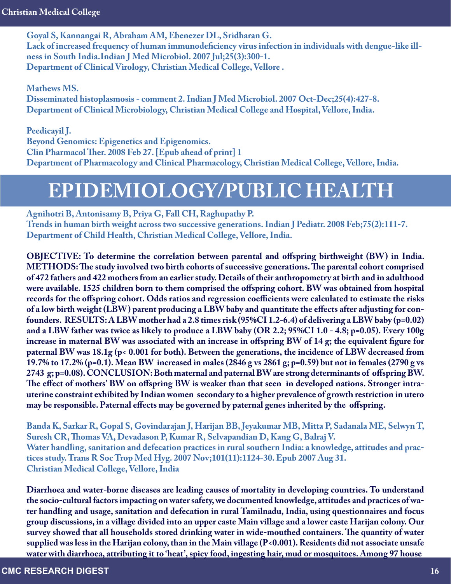**Goyal S, Kannangai R, Abraham AM, Ebenezer DL, Sridharan G. Lack of increased frequency of human immunodeficiency virus infection in individuals with dengue-like illness in South India.Indian J Med Microbiol. 2007 Jul;25(3):300-1. Department of Clinical Virology, Christian Medical College, Vellore .** 

**Mathews MS. Disseminated histoplasmosis - comment 2. Indian J Med Microbiol. 2007 Oct-Dec;25(4):427-8. Department of Clinical Microbiology, Christian Medical College and Hospital, Vellore, India.**

**Peedicayil J. Beyond Genomics: Epigenetics and Epigenomics. Clin Pharmacol Ther. 2008 Feb 27. [Epub ahead of print] 1 Department of Pharmacology and Clinical Pharmacology, Christian Medical College, Vellore, India.**

### **EPIDEMIOLOGY/PUBLIC HEALTH**

**Agnihotri B, Antonisamy B, Priya G, Fall CH, Raghupathy P. Trends in human birth weight across two successive generations. Indian J Pediatr. 2008 Feb;75(2):111-7. Department of Child Health, Christian Medical College, Vellore, India.**

**OBJECTIVE: To determine the correlation between parental and offspring birthweight (BW) in India. METHODS: The study involved two birth cohorts of successive generations. The parental cohort comprised of 472 fathers and 422 mothers from an earlier study. Details of their anthropometry at birth and in adulthood were available. 1525 children born to them comprised the offspring cohort. BW was obtained from hospital records for the offspring cohort. Odds ratios and regression coefficients were calculated to estimate the risks of a low birth weight (LBW) parent producing a LBW baby and quantitate the effects after adjusting for confounders. RESULTS: A LBW mother had a 2.8 times risk (95%CI 1.2-6.4) of delivering a LBW baby (p=0.02) and a LBW father was twice as likely to produce a LBW baby (OR 2.2; 95%CI 1.0 - 4.8; p=0.05). Every 100g increase in maternal BW was associated with an increase in offspring BW of 14 g; the equivalent figure for paternal BW was 18.1g (p< 0.001 for both). Between the generations, the incidence of LBW decreased from 19.7% to 17.2% (p=0.1). Mean BW increased in males (2846 g vs 2861 g; p=0.59) but not in females (2790 g vs 2743 g; p=0.08). CONCLUSION: Both maternal and paternal BW are strong determinants of offspring BW. The effect of mothers' BW on offspring BW is weaker than that seen in developed nations. Stronger intrauterine constraint exhibited by Indian women secondary to a higher prevalence of growth restriction in utero may be responsible. Paternal effects may be governed by paternal genes inherited by the offspring.**

**Banda K, Sarkar R, Gopal S, Govindarajan J, Harijan BB, Jeyakumar MB, Mitta P, Sadanala ME, Selwyn T, Suresh CR, Thomas VA, Devadason P, Kumar R, Selvapandian D, Kang G, Balraj V. Water handling, sanitation and defecation practices in rural southern India: a knowledge, attitudes and practices study. Trans R Soc Trop Med Hyg. 2007 Nov;101(11):1124-30. Epub 2007 Aug 31. Christian Medical College, Vellore, India** 

**Diarrhoea and water-borne diseases are leading causes of mortality in developing countries. To understand the socio-cultural factors impacting on water safety, we documented knowledge, attitudes and practices of water handling and usage, sanitation and defecation in rural Tamilnadu, India, using questionnaires and focus group discussions, in a village divided into an upper caste Main village and a lower caste Harijan colony. Our survey showed that all households stored drinking water in wide-mouthed containers. The quantity of water supplied was less in the Harijan colony, than in the Main village (P<0.001). Residents did not associate unsafe water with diarrhoea, attributing it to 'heat', spicy food, ingesting hair, mud or mosquitoes. Among 97 house**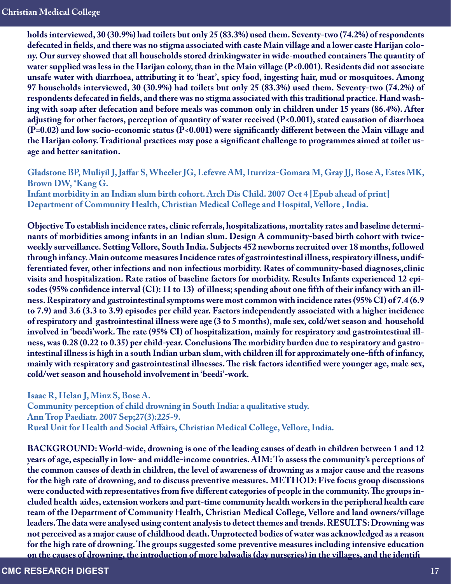**holds interviewed, 30 (30.9%) had toilets but only 25 (83.3%) used them. Seventy-two (74.2%) of respondents defecated in fields, and there was no stigma associated with caste Main village and a lower caste Harijan colony. Our survey showed that all households stored drinkingwater in wide-mouthed containers The quantity of water supplied was less in the Harijan colony, than in the Main village (P<0.001). Residents did not associate unsafe water with diarrhoea, attributing it to 'heat', spicy food, ingesting hair, mud or mosquitoes. Among 97 households interviewed, 30 (30.9%) had toilets but only 25 (83.3%) used them. Seventy-two (74.2%) of respondents defecated in fields, and there was no stigma associated with this traditional practice. Hand washing with soap after defecation and before meals was common only in children under 15 years (86.4%). After adjusting for other factors, perception of quantity of water received (P<0.001), stated causation of diarrhoea (P=0.02) and low socio-economic status (P<0.001) were significantly different between the Main village and the Harijan colony. Traditional practices may pose a significant challenge to programmes aimed at toilet usage and better sanitation.**

**Gladstone BP, Muliyil J, Jaffar S, Wheeler JG, Lefevre AM, Iturriza-Gomara M, Gray JJ, Bose A, Estes MK, Brown DW, \*Kang G. Infant morbidity in an Indian slum birth cohort. Arch Dis Child. 2007 Oct 4 [Epub ahead of print] Department of Community Health, Christian Medical College and Hospital, Vellore , India.**

**Objective To establish incidence rates, clinic referrals, hospitalizations, mortality rates and baseline determinants of morbidities among infants in an Indian slum. Design A community-based birth cohort with twiceweekly surveillance. Setting Vellore, South India. Subjects 452 newborns recruited over 18 months, followed through infancy. Main outcome measures Incidence rates of gastrointestinal illness, respiratory illness, undifferentiated fever, other infections and non infectious morbidity. Rates of community-based diagnoses,clinic visits and hospitalization. Rate ratios of baseline factors for morbidity. Results Infants experienced 12 episodes (95% confidence interval (CI): 11 to 13) of illness; spending about one fifth of their infancy with an illness. Respiratory and gastrointestinal symptoms were most common with incidence rates (95% CI) of 7.4 (6.9 to 7.9) and 3.6 (3.3 to 3.9) episodes per child year. Factors independently associated with a higher incidence of respiratory and gastrointestinal illness were age (3 to 5 months), male sex, cold/wet season and household involved in 'beedi'work. The rate (95% CI) of hospitalization, mainly for respiratory and gastrointestinal illness, was 0.28 (0.22 to 0.35) per child-year. Conclusions The morbidity burden due to respiratory and gastrointestinal illness is high in a south Indian urban slum, with children ill for approximately one-fifth of infancy, mainly with respiratory and gastrointestinal illnesses. The risk factors identified were younger age, male sex, cold/wet season and household involvement in 'beedi'-work.** 

**Isaac R, Helan J, Minz S, Bose A. Community perception of child drowning in South India: a qualitative study. Ann Trop Paediatr. 2007 Sep;27(3):225-9. Rural Unit for Health and Social Affairs, Christian Medical College, Vellore, India.**

**BACKGROUND: World-wide, drowning is one of the leading causes of death in children between 1 and 12 years of age, especially in low- and middle-income countries. AIM: To assess the community's perceptions of the common causes of death in children, the level of awareness of drowning as a major cause and the reasons for the high rate of drowning, and to discuss preventive measures. METHOD: Five focus group discussions were conducted with representatives from five different categories of people in the community. The groups included health aides, extension workers and part-time community health workers in the peripheral health care team of the Department of Community Health, Christian Medical College, Vellore and land owners/village leaders. The data were analysed using content analysis to detect themes and trends. RESULTS: Drowning was not perceived as a major cause of childhood death. Unprotected bodies of water was acknowledged as a reason for the high rate of drowning. The groups suggested some preventive measures including intensive education on the causes of drowning, the introduction of more balwadis (day nurseries) in the villages, and the identifi**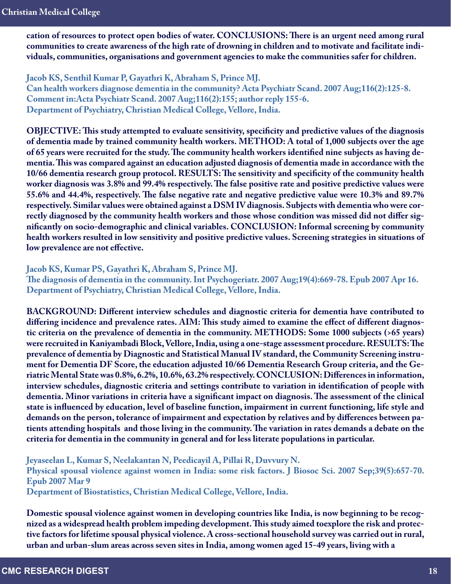**cation of resources to protect open bodies of water. CONCLUSIONS: There is an urgent need among rural communities to create awareness of the high rate of drowning in children and to motivate and facilitate individuals, communities, organisations and government agencies to make the communities safer for children.**

**Jacob KS, Senthil Kumar P, Gayathri K, Abraham S, Prince MJ. Can health workers diagnose dementia in the community? Acta Psychiatr Scand. 2007 Aug;116(2):125-8. Comment in:Acta Psychiatr Scand. 2007 Aug;116(2):155; author reply 155-6. Department of Psychiatry, Christian Medical College, Vellore, India.** 

**OBJECTIVE: This study attempted to evaluate sensitivity, specificity and predictive values of the diagnosis of dementia made by trained community health workers. METHOD: A total of 1,000 subjects over the age of 65 years were recruited for the study. The community health workers identified nine subjects as having dementia. This was compared against an education adjusted diagnosis of dementia made in accordance with the 10/66 dementia research group protocol. RESULTS: The sensitivity and specificity of the community health worker diagnosis was 3.8% and 99.4% respectively. The false positive rate and positive predictive values were 55.6% and 44.4%, respectively. The false negative rate and negative predictive value were 10.3% and 89.7% respectively. Similar values were obtained against a DSM IV diagnosis. Subjects with dementia who were correctly diagnosed by the community health workers and those whose condition was missed did not differ significantly on socio-demographic and clinical variables. CONCLUSION: Informal screening by community health workers resulted in low sensitivity and positive predictive values. Screening strategies in situations of low prevalence are not effective.**

**Jacob KS, Kumar PS, Gayathri K, Abraham S, Prince MJ. The diagnosis of dementia in the community. Int Psychogeriatr. 2007 Aug;19(4):669-78. Epub 2007 Apr 16. Department of Psychiatry, Christian Medical College, Vellore, India.** 

**BACKGROUND: Different interview schedules and diagnostic criteria for dementia have contributed to differing incidence and prevalence rates. AIM: This study aimed to examine the effect of different diagnostic criteria on the prevalence of dementia in the community. METHODS: Some 1000 subjects (>65 years) were recruited in Kaniyambadi Block, Vellore, India, using a one-stage assessment procedure. RESULTS: The prevalence of dementia by Diagnostic and Statistical Manual IV standard, the Community Screening instrument for Dementia DF Score, the education adjusted 10/66 Dementia Research Group criteria, and the Geriatric Mental State was 0.8%, 6.2%, 10.6%, 63.2% respectively. CONCLUSION: Differences in information, interview schedules, diagnostic criteria and settings contribute to variation in identification of people with dementia. Minor variations in criteria have a significant impact on diagnosis. The assessment of the clinical state is influenced by education, level of baseline function, impairment in current functioning, life style and demands on the person, tolerance of impairment and expectation by relatives and by differences between patients attending hospitals and those living in the community. The variation in rates demands a debate on the criteria for dementia in the community in general and for less literate populations in particular.**

**Jeyaseelan L, Kumar S, Neelakantan N, Peedicayil A, Pillai R, Duvvury N.**

**Physical spousal violence against women in India: some risk factors. J Biosoc Sci. 2007 Sep;39(5):657-70. Epub 2007 Mar 9**

**Department of Biostatistics, Christian Medical College, Vellore, India.**

**Domestic spousal violence against women in developing countries like India, is now beginning to be recognized as a widespread health problem impeding development. This study aimed toexplore the risk and protective factors for lifetime spousal physical violence. A cross-sectional household survey was carried out in rural, urban and urban-slum areas across seven sites in India, among women aged 15-49 years, living with a**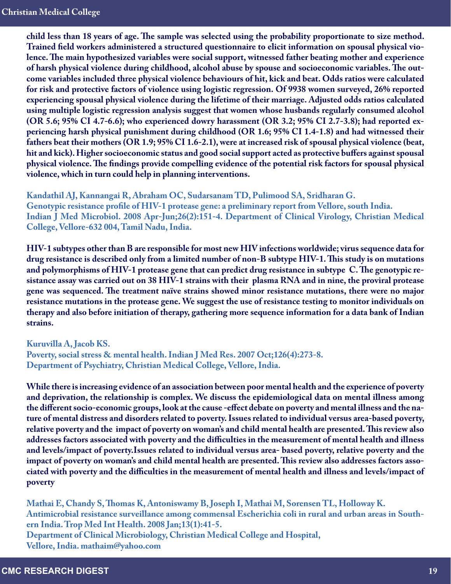**child less than 18 years of age. The sample was selected using the probability proportionate to size method. Trained field workers administered a structured questionnaire to elicit information on spousal physical violence. The main hypothesized variables were social support, witnessed father beating mother and experience of harsh physical violence during childhood, alcohol abuse by spouse and socioeconomic variables. The outcome variables included three physical violence behaviours of hit, kick and beat. Odds ratios were calculated for risk and protective factors of violence using logistic regression. Of 9938 women surveyed, 26% reported experiencing spousal physical violence during the lifetime of their marriage. Adjusted odds ratios calculated using multiple logistic regression analysis suggest that women whose husbands regularly consumed alcohol (OR 5.6; 95% CI 4.7-6.6); who experienced dowry harassment (OR 3.2; 95% CI 2.7-3.8); had reported experiencing harsh physical punishment during childhood (OR 1.6; 95% CI 1.4-1.8) and had witnessed their fathers beat their mothers (OR 1.9; 95% CI 1.6-2.1), were at increased risk of spousal physical violence (beat, hit and kick). Higher socioeconomic status and good social support acted as protective buffers against spousal physical violence. The findings provide compelling evidence of the potential risk factors for spousal physical violence, which in turn could help in planning interventions.**

**Kandathil AJ, Kannangai R, Abraham OC, Sudarsanam TD, Pulimood SA, Sridharan G. Genotypic resistance profile of HIV-1 protease gene: a preliminary report from Vellore, south India. Indian J Med Microbiol. 2008 Apr-Jun;26(2):151-4. Department of Clinical Virology, Christian Medical College, Vellore-632 004, Tamil Nadu, India.**

**HIV-1 subtypes other than B are responsible for most new HIV infections worldwide; virus sequence data for drug resistance is described only from a limited number of non-B subtype HIV-1. This study is on mutations and polymorphisms of HIV-1 protease gene that can predict drug resistance in subtype C. The genotypic resistance assay was carried out on 38 HIV-1 strains with their plasma RNA and in nine, the proviral protease gene was sequenced. The treatment naïve strains showed minor resistance mutations, there were no major resistance mutations in the protease gene. We suggest the use of resistance testing to monitor individuals on therapy and also before initiation of therapy, gathering more sequence information for a data bank of Indian strains.**

**Kuruvilla A, Jacob KS. Poverty, social stress & mental health. Indian J Med Res. 2007 Oct;126(4):273-8. Department of Psychiatry, Christian Medical College, Vellore, India.**

**While there is increasing evidence of an association between poor mental health and the experience of poverty and deprivation, the relationship is complex. We discuss the epidemiological data on mental illness among the different socio-economic groups, look at the cause -effect debate on poverty and mental illness and the nature of mental distress and disorders related to poverty. Issues related to individual versus area-based poverty, relative poverty and the impact of poverty on woman's and child mental health are presented. This review also addresses factors associated with poverty and the difficulties in the measurement of mental health and illness and levels/impact of poverty.Issues related to individual versus area- based poverty, relative poverty and the impact of poverty on woman's and child mental health are presented. This review also addresses factors associated with poverty and the difficulties in the measurement of mental health and illness and levels/impact of poverty** 

**Mathai E, Chandy S, Thomas K, Antoniswamy B, Joseph I, Mathai M, Sorensen TL, Holloway K. Antimicrobial resistance surveillance among commensal Escherichia coli in rural and urban areas in Southern India. Trop Med Int Health. 2008 Jan;13(1):41-5. Department of Clinical Microbiology, Christian Medical College and Hospital, Vellore, India. mathaim@yahoo.com**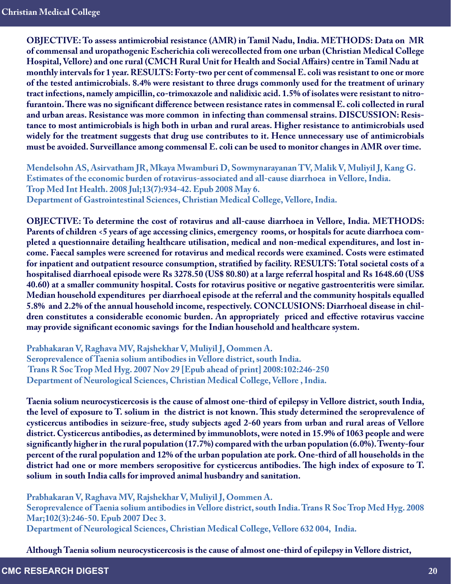**OBJECTIVE: To assess antimicrobial resistance (AMR) in Tamil Nadu, India. METHODS: Data on MR of commensal and uropathogenic Escherichia coli werecollected from one urban (Christian Medical College Hospital, Vellore) and one rural (CMCH Rural Unit for Health and Social Affairs) centre in Tamil Nadu at monthly intervals for 1 year. RESULTS: Forty-two per cent of commensal E. coli was resistant to one or more of the tested antimicrobials. 8.4% were resistant to three drugs commonly used for the treatment of urinary tract infections, namely ampicillin, co-trimoxazole and nalidixic acid. 1.5% of isolates were resistant to nitrofurantoin. There was no significant difference between resistance rates in commensal E. coli collected in rural and urban areas. Resistance was more common in infecting than commensal strains. DISCUSSION: Resistance to most antimicrobials is high both in urban and rural areas. Higher resistance to antimicrobials used widely for the treatment suggests that drug use contributes to it. Hence unnecessary use of antimicrobials must be avoided. Surveillance among commensal E. coli can be used to monitor changes in AMR over time.**

**Mendelsohn AS, Asirvatham JR, Mkaya Mwamburi D, Sowmynarayanan TV, Malik V, Muliyil J, Kang G. Estimates of the economic burden of rotavirus-associated and all-cause diarrhoea in Vellore, India. Trop Med Int Health. 2008 Jul;13(7):934-42. Epub 2008 May 6. Department of Gastrointestinal Sciences, Christian Medical College, Vellore, India.**

**OBJECTIVE: To determine the cost of rotavirus and all-cause diarrhoea in Vellore, India. METHODS: Parents of children <5 years of age accessing clinics, emergency rooms, or hospitals for acute diarrhoea completed a questionnaire detailing healthcare utilisation, medical and non-medical expenditures, and lost income. Faecal samples were screened for rotavirus and medical records were examined. Costs were estimated for inpatient and outpatient resource consumption, stratified by facility. RESULTS: Total societal costs of a hospitalised diarrhoeal episode were Rs 3278.50 (US\$ 80.80) at a large referral hospital and Rs 1648.60 (US\$ 40.60) at a smaller community hospital. Costs for rotavirus positive or negative gastroenteritis were similar. Median household expenditures per diarrhoeal episode at the referral and the community hospitals equalled 5.8% and 2.2% of the annual household income, respectively. CONCLUSIONS: Diarrhoeal disease in children constitutes a considerable economic burden. An appropriately priced and effective rotavirus vaccine may provide significant economic savings for the Indian household and healthcare system.**

**Prabhakaran V, Raghava MV, Rajshekhar V, Muliyil J, Oommen A. Seroprevalence of Taenia solium antibodies in Vellore district, south India. Trans R Soc Trop Med Hyg. 2007 Nov 29 [Epub ahead of print] 2008:102:246-250 Department of Neurological Sciences, Christian Medical College, Vellore , India.**

**Taenia solium neurocysticercosis is the cause of almost one-third of epilepsy in Vellore district, south India, the level of exposure to T. solium in the district is not known. This study determined the seroprevalence of cysticercus antibodies in seizure-free, study subjects aged 2-60 years from urban and rural areas of Vellore district. Cysticercus antibodies, as determined by immunoblots, were noted in 15.9% of 1063 people and were significantly higher in the rural population (17.7%) compared with the urban population (6.0%). Twenty-four percent of the rural population and 12% of the urban population ate pork. One-third of all households in the district had one or more members seropositive for cysticercus antibodies. The high index of exposure to T. solium in south India calls for improved animal husbandry and sanitation.**

**Prabhakaran V, Raghava MV, Rajshekhar V, Muliyil J, Oommen A.**

**Seroprevalence of Taenia solium antibodies in Vellore district, south India. Trans R Soc Trop Med Hyg. 2008 Mar;102(3):246-50. Epub 2007 Dec 3.**

**Department of Neurological Sciences, Christian Medical College, Vellore 632 004, India.**

**Although Taenia solium neurocysticercosis is the cause of almost one-third of epilepsy in Vellore district,**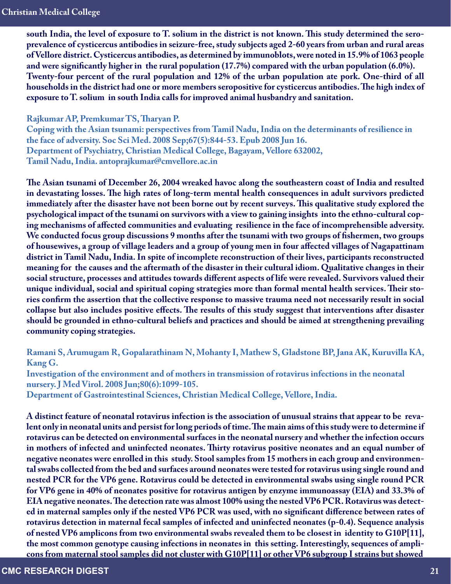**south India, the level of exposure to T. solium in the district is not known. This study determined the seroprevalence of cysticercus antibodies in seizure-free, study subjects aged 2-60 years from urban and rural areas of Vellore district. Cysticercus antibodies, as determined by immunoblots, were noted in 15.9% of 1063 people and were significantly higher in the rural population (17.7%) compared with the urban population (6.0%). Twenty-four percent of the rural population and 12% of the urban population ate pork. One-third of all households in the district had one or more members seropositive for cysticercus antibodies. The high index of exposure to T. solium in south India calls for improved animal husbandry and sanitation.**

**Rajkumar AP, Premkumar TS, Tharyan P.**

**Coping with the Asian tsunami: perspectives from Tamil Nadu, India on the determinants of resilience in the face of adversity. Soc Sci Med. 2008 Sep;67(5):844-53. Epub 2008 Jun 16. Department of Psychiatry, Christian Medical College, Bagayam, Vellore 632002, Tamil Nadu, India. antoprajkumar@cmvellore.ac.in**

**The Asian tsunami of December 26, 2004 wreaked havoc along the southeastern coast of India and resulted in devastating losses. The high rates of long-term mental health consequences in adult survivors predicted immediately after the disaster have not been borne out by recent surveys. This qualitative study explored the psychological impact of the tsunami on survivors with a view to gaining insights into the ethno-cultural coping mechanisms of affected communities and evaluating resilience in the face of incomprehensible adversity. We conducted focus group discussions 9 months after the tsunami with two groups of fishermen, two groups of housewives, a group of village leaders and a group of young men in four affected villages of Nagapattinam district in Tamil Nadu, India. In spite of incomplete reconstruction of their lives, participants reconstructed meaning for the causes and the aftermath of the disaster in their cultural idiom. Qualitative changes in their social structure, processes and attitudes towards different aspects of life were revealed. Survivors valued their unique individual, social and spiritual coping strategies more than formal mental health services. Their stories confirm the assertion that the collective response to massive trauma need not necessarily result in social collapse but also includes positive effects. The results of this study suggest that interventions after disaster should be grounded in ethno-cultural beliefs and practices and should be aimed at strengthening prevailing community coping strategies.**

**Ramani S, Arumugam R, Gopalarathinam N, Mohanty I, Mathew S, Gladstone BP, Jana AK, Kuruvilla KA, Kang G.**

**Investigation of the environment and of mothers in transmission of rotavirus infections in the neonatal nursery. J Med Virol. 2008 Jun;80(6):1099-105.**

**Department of Gastrointestinal Sciences, Christian Medical College, Vellore, India.**

**A distinct feature of neonatal rotavirus infection is the association of unusual strains that appear to be revalent only in neonatal units and persist for long periods of time. The main aims of this study were to determine if rotavirus can be detected on environmental surfaces in the neonatal nursery and whether the infection occurs in mothers of infected and uninfected neonates. Thirty rotavirus positive neonates and an equal number of negative neonates were enrolled in this study. Stool samples from 15 mothers in each group and environmental swabs collected from the bed and surfaces around neonates were tested for rotavirus using single round and nested PCR for the VP6 gene. Rotavirus could be detected in environmental swabs using single round PCR for VP6 gene in 40% of neonates positive for rotavirus antigen by enzyme immunoassay (EIA) and 33.3% of EIA negative neonates. The detection rate was almost 100% using the nested VP6 PCR. Rotavirus was detected in maternal samples only if the nested VP6 PCR was used, with no significant difference between rates of rotavirus detection in maternal fecal samples of infected and uninfected neonates (p-0.4). Sequence analysis of nested VP6 amplicons from two environmental swabs revealed them to be closest in identity to G10P[11], the most common genotype causing infections in neonates in this setting. Interestingly, sequences of amplicons from maternal stool samples did not cluster with G10P[11] or other VP6 subgroup I strains but showed**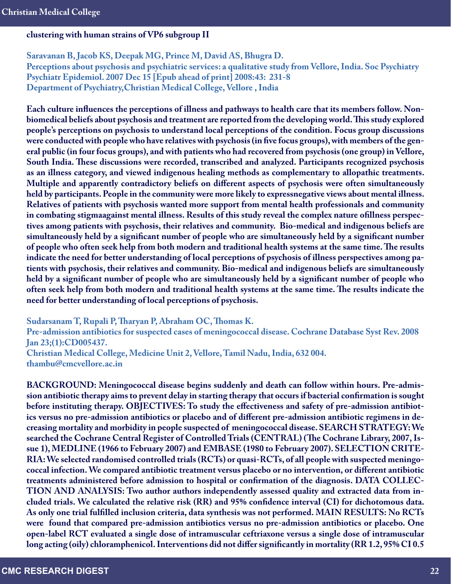#### **clustering with human strains of VP6 subgroup II**

**Saravanan B, Jacob KS, Deepak MG, Prince M, David AS, Bhugra D. Perceptions about psychosis and psychiatric services: a qualitative study from Vellore, India. Soc Psychiatry Psychiatr Epidemiol. 2007 Dec 15 [Epub ahead of print] 2008:43: 231-8 Department of Psychiatry,Christian Medical College, Vellore , India** 

**Each culture influences the perceptions of illness and pathways to health care that its members follow. Nonbiomedical beliefs about psychosis and treatment are reported from the developing world. This study explored people's perceptions on psychosis to understand local perceptions of the condition. Focus group discussions were conducted with people who have relatives with psychosis (in five focus groups), with members of the general public (in four focus groups), and with patients who had recovered from psychosis (one group) in Vellore, South India. These discussions were recorded, transcribed and analyzed. Participants recognized psychosis as an illness category, and viewed indigenous healing methods as complementary to allopathic treatments. Multiple and apparently contradictory beliefs on different aspects of psychosis were often simultaneously held by participants. People in the community were more likely to expressnegative views about mental illness. Relatives of patients with psychosis wanted more support from mental health professionals and community in combating stigmaagainst mental illness. Results of this study reveal the complex nature ofillness perspectives among patients with psychosis, their relatives and community. Bio-medical and indigenous beliefs are simultaneously held by a significant number of people who are simultaneously held by a significant number of people who often seek help from both modern and traditional health systems at the same time. The results indicate the need for better understanding of local perceptions of psychosis of illness perspectives among patients with psychosis, their relatives and community. Bio-medical and indigenous beliefs are simultaneously held by a significant number of people who are simultaneously held by a significant number of people who often seek help from both modern and traditional health systems at the same time. The results indicate the need for better understanding of local perceptions of psychosis.**

**Sudarsanam T, Rupali P, Tharyan P, Abraham OC, Thomas K. Pre-admission antibiotics for suspected cases of meningococcal disease. Cochrane Database Syst Rev. 2008 Jan 23;(1):CD005437. Christian Medical College, Medicine Unit 2, Vellore, Tamil Nadu, India, 632 004. thambu@cmcvellore.ac.in** 

**BACKGROUND: Meningococcal disease begins suddenly and death can follow within hours. Pre-admission antibiotic therapy aims to prevent delay in starting therapy that occurs if bacterial confirmation is sought before instituting therapy. OBJECTIVES: To study the effectiveness and safety of pre-admission antibiotics versus no pre-admission antibiotics or placebo and of different pre-admission antibiotic regimens in decreasing mortality and morbidity in people suspected of meningococcal disease. SEARCH STRATEGY: We searched the Cochrane Central Register of Controlled Trials (CENTRAL) (The Cochrane Library, 2007, Issue 1), MEDLINE (1966 to February 2007) and EMBASE (1980 to February 2007). SELECTION CRITE-RIA: We selected randomised controlled trials (RCTs) or quasi-RCTs, of all people with suspected meningococcal infection. We compared antibiotic treatment versus placebo or no intervention, or different antibiotic treatments administered before admission to hospital or confirmation of the diagnosis. DATA COLLEC-TION AND ANALYSIS: Two author authors independently assessed quality and extracted data from included trials. We calculated the relative risk (RR) and 95% confidence interval (CI) for dichotomous data. As only one trial fulfilled inclusion criteria, data synthesis was not performed. MAIN RESULTS: No RCTs were found that compared pre-admission antibiotics versus no pre-admission antibiotics or placebo. One open-label RCT evaluated a single dose of intramuscular ceftriaxone versus a single dose of intramuscular long acting (oily) chloramphenicol. Interventions did not differ significantly in mortality (RR 1.2, 95% CI 0.5**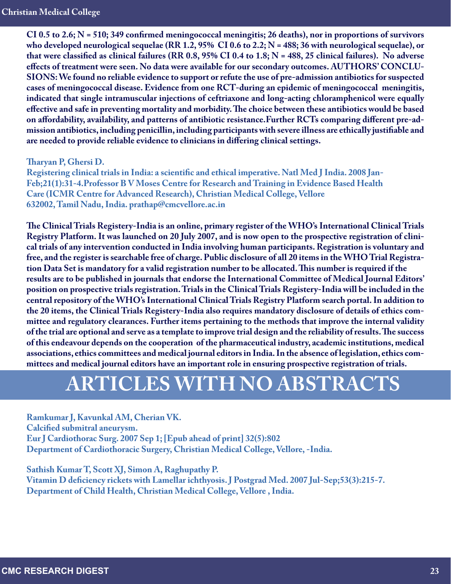**CI 0.5 to 2.6; N = 510; 349 confirmed meningococcal meningitis; 26 deaths), nor in proportions of survivors who developed neurological sequelae (RR 1.2, 95% CI 0.6 to 2.2; N = 488; 36 with neurological sequelae), or that were classified as clinical failures (RR 0.8, 95% CI 0.4 to 1.8; N = 488, 25 clinical failures). No adverse effects of treatment were seen. No data were available for our secondary outcomes. AUTHORS' CONCLU-SIONS: We found no reliable evidence to support or refute the use of pre-admission antibiotics for suspected cases of meningococcal disease. Evidence from one RCT-during an epidemic of meningococcal meningitis, indicated that single intramuscular injections of ceftriaxone and long-acting chloramphenicol were equally effective and safe in preventing mortality and morbidity. The choice between these antibiotics would be based on affordability, availability, and patterns of antibiotic resistance.Further RCTs comparing different pre-admission antibiotics, including penicillin, including participants with severe illness are ethically justifiable and are needed to provide reliable evidence to clinicians in differing clinical settings.**

#### **Tharyan P, Ghersi D.**

**Registering clinical trials in India: a scientific and ethical imperative. Natl Med J India. 2008 Jan-Feb;21(1):31-4.Professor B V Moses Centre for Research and Training in Evidence Based Health Care (ICMR Centre for Advanced Research), Christian Medical College, Vellore 632002, Tamil Nadu, India. prathap@cmcvellore.ac.in** 

**The Clinical Trials Registery-India is an online, primary register of the WHO's International Clinical Trials Registry Platform. It was launched on 20 July 2007, and is now open to the prospective registration of clinical trials of any intervention conducted in India involving human participants. Registration is voluntary and free, and the register is searchable free of charge. Public disclosure of all 20 items in the WHO Trial Registration Data Set is mandatory for a valid registration number to be allocated. This number is required if the results are to be published in journals that endorse the International Committee of Medical Journal Editors' position on prospective trials registration. Trials in the Clinical Trials Registery-India will be included in the central repository of the WHO's International Clinical Trials Registry Platform search portal. In addition to the 20 items, the Clinical Trials Registery-India also requires mandatory disclosure of details of ethics committee and regulatory clearances. Further items pertaining to the methods that improve the internal validity of the trial are optional and serve as a template to improve trial design and the reliability of results. The success of this endeavour depends on the cooperation of the pharmaceutical industry, academic institutions, medical associations, ethics committees and medical journal editors in India. In the absence of legislation, ethics committees and medical journal editors have an important role in ensuring prospective registration of trials.**

### **ARTICLES WITH NO ABSTRACTS**

**Ramkumar J, Kavunkal AM, Cherian VK. Calcified submitral aneurysm. Eur J Cardiothorac Surg. 2007 Sep 1; [Epub ahead of print] 32(5):802 Department of Cardiothoracic Surgery, Christian Medical College, Vellore, -India.**

**Sathish Kumar T, Scott XJ, Simon A, Raghupathy P. Vitamin D deficiency rickets with Lamellar ichthyosis. J Postgrad Med. 2007 Jul-Sep;53(3):215-7. Department of Child Health, Christian Medical College, Vellore , India.**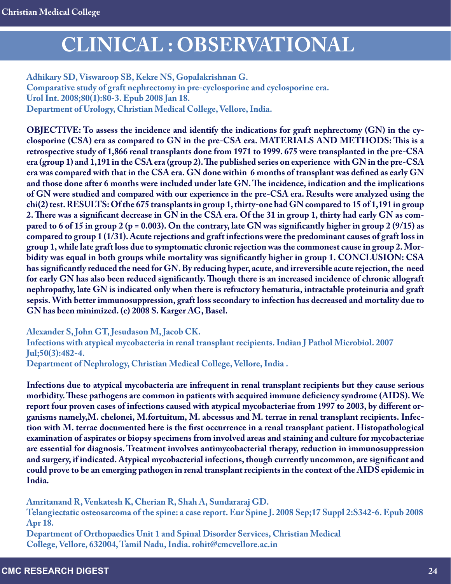### **CLINICAL : OBSERVATIONAL**

**Adhikary SD, Viswaroop SB, Kekre NS, Gopalakrishnan G. Comparative study of graft nephrectomy in pre-cyclosporine and cyclosporine era. Urol Int. 2008;80(1):80-3. Epub 2008 Jan 18. Department of Urology, Christian Medical College, Vellore, India.**

**OBJECTIVE: To assess the incidence and identify the indications for graft nephrectomy (GN) in the cyclosporine (CSA) era as compared to GN in the pre-CSA era. MATERIALS AND METHODS: This is a retrospective study of 1,866 renal transplants done from 1971 to 1999. 675 were transplanted in the pre-CSA era (group 1) and 1,191 in the CSA era (group 2). The published series on experience with GN in the pre-CSA era was compared with that in the CSA era. GN done within 6 months of transplant was defined as early GN and those done after 6 months were included under late GN. The incidence, indication and the implications of GN were studied and compared with our experience in the pre-CSA era. Results were analyzed using the chi(2) test. RESULTS: Of the 675 transplants in group 1, thirty-one had GN compared to 15 of 1,191 in group 2. There was a significant decrease in GN in the CSA era. Of the 31 in group 1, thirty had early GN as compared to 6 of 15 in group 2 (p = 0.003). On the contrary, late GN was significantly higher in group 2 (9/15) as compared to group 1 (1/31). Acute rejections and graft infections were the predominant causes of graft loss in group 1, while late graft loss due to symptomatic chronic rejection was the commonest cause in group 2. Morbidity was equal in both groups while mortality was significantly higher in group 1. CONCLUSION: CSA has significantly reduced the need for GN. By reducing hyper, acute, and irreversible acute rejection, the need for early GN has also been reduced significantly. Though there is an increased incidence of chronic allograft nephropathy, late GN is indicated only when there is refractory hematuria, intractable proteinuria and graft sepsis. With better immunosuppression, graft loss secondary to infection has decreased and mortality due to GN has been minimized. (c) 2008 S. Karger AG, Basel.**

**Alexander S, John GT, Jesudason M, Jacob CK. Infections with atypical mycobacteria in renal transplant recipients. Indian J Pathol Microbiol. 2007 Jul;50(3):482-4.**

**Department of Nephrology, Christian Medical College, Vellore, India .**

**Infections due to atypical mycobacteria are infrequent in renal transplant recipients but they cause serious morbidity. These pathogens are common in patients with acquired immune deficiency syndrome (AIDS). We report four proven cases of infections caused with atypical mycobacteriae from 1997 to 2003, by different organisms namely,M. chelonei, M.fortuitum, M. abcessus and M. terrae in renal transplant recipients. Infection with M. terrae documented here is the first occurrence in a renal transplant patient. Histopathological examination of aspirates or biopsy specimens from involved areas and staining and culture for mycobacteriae are essential for diagnosis. Treatment involves antimycobacterial therapy, reduction in immunosuppression and surgery, if indicated. Atypical mycobacterial infections, though currently uncommon, are significant and could prove to be an emerging pathogen in renal transplant recipients in the context of the AIDS epidemic in India.**

**Amritanand R, Venkatesh K, Cherian R, Shah A, Sundararaj GD.**

**Telangiectatic osteosarcoma of the spine: a case report. Eur Spine J. 2008 Sep;17 Suppl 2:S342-6. Epub 2008 Apr 18.**

**Department of Orthopaedics Unit 1 and Spinal Disorder Services, Christian Medical College, Vellore, 632004, Tamil Nadu, India. rohit@cmcvellore.ac.in**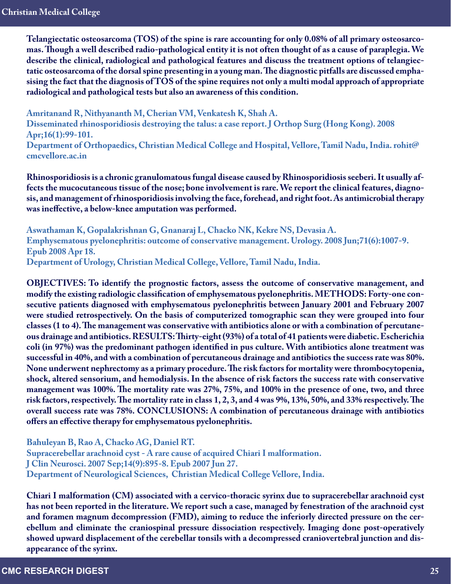**Telangiectatic osteosarcoma (TOS) of the spine is rare accounting for only 0.08% of all primary osteosarcomas. Though a well described radio-pathological entity it is not often thought of as a cause of paraplegia. We describe the clinical, radiological and pathological features and discuss the treatment options of telangiectatic osteosarcoma of the dorsal spine presenting in a young man. The diagnostic pitfalls are discussed emphasising the fact that the diagnosis of TOS of the spine requires not only a multi modal approach of appropriate radiological and pathological tests but also an awareness of this condition.**

**Amritanand R, Nithyananth M, Cherian VM, Venkatesh K, Shah A.**

**Disseminated rhinosporidiosis destroying the talus: a case report. J Orthop Surg (Hong Kong). 2008 Apr;16(1):99-101.**

**Department of Orthopaedics, Christian Medical College and Hospital, Vellore, Tamil Nadu, India. rohit@ cmcvellore.ac.in**

**Rhinosporidiosis is a chronic granulomatous fungal disease caused by Rhinosporidiosis seeberi. It usually affects the mucocutaneous tissue of the nose; bone involvement is rare. We report the clinical features, diagnosis, and management of rhinosporidiosis involving the face, forehead, and right foot. As antimicrobial therapy was ineffective, a below-knee amputation was performed.**

**Aswathaman K, Gopalakrishnan G, Gnanaraj L, Chacko NK, Kekre NS, Devasia A. Emphysematous pyelonephritis: outcome of conservative management. Urology. 2008 Jun;71(6):1007-9. Epub 2008 Apr 18. Department of Urology, Christian Medical College, Vellore, Tamil Nadu, India.**

**OBJECTIVES: To identify the prognostic factors, assess the outcome of conservative management, and modify the existing radiologic classification of emphysematous pyelonephritis. METHODS: Forty-one consecutive patients diagnosed with emphysematous pyelonephritis between January 2001 and February 2007 were studied retrospectively. On the basis of computerized tomographic scan they were grouped into four classes (1 to 4). The management was conservative with antibiotics alone or with a combination of percutaneous drainage and antibiotics. RESULTS: Thirty-eight (93%) of a total of 41 patients were diabetic. Escherichia coli (in 97%) was the predominant pathogen identified in pus culture. With antibiotics alone treatment was successful in 40%, and with a combination of percutaneous drainage and antibiotics the success rate was 80%. None underwent nephrectomy as a primary procedure. The risk factors for mortality were thrombocytopenia, shock, altered sensorium, and hemodialysis. In the absence of risk factors the success rate with conservative management was 100%. The mortality rate was 27%, 75%, and 100% in the presence of one, two, and three risk factors, respectively. The mortality rate in class 1, 2, 3, and 4 was 9%, 13%, 50%, and 33% respectively. The overall success rate was 78%. CONCLUSIONS: A combination of percutaneous drainage with antibiotics offers an effective therapy for emphysematous pyelonephritis.**

**Bahuleyan B, Rao A, Chacko AG, Daniel RT.** 

**Supracerebellar arachnoid cyst - A rare cause of acquired Chiari I malformation. J Clin Neurosci. 2007 Sep;14(9):895-8. Epub 2007 Jun 27. Department of Neurological Sciences, Christian Medical College Vellore, India.**

**Chiari I malformation (CM) associated with a cervico-thoracic syrinx due to supracerebellar arachnoid cyst has not been reported in the literature. We report such a case, managed by fenestration of the arachnoid cyst and foramen magnum decompression (FMD), aiming to reduce the inferiorly directed pressure on the cerebellum and eliminate the craniospinal pressure dissociation respectively. Imaging done post-operatively showed upward displacement of the cerebellar tonsils with a decompressed craniovertebral junction and disappearance of the syrinx.**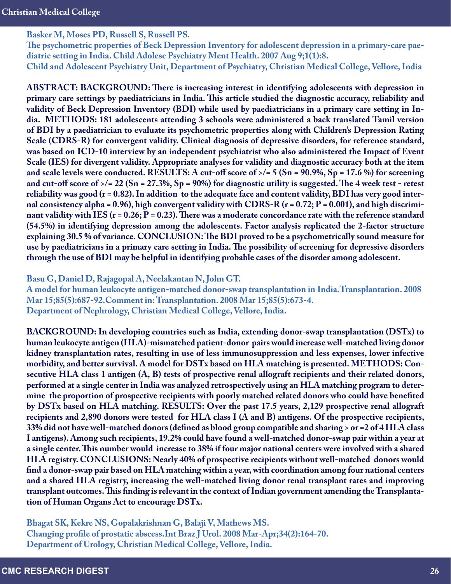**Basker M, Moses PD, Russell S, Russell PS.** 

**The psychometric properties of Beck Depression Inventory for adolescent depression in a primary-care paediatric setting in India. Child Adolesc Psychiatry Ment Health. 2007 Aug 9;1(1):8. Child and Adolescent Psychiatry Unit, Department of Psychiatry, Christian Medical College, Vellore, India** 

**ABSTRACT: BACKGROUND: There is increasing interest in identifying adolescents with depression in primary care settings by paediatricians in India. This article studied the diagnostic accuracy, reliability and validity of Beck Depression Inventory (BDI) while used by paediatricians in a primary care setting in India. METHODS: 181 adolescents attending 3 schools were administered a back translated Tamil version of BDI by a paediatrician to evaluate its psychometric properties along with Children's Depression Rating Scale (CDRS-R) for convergent validity. Clinical diagnosis of depressive disorders, for reference standard, was based on ICD-10 interview by an independent psychiatrist who also administered the Impact of Event Scale (IES) for divergent validity. Appropriate analyses for validity and diagnostic accuracy both at the item and scale levels were conducted. RESULTS: A cut-off score of >/= 5 (Sn = 90.9%, Sp = 17.6 %) for screening and cut-off score of >/= 22 (Sn = 27.3%, Sp = 90%) for diagnostic utility is suggested. The 4 week test - retest reliability was good (r = 0.82). In addition to the adequate face and content validity, BDI has very good internal consistency alpha = 0.96), high convergent validity with CDRS-R (r = 0.72; P = 0.001), and high discriminant validity with IES (r = 0.26; P = 0.23). There was a moderate concordance rate with the reference standard (54.5%) in identifying depression among the adolescents. Factor analysis replicated the 2-factor structure explaining 30.5 % of variance. CONCLUSION: The BDI proved to be a psychometrically sound measure for use by paediatricians in a primary care setting in India. The possibility of screening for depressive disorders through the use of BDI may be helpful in identifying probable cases of the disorder among adolescent.**

**Basu G, Daniel D, Rajagopal A, Neelakantan N, John GT.**

**A model for human leukocyte antigen-matched donor-swap transplantation in India.Transplantation. 2008 Mar 15;85(5):687-92.Comment in: Transplantation. 2008 Mar 15;85(5):673-4. Department of Nephrology, Christian Medical College, Vellore, India.**

**BACKGROUND: In developing countries such as India, extending donor-swap transplantation (DSTx) to human leukocyte antigen (HLA)-mismatched patient-donor pairs would increase well-matched living donor kidney transplantation rates, resulting in use of less immunosuppression and less expenses, lower infective morbidity, and better survival. A model for DSTx based on HLA matching is presented. METHODS: Consecutive HLA class 1 antigen (A, B) tests of prospective renal allograft recipients and their related donors, performed at a single center in India was analyzed retrospectively using an HLA matching program to determine the proportion of prospective recipients with poorly matched related donors who could have benefited by DSTx based on HLA matching. RESULTS: Over the past 17.5 years, 2,129 prospective renal allograft recipients and 2,890 donors were tested for HLA class I (A and B) antigens. Of the prospective recipients, 33% did not have well-matched donors (defined as blood group compatible and sharing > or =2 of 4 HLA class I antigens). Among such recipients, 19.2% could have found a well-matched donor-swap pair within a year at a single center. This number would increase to 38% if four major national centers were involved with a shared HLA registry. CONCLUSIONS: Nearly 40% of prospective recipients without well-matched donors would find a donor-swap pair based on HLA matching within a year, with coordination among four national centers and a shared HLA registry, increasing the well-matched living donor renal transplant rates and improving transplant outcomes. This finding is relevant in the context of Indian government amending the Transplantation of Human Organs Act to encourage DSTx.**

**Bhagat SK, Kekre NS, Gopalakrishnan G, Balaji V, Mathews MS. Changing profile of prostatic abscess.Int Braz J Urol. 2008 Mar-Apr;34(2):164-70. Department of Urology, Christian Medical College, Vellore, India.**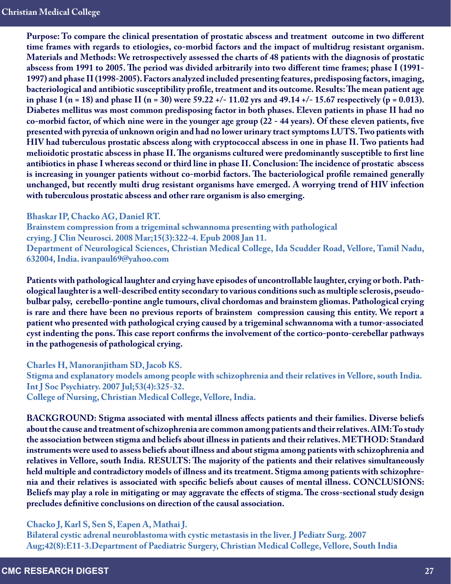**Purpose: To compare the clinical presentation of prostatic abscess and treatment outcome in two different time frames with regards to etiologies, co-morbid factors and the impact of multidrug resistant organism. Materials and Methods: We retrospectively assessed the charts of 48 patients with the diagnosis of prostatic abscess from 1991 to 2005. The period was divided arbitrarily into two different time frames; phase I (1991- 1997) and phase II (1998-2005). Factors analyzed included presenting features, predisposing factors, imaging, bacteriological and antibiotic susceptibility profile, treatment and its outcome. Results: The mean patient age in phase I (n = 18) and phase II (n = 30) were 59.22 +/- 11.02 yrs and 49.14 +/- 15.67 respectively (p = 0.013). Diabetes mellitus was most common predisposing factor in both phases. Eleven patients in phase II had no co-morbid factor, of which nine were in the younger age group (22 - 44 years). Of these eleven patients, five presented with pyrexia of unknown origin and had no lower urinary tract symptoms LUTS. Two patients with HIV had tuberculous prostatic abscess along with cryptococcal abscess in one in phase II. Two patients had melioidotic prostatic abscess in phase II. The organisms cultured were predominantly susceptible to first line antibiotics in phase I whereas second or third line in phase II. Conclusion: The incidence of prostatic abscess is increasing in younger patients without co-morbid factors. The bacteriological profile remained generally unchanged, but recently multi drug resistant organisms have emerged. A worrying trend of HIV infection with tuberculous prostatic abscess and other rare organism is also emerging.**

#### **Bhaskar IP, Chacko AG, Daniel RT.**

**Brainstem compression from a trigeminal schwannoma presenting with pathological crying. J Clin Neurosci. 2008 Mar;15(3):322-4. Epub 2008 Jan 11.**

**Department of Neurological Sciences, Christian Medical College, Ida Scudder Road, Vellore, Tamil Nadu, 632004, India. ivanpaul69@yahoo.com** 

**Patients with pathological laughter and crying have episodes of uncontrollable laughter, crying or both. Pathological laughter is a well-described entity secondary to various conditions such as multiple sclerosis, pseudobulbar palsy, cerebello-pontine angle tumours, clival chordomas and brainstem gliomas. Pathological crying is rare and there have been no previous reports of brainstem compression causing this entity. We report a patient who presented with pathological crying caused by a trigeminal schwannoma with a tumor-associated cyst indenting the pons. This case report confirms the involvement of the cortico-ponto-cerebellar pathways in the pathogenesis of pathological crying.**

**Charles H, Manoranjitham SD, Jacob KS.**

**Stigma and explanatory models among people with schizophrenia and their relatives in Vellore, south India. Int J Soc Psychiatry. 2007 Jul;53(4):325-32. College of Nursing, Christian Medical College, Vellore, India.**

**BACKGROUND: Stigma associated with mental illness affects patients and their families. Diverse beliefs about the cause and treatment of schizophrenia are common among patients and their relatives. AIM: To study the association between stigma and beliefs about illness in patients and their relatives. METHOD: Standard instruments were used to assess beliefs about illness and about stigma among patients with schizophrenia and relatives in Vellore, south India. RESULTS: The majority of the patients and their relatives simultaneously held multiple and contradictory models of illness and its treatment. Stigma among patients with schizophrenia and their relatives is associated with specific beliefs about causes of mental illness. CONCLUSIONS: Beliefs may play a role in mitigating or may aggravate the effects of stigma. The cross-sectional study design precludes definitive conclusions on direction of the causal association.**

**Chacko J, Karl S, Sen S, Eapen A, Mathai J.** 

**Bilateral cystic adrenal neuroblastoma with cystic metastasis in the liver. J Pediatr Surg. 2007 Aug;42(8):E11-3.Department of Paediatric Surgery, Christian Medical College, Vellore, South India**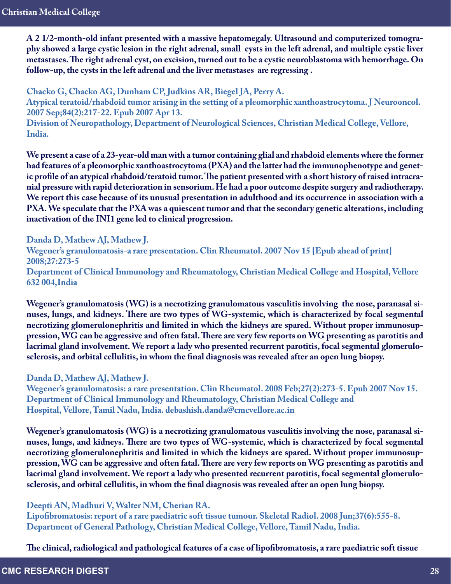**A 2 1/2-month-old infant presented with a massive hepatomegaly. Ultrasound and computerized tomography showed a large cystic lesion in the right adrenal, small cysts in the left adrenal, and multiple cystic liver metastases. The right adrenal cyst, on excision, turned out to be a cystic neuroblastoma with hemorrhage. On follow-up, the cysts in the left adrenal and the liver metastases are regressing .**

**Chacko G, Chacko AG, Dunham CP, Judkins AR, Biegel JA, Perry A.**

**Atypical teratoid/rhabdoid tumor arising in the setting of a pleomorphic xanthoastrocytoma. J Neurooncol. 2007 Sep;84(2):217-22. Epub 2007 Apr 13.**

**Division of Neuropathology, Department of Neurological Sciences, Christian Medical College, Vellore, India.**

**We present a case of a 23-year-old man with a tumor containing glial and rhabdoid elements where the former had features of a pleomorphic xanthoastrocytoma (PXA) and the latter had the immunophenotype and genetic profile of an atypical rhabdoid/teratoid tumor. The patient presented with a short history of raised intracranial pressure with rapid deterioration in sensorium. He had a poor outcome despite surgery and radiotherapy. We report this case because of its unusual presentation in adulthood and its occurrence in association with a PXA. We speculate that the PXA was a quiescent tumor and that the secondary genetic alterations, including inactivation of the INI1 gene led to clinical progression.**

**Danda D, Mathew AJ, Mathew J. Wegener's granulomatosis-a rare presentation. Clin Rheumatol. 2007 Nov 15 [Epub ahead of print] 2008;27:273-5 Department of Clinical Immunology and Rheumatology, Christian Medical College and Hospital, Vellore 632 004,India** 

**Wegener's granulomatosis (WG) is a necrotizing granulomatous vasculitis involving the nose, paranasal sinuses, lungs, and kidneys. There are two types of WG-systemic, which is characterized by focal segmental necrotizing glomerulonephritis and limited in which the kidneys are spared. Without proper immunosuppression, WG can be aggressive and often fatal. There are very few reports on WG presenting as parotitis and lacrimal gland involvement. We report a lady who presented recurrent parotitis, focal segmental glomerulosclerosis, and orbital cellulitis, in whom the final diagnosis was revealed after an open lung biopsy.**

#### **Danda D, Mathew AJ, Mathew J.**

**Wegener's granulomatosis: a rare presentation. Clin Rheumatol. 2008 Feb;27(2):273-5. Epub 2007 Nov 15. Department of Clinical Immunology and Rheumatology, Christian Medical College and Hospital, Vellore, Tamil Nadu, India. debashish.danda@cmcvellore.ac.in** 

**Wegener's granulomatosis (WG) is a necrotizing granulomatous vasculitis involving the nose, paranasal sinuses, lungs, and kidneys. There are two types of WG-systemic, which is characterized by focal segmental necrotizing glomerulonephritis and limited in which the kidneys are spared. Without proper immunosuppression, WG can be aggressive and often fatal. There are very few reports on WG presenting as parotitis and lacrimal gland involvement. We report a lady who presented recurrent parotitis, focal segmental glomerulosclerosis, and orbital cellulitis, in whom the final diagnosis was revealed after an open lung biopsy.**

**Deepti AN, Madhuri V, Walter NM, Cherian RA.**

**Lipofibromatosis: report of a rare paediatric soft tissue tumour. Skeletal Radiol. 2008 Jun;37(6):555-8. Department of General Pathology, Christian Medical College, Vellore, Tamil Nadu, India.**

**The clinical, radiological and pathological features of a case of lipofibromatosis, a rare paediatric soft tissue**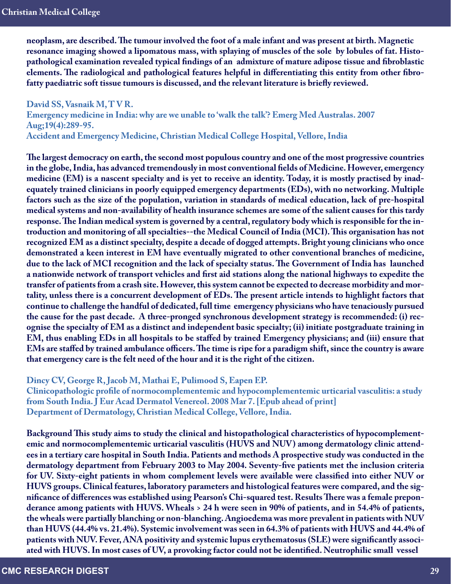**neoplasm, are described. The tumour involved the foot of a male infant and was present at birth. Magnetic resonance imaging showed a lipomatous mass, with splaying of muscles of the sole by lobules of fat. Histopathological examination revealed typical findings of an admixture of mature adipose tissue and fibroblastic elements. The radiological and pathological features helpful in differentiating this entity from other fibrofatty paediatric soft tissue tumours is discussed, and the relevant literature is briefly reviewed.**

**David SS, Vasnaik M, T V R. Emergency medicine in India: why are we unable to 'walk the talk'? Emerg Med Australas. 2007 Aug;19(4):289-95. Accident and Emergency Medicine, Christian Medical College Hospital, Vellore, India** 

**The largest democracy on earth, the second most populous country and one of the most progressive countries in the globe, India, has advanced tremendously in most conventional fields of Medicine. However, emergency medicine (EM) is a nascent specialty and is yet to receive an identity. Today, it is mostly practised by inadequately trained clinicians in poorly equipped emergency departments (EDs), with no networking. Multiple factors such as the size of the population, variation in standards of medical education, lack of pre-hospital medical systems and non-availability of health insurance schemes are some of the salient causes for this tardy response. The Indian medical system is governed by a central, regulatory body which is responsible for the introduction and monitoring of all specialties--the Medical Council of India (MCI). This organisation has not recognized EM as a distinct specialty, despite a decade of dogged attempts. Bright young clinicians who once demonstrated a keen interest in EM have eventually migrated to other conventional branches of medicine, due to the lack of MCI recognition and the lack of specialty status. The Government of India has launched a nationwide network of transport vehicles and first aid stations along the national highways to expedite the transfer of patients from a crash site. However, this system cannot be expected to decrease morbidity and mortality, unless there is a concurrent development of EDs. The present article intends to highlight factors that continue to challenge the handful of dedicated, full time emergency physicians who have tenaciously pursued the cause for the past decade. A three-pronged synchronous development strategy is recommended: (i) recognise the specialty of EM as a distinct and independent basic specialty; (ii) initiate postgraduate training in EM, thus enabling EDs in all hospitals to be staffed by trained Emergency physicians; and (iii) ensure that EMs are staffed by trained ambulance officers. The time is ripe for a paradigm shift, since the country is aware that emergency care is the felt need of the hour and it is the right of the citizen.**

**Dincy CV, George R, Jacob M, Mathai E, Pulimood S, Eapen EP.**

**Clinicopathologic profile of normocomplementemic and hypocomplementemic urticarial vasculitis: a study from South India. J Eur Acad Dermatol Venereol. 2008 Mar 7. [Epub ahead of print] Department of Dermatology, Christian Medical College, Vellore, India.**

**Background This study aims to study the clinical and histopathological characteristics of hypocomplementemic and normocomplementemic urticarial vasculitis (HUVS and NUV) among dermatology clinic attendees in a tertiary care hospital in South India. Patients and methods A prospective study was conducted in the dermatology department from February 2003 to May 2004. Seventy-five patients met the inclusion criteria for UV. Sixty-eight patients in whom complement levels were available were classified into either NUV or HUVS groups. Clinical features, laboratory parameters and histological features were compared, and the significance of differences was established using Pearson's Chi-squared test. Results There was a female preponderance among patients with HUVS. Wheals > 24 h were seen in 90% of patients, and in 54.4% of patients, the wheals were partially blanching or non-blanching. Angioedema was more prevalent in patients with NUV than HUVS (44.4% vs. 21.4%). Systemic involvement was seen in 64.3% of patients with HUVS and 44.4% of patients with NUV. Fever, ANA positivity and systemic lupus erythematosus (SLE) were significantly associated with HUVS. In most cases of UV, a provoking factor could not be identified. Neutrophilic small vessel**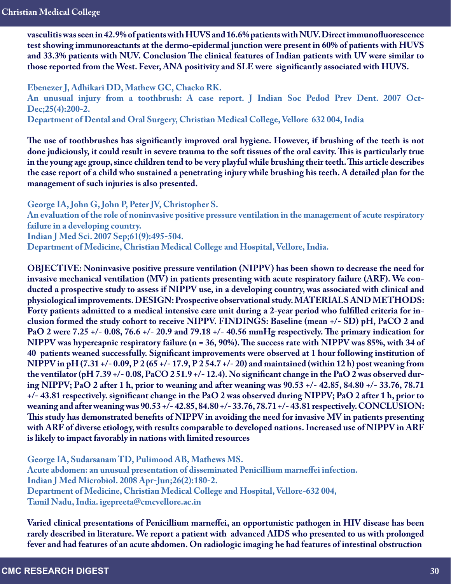**vasculitis was seen in 42.9% of patients with HUVS and 16.6% patients with NUV. Direct immunofluorescence test showing immunoreactants at the dermo-epidermal junction were present in 60% of patients with HUVS and 33.3% patients with NUV. Conclusion The clinical features of Indian patients with UV were similar to those reported from the West. Fever, ANA positivity and SLE were significantly associated with HUVS.**

**Ebenezer J, Adhikari DD, Mathew GC, Chacko RK.**

**An unusual injury from a toothbrush: A case report. J Indian Soc Pedod Prev Dent. 2007 Oct-Dec;25(4):200-2.**

**Department of Dental and Oral Surgery, Christian Medical College, Vellore 632 004, India** 

**The use of toothbrushes has significantly improved oral hygiene. However, if brushing of the teeth is not done judiciously, it could result in severe trauma to the soft tissues of the oral cavity. This is particularly true in the young age group, since children tend to be very playful while brushing their teeth. This article describes the case report of a child who sustained a penetrating injury while brushing his teeth. A detailed plan for the management of such injuries is also presented.**

**George IA, John G, John P, Peter JV, Christopher S.**

**An evaluation of the role of noninvasive positive pressure ventilation in the management of acute respiratory failure in a developing country.**

**Indian J Med Sci. 2007 Sep;61(9):495-504.**

**Department of Medicine, Christian Medical College and Hospital, Vellore, India.** 

**OBJECTIVE: Noninvasive positive pressure ventilation (NIPPV) has been shown to decrease the need for invasive mechanical ventilation (MV) in patients presenting with acute respiratory failure (ARF). We conducted a prospective study to assess if NIPPV use, in a developing country, was associated with clinical and physiological improvements. DESIGN: Prospective observational study. MATERIALS AND METHODS: Forty patients admitted to a medical intensive care unit during a 2-year period who fulfilled criteria for inclusion formed the study cohort to receive NIPPV. FINDINGS: Baseline (mean +/- SD) pH, PaCO 2 and PaO 2 were 7.25 +/- 0.08, 76.6 +/- 20.9 and 79.18 +/- 40.56 mmHg respectively. The primary indication for NIPPV was hypercapnic respiratory failure (n = 36, 90%). The success rate with NIPPV was 85%, with 34 of 40 patients weaned successfully. Significant improvements were observed at 1 hour following institution of NIPPV in pH (7.31 +/- 0.09, P 2 (65 +/- 17.9, P 2 54.7 +/- 20) and maintained (within 12 h) post weaning from the ventilator (pH 7.39 +/- 0.08, PaCO 2 51.9 +/- 12.4). No significant change in the PaO 2 was observed during NIPPV; PaO 2 after 1 h, prior to weaning and after weaning was 90.53 +/- 42.85, 84.80 +/- 33.76, 78.71 +/- 43.81 respectively. significant change in the PaO 2 was observed during NIPPV; PaO 2 after 1 h, prior to weaning and after weaning was 90.53 +/- 42.85, 84.80 +/- 33.76, 78.71 +/- 43.81 respectively. CONCLUSION: This study has demonstrated benefits of NIPPV in avoiding the need for invasive MV in patients presenting with ARF of diverse etiology, with results comparable to developed nations. Increased use of NIPPV in ARF is likely to impact favorably in nations with limited resources**

**George IA, Sudarsanam TD, Pulimood AB, Mathews MS. Acute abdomen: an unusual presentation of disseminated Penicillium marneffei infection. Indian J Med Microbiol. 2008 Apr-Jun;26(2):180-2. Department of Medicine, Christian Medical College and Hospital, Vellore-632 004, Tamil Nadu, India. igepreeta@cmcvellore.ac.in**

**Varied clinical presentations of Penicillium marneffei, an opportunistic pathogen in HIV disease has been rarely described in literature. We report a patient with advanced AIDS who presented to us with prolonged fever and had features of an acute abdomen. On radiologic imaging he had features of intestinal obstruction**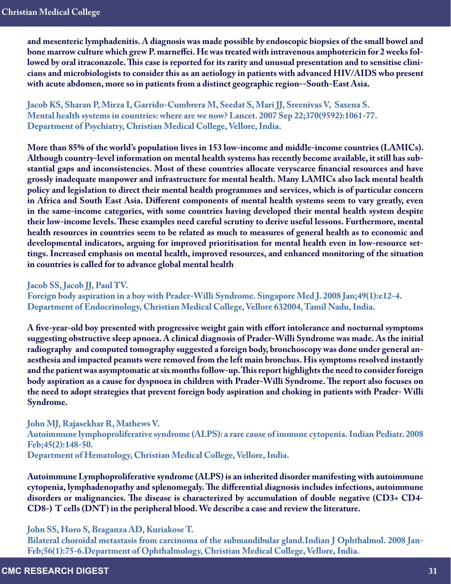**and mesenteric lymphadenitis. A diagnosis was made possible by endoscopic biopsies of the small bowel and bone marrow culture which grew P. marneffei. He was treated with intravenous amphotericin for 2 weeks followed by oral itraconazole. This case is reported for its rarity and unusual presentation and to sensitise clinicians and microbiologists to consider this as an aetiology in patients with advanced HIV/AIDS who present with acute abdomen, more so in patients from a distinct geographic region--South-East Asia.**

**Jacob KS, Sharan P, Mirza I, Garrido-Cumbrera M, Seedat S, Mari JJ, Sreenivas V, Saxena S. Mental health systems in countries: where are we now? Lancet. 2007 Sep 22;370(9592):1061-77. Department of Psychiatry, Christian Medical College, Vellore, India.**

**More than 85% of the world's population lives in 153 low-income and middle-income countries (LAMICs). Although country-level information on mental health systems has recently become available, it still has substantial gaps and inconsistencies. Most of these countries allocate veryscarce financial resources and have grossly inadequate manpower and infrastructure for mental health. Many LAMICs also lack mental health policy and legislation to direct their mental health programmes and services, which is of particular concern in Africa and South East Asia. Different components of mental health systems seem to vary greatly, even in the same-income categories, with some countries having developed their mental health system despite their low-income levels. These examples need careful scrutiny to derive useful lessons. Furthermore, mental health resources in countries seem to be related as much to measures of general health as to economic and developmental indicators, arguing for improved prioritisation for mental health even in low-resource settings. Increased emphasis on mental health, improved resources, and enhanced monitoring of the situation in countries is called for to advance global mental health** 

**Jacob SS, Jacob JJ, Paul TV.**

**Foreign body aspiration in a boy with Prader-Willi Syndrome. Singapore Med J. 2008 Jan;49(1):e12-4. Department of Endocrinology, Christian Medical College, Vellore 632004, Tamil Nadu, India.**

**A five-year-old boy presented with progressive weight gain with effort intolerance and nocturnal symptoms suggesting obstructive sleep apnoea. A clinical diagnosis of Prader-Willi Syndrome was made. As the initial radiography and computed tomography suggested a foreign body, bronchoscopy was done under general anaesthesia and impacted peanuts were removed from the left main bronchus. His symptoms resolved instantly and the patient was asymptomatic at six months follow-up. This report highlights the need to consider foreign body aspiration as a cause for dyspnoea in children with Prader-Willi Syndrome. The report also focuses on the need to adopt strategies that prevent foreign body aspiration and choking in patients with Prader- Willi Syndrome.**

**John MJ, Rajasekhar R, Mathews V. Autoimmune lymphoproliferative syndrome (ALPS): a rare cause of immune cytopenia. Indian Pediatr. 2008 Feb;45(2):148-50.**

**Department of Hematology, Christian Medical College, Vellore, India.**

**Autoimmune Lymphoproliferative syndrome (ALPS) is an inherited disorder manifesting with autoimmune cytopenia, lymphadenopathy and splenomegaly. The differential diagnosis includes infections, autoimmune disorders or malignancies. The disease is characterized by accumulation of double negative (CD3+ CD4- CD8-) T cells (DNT) in the peripheral blood. We describe a case and review the literature.**

**John SS, Horo S, Braganza AD, Kuriakose T.**

**Bilateral choroidal metastasis from carcinoma of the submandibular gland.Indian J Ophthalmol. 2008 Jan-Feb;56(1):75-6.Department of Ophthalmology, Christian Medical College, Vellore, India.**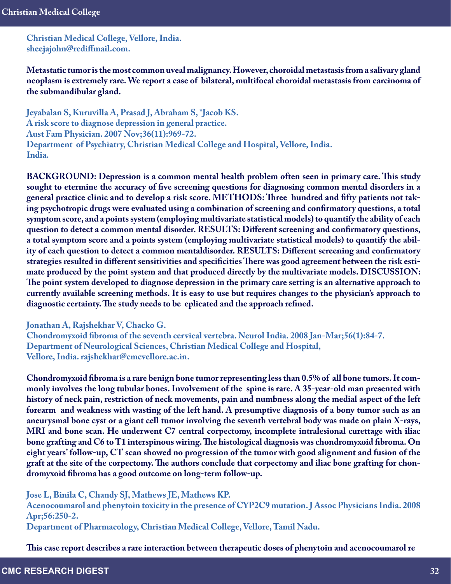**Christian Medical College, Vellore, India. sheejajohn@rediffmail.com.** 

**Metastatic tumor is the most common uveal malignancy. However, choroidal metastasis from a salivary gland neoplasm is extremely rare. We report a case of bilateral, multifocal choroidal metastasis from carcinoma of the submandibular gland.**

**Jeyabalan S, Kuruvilla A, Prasad J, Abraham S, \*Jacob KS. A risk score to diagnose depression in general practice. Aust Fam Physician. 2007 Nov;36(11):969-72. Department of Psychiatry, Christian Medical College and Hospital, Vellore, India. India.**

**BACKGROUND: Depression is a common mental health problem often seen in primary care. This study sought to etermine the accuracy of five screening questions for diagnosing common mental disorders in a general practice clinic and to develop a risk score. METHODS: Three hundred and fifty patients not taking psychotropic drugs were evaluated using a combination of screening and confirmatory questions, a total symptom score, and a points system (employing multivariate statistical models) to quantify the ability of each question to detect a common mental disorder. RESULTS: Different screening and confirmatory questions, a total symptom score and a points system (employing multivariate statistical models) to quantify the ability of each question to detect a common mentaldisorder. RESULTS: Different screening and confirmatory strategies resulted in different sensitivities and specificities There was good agreement between the risk estimate produced by the point system and that produced directly by the multivariate models. DISCUSSION: The point system developed to diagnose depression in the primary care setting is an alternative approach to currently available screening methods. It is easy to use but requires changes to the physician's approach to diagnostic certainty. The study needs to be eplicated and the approach refined.** 

**Jonathan A, Rajshekhar V, Chacko G.**

**Chondromyxoid fibroma of the seventh cervical vertebra. Neurol India. 2008 Jan-Mar;56(1):84-7. Department of Neurological Sciences, Christian Medical College and Hospital, Vellore, India. rajshekhar@cmcvellore.ac.in.** 

**Chondromyxoid fibroma is a rare benign bone tumor representing less than 0.5% of all bone tumors. It commonly involves the long tubular bones. Involvement of the spine is rare. A 35-year-old man presented with history of neck pain, restriction of neck movements, pain and numbness along the medial aspect of the left forearm and weakness with wasting of the left hand. A presumptive diagnosis of a bony tumor such as an aneurysmal bone cyst or a giant cell tumor involving the seventh vertebral body was made on plain X-rays, MRI and bone scan. He underwent C7 central corpectomy, incomplete intralesional curettage with iliac bone grafting and C6 to T1 interspinous wiring. The histological diagnosis was chondromyxoid fibroma. On eight years' follow-up, CT scan showed no progression of the tumor with good alignment and fusion of the graft at the site of the corpectomy. The authors conclude that corpectomy and iliac bone grafting for chondromyxoid fibroma has a good outcome on long-term follow-up.**

**Jose L, Binila C, Chandy SJ, Mathews JE, Mathews KP.**

**Acenocoumarol and phenytoin toxicity in the presence of CYP2C9 mutation. J Assoc Physicians India. 2008 Apr;56:250-2.**

**Department of Pharmacology, Christian Medical College, Vellore, Tamil Nadu.**

**This case report describes a rare interaction between therapeutic doses of phenytoin and acenocoumarol re**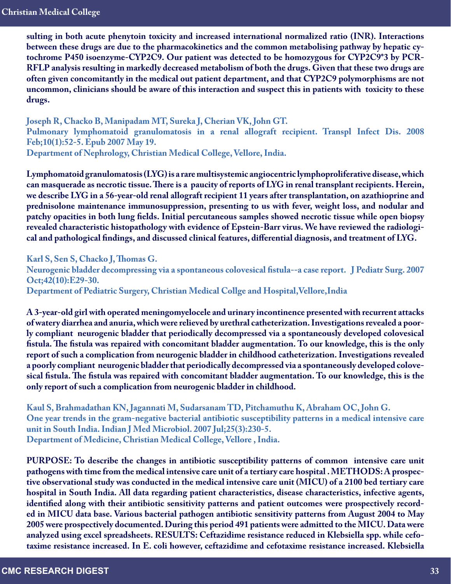**sulting in both acute phenytoin toxicity and increased international normalized ratio (INR). Interactions between these drugs are due to the pharmacokinetics and the common metabolising pathway by hepatic cytochrome P450 isoenzyme-CYP2C9. Our patient was detected to be homozygous for CYP2C9\*3 by PCR-RFLP analysis resulting in markedly decreased metabolism of both the drugs. Given that these two drugs are often given concomitantly in the medical out patient department, and that CYP2C9 polymorphisms are not uncommon, clinicians should be aware of this interaction and suspect this in patients with toxicity to these drugs.**

**Joseph R, Chacko B, Manipadam MT, Sureka J, Cherian VK, John GT. Pulmonary lymphomatoid granulomatosis in a renal allograft recipient. Transpl Infect Dis. 2008 Feb;10(1):52-5. Epub 2007 May 19. Department of Nephrology, Christian Medical College, Vellore, India.**

**Lymphomatoid granulomatosis (LYG) is a rare multisystemic angiocentric lymphoproliferative disease, which can masquerade as necrotic tissue. There is a paucity of reports of LYG in renal transplant recipients. Herein, we describe LYG in a 56-year-old renal allograft recipient 11 years after transplantation, on azathioprine and prednisolone maintenance immunosuppression, presenting to us with fever, weight loss, and nodular and patchy opacities in both lung fields. Initial percutaneous samples showed necrotic tissue while open biopsy revealed characteristic histopathology with evidence of Epstein-Barr virus. We have reviewed the radiological and pathological findings, and discussed clinical features, differential diagnosis, and treatment of LYG.**

**Karl S, Sen S, Chacko J, Thomas G. Neurogenic bladder decompressing via a spontaneous colovesical fistula--a case report. J Pediatr Surg. 2007 Oct;42(10):E29-30. Department of Pediatric Surgery, Christian Medical Collge and Hospital,Vellore,India**

**A 3-year-old girl with operated meningomyelocele and urinary incontinence presented with recurrent attacks of watery diarrhea and anuria, which were relieved by urethral catheterization. Investigations revealed a poorly compliant neurogenic bladder that periodically decompressed via a spontaneously developed colovesical fistula. The fistula was repaired with concomitant bladder augmentation. To our knowledge, this is the only report of such a complication from neurogenic bladder in childhood catheterization. Investigations revealed a poorly compliant neurogenic bladder that periodically decompressed via a spontaneously developed colovesical fistula. The fistula was repaired with concomitant bladder augmentation. To our knowledge, this is the only report of such a complication from neurogenic bladder in childhood.**

**Kaul S, Brahmadathan KN, Jagannati M, Sudarsanam TD, Pitchamuthu K, Abraham OC, John G. One year trends in the gram-negative bacterial antibiotic susceptibility patterns in a medical intensive care unit in South India. Indian J Med Microbiol. 2007 Jul;25(3):230-5. Department of Medicine, Christian Medical College, Vellore , India.**

**PURPOSE: To describe the changes in antibiotic susceptibility patterns of common intensive care unit pathogens with time from the medical intensive care unit of a tertiary care hospital . METHODS: A prospective observational study was conducted in the medical intensive care unit (MICU) of a 2100 bed tertiary care hospital in South India. All data regarding patient characteristics, disease characteristics, infective agents, identified along with their antibiotic sensitivity patterns and patient outcomes were prospectively recorded in MICU data base. Various bacterial pathogen antibiotic sensitivity patterns from August 2004 to May 2005 were prospectively documented. During this period 491 patients were admitted to the MICU. Data were analyzed using excel spreadsheets. RESULTS: Ceftazidime resistance reduced in Klebsiella spp. while cefotaxime resistance increased. In E. coli however, ceftazidime and cefotaxime resistance increased. Klebsiella**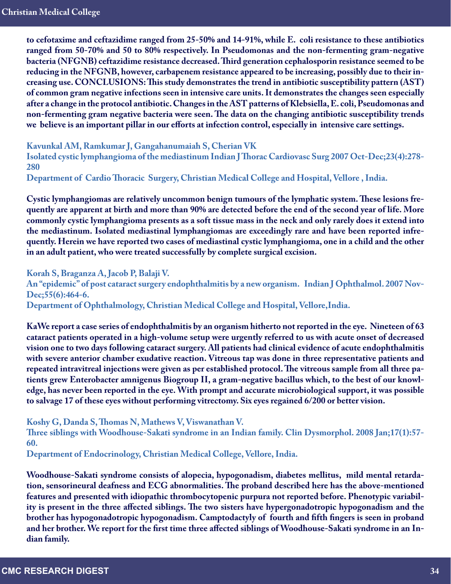**to cefotaxime and ceftazidime ranged from 25-50% and 14-91%, while E. coli resistance to these antibiotics ranged from 50-70% and 50 to 80% respectively. In Pseudomonas and the non-fermenting gram-negative bacteria (NFGNB) ceftazidime resistance decreased. Third generation cephalosporin resistance seemed to be reducing in the NFGNB, however, carbapenem resistance appeared to be increasing, possibly due to their increasing use. CONCLUSIONS: This study demonstrates the trend in antibiotic susceptibility pattern (AST) of common gram negative infections seen in intensive care units. It demonstrates the changes seen especially after a change in the protocol antibiotic. Changes in the AST patterns of Klebsiella, E. coli, Pseudomonas and non-fermenting gram negative bacteria were seen. The data on the changing antibiotic susceptibility trends we believe is an important pillar in our efforts at infection control, especially in intensive care settings.**

**Kavunkal AM, Ramkumar J, Gangahanumaiah S, Cherian VK**

**Isolated cystic lymphangioma of the mediastinum Indian J Thorac Cardiovasc Surg 2007 Oct-Dec;23(4):278- 280**

**Department of Cardio Thoracic Surgery, Christian Medical College and Hospital, Vellore , India.**

**Cystic lymphangiomas are relatively uncommon benign tumours of the lymphatic system. These lesions frequently are apparent at birth and more than 90% are detected before the end of the second year of life. More commonly cystic lymphangioma presents as a soft tissue mass in the neck and only rarely does it extend into the mediastinum. Isolated mediastinal lymphangiomas are exceedingly rare and have been reported infrequently. Herein we have reported two cases of mediastinal cystic lymphangioma, one in a child and the other in an adult patient, who were treated successfully by complete surgical excision.** 

**Korah S, Braganza A, Jacob P, Balaji V. An "epidemic" of post cataract surgery endophthalmitis by a new organism. Indian J Ophthalmol. 2007 Nov-Dec;55(6):464-6. Department of Ophthalmology, Christian Medical College and Hospital, Vellore,India.**

**KaWe report a case series of endophthalmitis by an organism hitherto not reported in the eye. Nineteen of 63 cataract patients operated in a high-volume setup were urgently referred to us with acute onset of decreased vision one to two days following cataract surgery. All patients had clinical evidence of acute endophthalmitis with severe anterior chamber exudative reaction. Vitreous tap was done in three representative patients and repeated intravitreal injections were given as per established protocol. The vitreous sample from all three patients grew Enterobacter amnigenus Biogroup II, a gram-negative bacillus which, to the best of our knowledge, has never been reported in the eye. With prompt and accurate microbiological support, it was possible to salvage 17 of these eyes without performing vitrectomy. Six eyes regained 6/200 or better vision.**

**Koshy G, Danda S, Thomas N, Mathews V, Viswanathan V.**

**Three siblings with Woodhouse-Sakati syndrome in an Indian family. Clin Dysmorphol. 2008 Jan;17(1):57- 60.**

**Department of Endocrinology, Christian Medical College, Vellore, India.**

**Woodhouse-Sakati syndrome consists of alopecia, hypogonadism, diabetes mellitus, mild mental retardation, sensorineural deafness and ECG abnormalities. The proband described here has the above-mentioned features and presented with idiopathic thrombocytopenic purpura not reported before. Phenotypic variability is present in the three affected siblings. The two sisters have hypergonadotropic hypogonadism and the brother has hypogonadotropic hypogonadism. Camptodactyly of fourth and fifth fingers is seen in proband and her brother. We report for the first time three affected siblings of Woodhouse-Sakati syndrome in an Indian family.**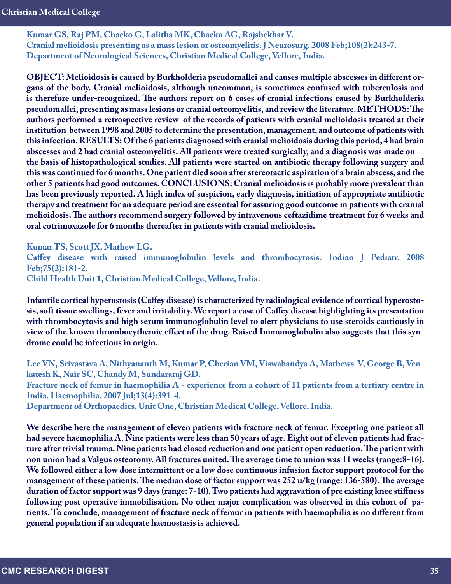**Kumar GS, Raj PM, Chacko G, Lalitha MK, Chacko AG, Rajshekhar V. Cranial melioidosis presenting as a mass lesion or osteomyelitis. J Neurosurg. 2008 Feb;108(2):243-7. Department of Neurological Sciences, Christian Medical College, Vellore, India.**

**OBJECT: Melioidosis is caused by Burkholderia pseudomallei and causes multiple abscesses in different organs of the body. Cranial melioidosis, although uncommon, is sometimes confused with tuberculosis and is therefore under-recognized. The authors report on 6 cases of cranial infections caused by Burkholderia pseudomallei, presenting as mass lesions or cranial osteomyelitis, and review the literature. METHODS: The authors performed a retrospective review of the records of patients with cranial melioidosis treated at their institution between 1998 and 2005 to determine the presentation, management, and outcome of patients with this infection. RESULTS: Of the 6 patients diagnosed with cranial melioidosis during this period, 4 had brain abscesses and 2 had cranial osteomyelitis. All patients were treated surgically, and a diagnosis was made on the basis of histopathological studies. All patients were started on antibiotic therapy following surgery and this was continued for 6 months. One patient died soon after stereotactic aspiration of a brain abscess, and the other 5 patients had good outcomes. CONCLUSIONS: Cranial melioidosis is probably more prevalent than has been previously reported. A high index of suspicion, early diagnosis, initiation of appropriate antibiotic therapy and treatment for an adequate period are essential for assuring good outcome in patients with cranial melioidosis. The authors recommend surgery followed by intravenous ceftazidime treatment for 6 weeks and oral cotrimoxazole for 6 months thereafter in patients with cranial melioidosis.**

**Kumar TS, Scott JX, Mathew LG.**

**Caffey disease with raised immunoglobulin levels and thrombocytosis. Indian J Pediatr. 2008 Feb;75(2):181-2.**

**Child Health Unit 1, Christian Medical College, Vellore, India.**

**Infantile cortical hyperostosis (Caffey disease) is characterized by radiological evidence of cortical hyperostosis, soft tissue swellings, fever and irritability. We report a case of Caffey disease highlighting its presentation with thrombocytosis and high serum immunoglobulin level to alert physicians to use steroids cautiously in view of the known thrombocythemic effect of the drug. Raised Immunoglobulin also suggests that this syndrome could be infectious in origin.**

**Lee VN, Srivastava A, Nithyananth M, Kumar P, Cherian VM, Viswabandya A, Mathews V, George B, Venkatesh K, Nair SC, Chandy M, Sundararaj GD. Fracture neck of femur in haemophilia A - experience from a cohort of 11 patients from a tertiary centre in India. Haemophilia. 2007 Jul;13(4):391-4. Department of Orthopaedics, Unit One, Christian Medical College, Vellore, India.** 

**We describe here the management of eleven patients with fracture neck of femur. Excepting one patient all had severe haemophilia A. Nine patients were less than 50 years of age. Eight out of eleven patients had fracture after trivial trauma. Nine patients had closed reduction and one patient open reduction. The patient with non union had a Valgus osteotomy. All fractures united. The average time to union was 11 weeks (range:8-16). We followed either a low dose intermittent or a low dose continuous infusion factor support protocol for the management of these patients. The median dose of factor support was 252 u/kg (range: 136-580). The average duration of factor support was 9 days (range: 7-10). Two patients had aggravation of pre existing knee stiffness following post operative immobilisation. No other major complication was observed in this cohort of patients. To conclude, management of fracture neck of femur in patients with haemophilia is no different from general population if an adequate haemostasis is achieved.**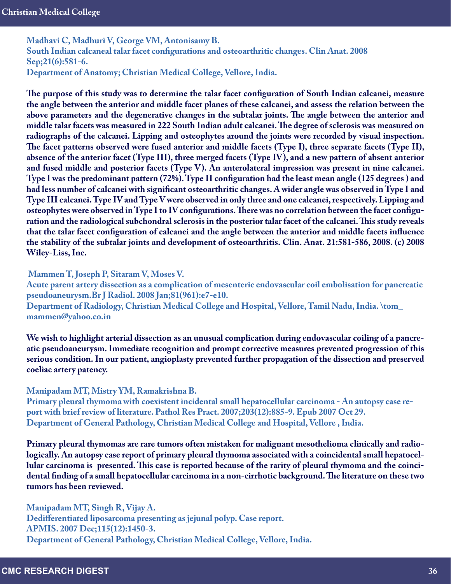**Madhavi C, Madhuri V, George VM, Antonisamy B. South Indian calcaneal talar facet configurations and osteoarthritic changes. Clin Anat. 2008 Sep;21(6):581-6. Department of Anatomy; Christian Medical College, Vellore, India.**

**The purpose of this study was to determine the talar facet configuration of South Indian calcanei, measure the angle between the anterior and middle facet planes of these calcanei, and assess the relation between the above parameters and the degenerative changes in the subtalar joints. The angle between the anterior and middle talar facets was measured in 222 South Indian adult calcanei. The degree of sclerosis was measured on radiographs of the calcanei. Lipping and osteophytes around the joints were recorded by visual inspection. The facet patterns observed were fused anterior and middle facets (Type I), three separate facets (Type II), absence of the anterior facet (Type III), three merged facets (Type IV), and a new pattern of absent anterior and fused middle and posterior facets (Type V). An anterolateral impression was present in nine calcanei. Type I was the predominant pattern (72%). Type II configuration had the least mean angle (125 degrees ) and had less number of calcanei with significant osteoarthritic changes. A wider angle was observed in Type I and Type III calcanei. Type IV and Type V were observed in only three and one calcanei, respectively. Lipping and osteophytes were observed in Type I to IV configurations. There was no correlation between the facet configuration and the radiological subchondral sclerosis in the posterior talar facet of the calcanei. This study reveals that the talar facet configuration of calcanei and the angle between the anterior and middle facets influence the stability of the subtalar joints and development of osteoarthritis. Clin. Anat. 21:581-586, 2008. (c) 2008 Wiley-Liss, Inc.**

 **Mammen T, Joseph P, Sitaram V, Moses V.**

**Acute parent artery dissection as a complication of mesenteric endovascular coil embolisation for pancreatic pseudoaneurysm.Br J Radiol. 2008 Jan;81(961):e7-e10.**

**Department of Radiology, Christian Medical College and Hospital, Vellore, Tamil Nadu, India. \tom\_ mammen@yahoo.co.in**

**We wish to highlight arterial dissection as an unusual complication during endovascular coiling of a pancreatic pseudoaneurysm. Immediate recognition and prompt corrective measures prevented progression of this serious condition. In our patient, angioplasty prevented further propagation of the dissection and preserved coeliac artery patency.**

**Manipadam MT, Mistry YM, Ramakrishna B.**

**Primary pleural thymoma with coexistent incidental small hepatocellular carcinoma - An autopsy case report with brief review of literature. Pathol Res Pract. 2007;203(12):885-9. Epub 2007 Oct 29. Department of General Pathology, Christian Medical College and Hospital, Vellore , India.**

**Primary pleural thymomas are rare tumors often mistaken for malignant mesothelioma clinically and radiologically. An autopsy case report of primary pleural thymoma associated with a coincidental small hepatocellular carcinoma is presented. This case is reported because of the rarity of pleural thymoma and the coincidental finding of a small hepatocellular carcinoma in a non-cirrhotic background. The literature on these two tumors has been reviewed.**

**Manipadam MT, Singh R, Vijay A. Dedifferentiated liposarcoma presenting as jejunal polyp. Case report. APMIS. 2007 Dec;115(12):1450-3. Department of General Pathology, Christian Medical College, Vellore, India.**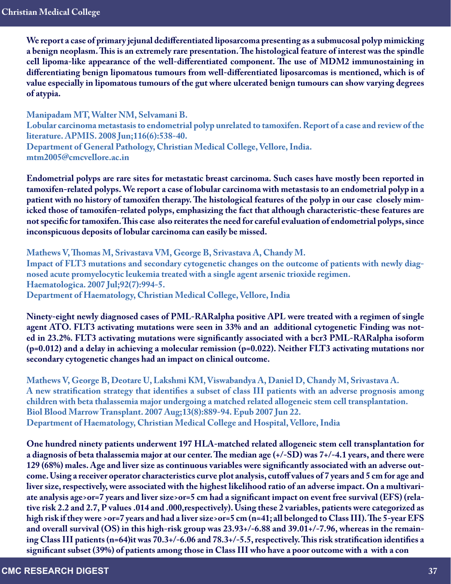**We report a case of primary jejunal dedifferentiated liposarcoma presenting as a submucosal polyp mimicking a benign neoplasm. This is an extremely rare presentation. The histological feature of interest was the spindle cell lipoma-like appearance of the well-differentiated component. The use of MDM2 immunostaining in differentiating benign lipomatous tumours from well-differentiated liposarcomas is mentioned, which is of value especially in lipomatous tumours of the gut where ulcerated benign tumours can show varying degrees of atypia.**

**Manipadam MT, Walter NM, Selvamani B. Lobular carcinoma metastasis to endometrial polyp unrelated to tamoxifen. Report of a case and review of the literature. APMIS. 2008 Jun;116(6):538-40. Department of General Pathology, Christian Medical College, Vellore, India. mtm2005@cmcvellore.ac.in**

**Endometrial polyps are rare sites for metastatic breast carcinoma. Such cases have mostly been reported in tamoxifen-related polyps. We report a case of lobular carcinoma with metastasis to an endometrial polyp in a patient with no history of tamoxifen therapy. The histological features of the polyp in our case closely mimicked those of tamoxifen-related polyps, emphasizing the fact that although characteristic-these features are not specific for tamoxifen. This case also reiterates the need for careful evaluation of endometrial polyps, since inconspicuous deposits of lobular carcinoma can easily be missed.**

**Mathews V, Thomas M, Srivastava VM, George B, Srivastava A, Chandy M. Impact of FLT3 mutations and secondary cytogenetic changes on the outcome of patients with newly diagnosed acute promyelocytic leukemia treated with a single agent arsenic trioxide regimen. Haematologica. 2007 Jul;92(7):994-5. Department of Haematology, Christian Medical College, Vellore, India** 

**Ninety-eight newly diagnosed cases of PML-RARalpha positive APL were treated with a regimen of single agent ATO. FLT3 activating mutations were seen in 33% and an additional cytogenetic Finding was noted in 23.2%. FLT3 activating mutations were significantly associated with a bcr3 PML-RARalpha isoform (p=0.012) and a delay in achieving a molecular remission (p=0.022). Neither FLT3 activating mutations nor secondary cytogenetic changes had an impact on clinical outcome.**

**Mathews V, George B, Deotare U, Lakshmi KM, Viswabandya A, Daniel D, Chandy M, Srivastava A. A new stratification strategy that identifies a subset of class III patients with an adverse prognosis among children with beta thalassemia major undergoing a matched related allogeneic stem cell transplantation. Biol Blood Marrow Transplant. 2007 Aug;13(8):889-94. Epub 2007 Jun 22. Department of Haematology, Christian Medical College and Hospital, Vellore, India** 

**One hundred ninety patients underwent 197 HLA-matched related allogeneic stem cell transplantation for a diagnosis of beta thalassemia major at our center. The median age (+/-SD) was 7+/-4.1 years, and there were 129 (68%) males. Age and liver size as continuous variables were significantly associated with an adverse outcome. Using a receiver operator characteristics curve plot analysis, cutoff values of 7 years and 5 cm for age and liver size, respectively, were associated with the highest likelihood ratio of an adverse impact. On a multivariate analysis age>or=7 years and liver size>or=5 cm had a significant impact on event free survival (EFS) (relative risk 2.2 and 2.7, P values .014 and .000,respectively). Using these 2 variables, patients were categorized as high risk if they were >or=7 years and had a liver size>or=5 cm (n=41; all belonged to Class III). The 5-year EFS and overall survival (OS) in this high-risk group was 23.93+/-6.88 and 39.01+/-7.96, whereas in the remaining Class III patients (n=64)it was 70.3+/-6.06 and 78.3+/-5.5, respectively. This risk stratification identifies a significant subset (39%) of patients among those in Class III who have a poor outcome with a with a con**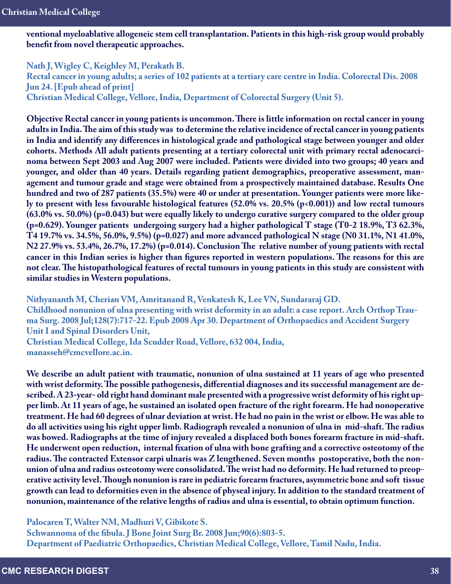**ventional myeloablative allogeneic stem cell transplantation. Patients in this high-risk group would probably benefit from novel therapeutic approaches.**

**Nath J, Wigley C, Keighley M, Perakath B. Rectal cancer in young adults; a series of 102 patients at a tertiary care centre in India. Colorectal Dis. 2008 Jun 24. [Epub ahead of print] Christian Medical College, Vellore, India, Department of Colorectal Surgery (Unit 5).**

**Objective Rectal cancer in young patients is uncommon. There is little information on rectal cancer in young adults in India. The aim of this study was to determine the relative incidence of rectal cancer in young patients in India and identify any differences in histological grade and pathological stage between younger and older cohorts. Methods All adult patients presenting at a tertiary colorectal unit with primary rectal adenocarcinoma between Sept 2003 and Aug 2007 were included. Patients were divided into two groups; 40 years and younger, and older than 40 years. Details regarding patient demographics, preoperative assessment, management and tumour grade and stage were obtained from a prospectively maintained database. Results One hundred and two of 287 patients (35.5%) were 40 or under at presentation. Younger patients were more likely to present with less favourable histological features (52.0% vs. 20.5% (p<0.001)) and low rectal tumours (63.0% vs. 50.0%) (p=0.043) but were equally likely to undergo curative surgery compared to the older group (p=0.629). Younger patients undergoing surgery had a higher pathological T stage (T0-2 18.9%, T3 62.3%, T4 19.7% vs. 34.5%, 56.0%, 9.5%) (p=0.027) and more advanced pathological N stage (N0 31.1%, N1 41.0%, N2 27.9% vs. 53.4%, 26.7%, 17.2%) (p=0.014). Conclusion The relative number of young patients with rectal cancer in this Indian series is higher than figures reported in western populations. The reasons for this are not clear. The histopathological features of rectal tumours in young patients in this study are consistent with similar studies in Western populations.**

**Nithyananth M, Cherian VM, Amritanand R, Venkatesh K, Lee VN, Sundararaj GD. Childhood nonunion of ulna presenting with wrist deformity in an adult: a case report. Arch Orthop Trauma Surg. 2008 Jul;128(7):717-22. Epub 2008 Apr 30. Department of Orthopaedics and Accident Surgery Unit I and Spinal Disorders Unit, Christian Medical College, Ida Scudder Road, Vellore, 632 004, India, manasseh@cmcvellore.ac.in.**

**We describe an adult patient with traumatic, nonunion of ulna sustained at 11 years of age who presented with wrist deformity. The possible pathogenesis, differential diagnoses and its successful management are described. A 23-year- old right hand dominant male presented with a progressive wrist deformity of his right upper limb. At 11 years of age, he sustained an isolated open fracture of the right forearm. He had nonoperative treatment. He had 60 degrees of ulnar deviation at wrist. He had no pain in the wrist or elbow. He was able to do all activities using his right upper limb. Radiograph revealed a nonunion of ulna in mid-shaft. The radius was bowed. Radiographs at the time of injury revealed a displaced both bones forearm fracture in mid-shaft. He underwent open reduction, internal fixation of ulna with bone grafting and a corrective osteotomy of the radius. The contracted Extensor carpi ulnaris was Z lengthened. Seven months postoperative, both the nonunion of ulna and radius osteotomy were consolidated. The wrist had no deformity. He had returned to preoperative activity level. Though nonunion is rare in pediatric forearm fractures, asymmetric bone and soft tissue growth can lead to deformities even in the absence of physeal injury. In addition to the standard treatment of nonunion, maintenance of the relative lengths of radius and ulna is essential, to obtain optimum function.**

**Palocaren T, Walter NM, Madhuri V, Gibikote S.**

**Schwannoma of the fibula. J Bone Joint Surg Br. 2008 Jun;90(6):803-5. Department of Paediatric Orthopaedics, Christian Medical College, Vellore, Tamil Nadu, India.**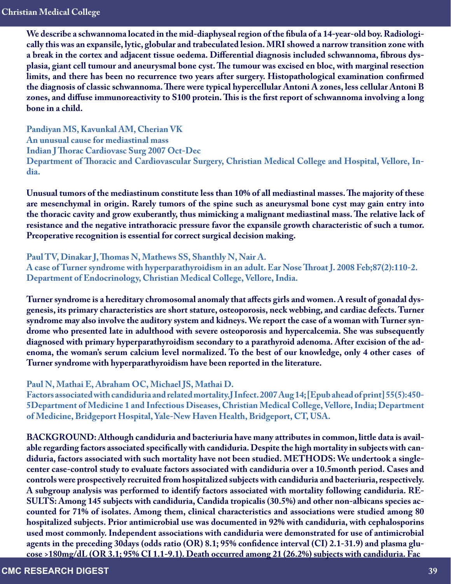**We describe a schwannoma located in the mid-diaphyseal region of the fibula of a 14-year-old boy. Radiologically this was an expansile, lytic, globular and trabeculated lesion. MRI showed a narrow transition zone with a break in the cortex and adjacent tissue oedema. Differential diagnosis included schwannoma, fibrous dysplasia, giant cell tumour and aneurysmal bone cyst. The tumour was excised en bloc, with marginal resection limits, and there has been no recurrence two years after surgery. Histopathological examination confirmed the diagnosis of classic schwannoma. There were typical hypercellular Antoni A zones, less cellular Antoni B zones, and diffuse immunoreactivity to S100 protein. This is the first report of schwannoma involving a long bone in a child.**

**Pandiyan MS, Kavunkal AM, Cherian VK An unusual cause for mediastinal mass Indian J Thorac Cardiovasc Surg 2007 Oct-Dec Department of Thoracic and Cardiovascular Surgery, Christian Medical College and Hospital, Vellore, India.**

**Unusual tumors of the mediastinum constitute less than 10% of all mediastinal masses. The majority of these are mesenchymal in origin. Rarely tumors of the spine such as aneurysmal bone cyst may gain entry into the thoracic cavity and grow exuberantly, thus mimicking a malignant mediastinal mass. The relative lack of resistance and the negative intrathoracic pressure favor the expansile growth characteristic of such a tumor. Preoperative recognition is essential for correct surgical decision making.** 

**Paul TV, Dinakar J, Thomas N, Mathews SS, Shanthly N, Nair A.**

**A case of Turner syndrome with hyperparathyroidism in an adult. Ear Nose Throat J. 2008 Feb;87(2):110-2. Department of Endocrinology, Christian Medical College, Vellore, India.**

**Turner syndrome is a hereditary chromosomal anomaly that affects girls and women. A result of gonadal dysgenesis, its primary characteristics are short stature, osteoporosis, neck webbing, and cardiac defects. Turner syndrome may also involve the auditory system and kidneys. We report the case of a woman with Turner syndrome who presented late in adulthood with severe osteoporosis and hypercalcemia. She was subsequently diagnosed with primary hyperparathyroidism secondary to a parathyroid adenoma. After excision of the adenoma, the woman's serum calcium level normalized. To the best of our knowledge, only 4 other cases of Turner syndrome with hyperparathyroidism have been reported in the literature.**

**Paul N, Mathai E, Abraham OC, Michael JS, Mathai D.**

**Factors associated with candiduria and related mortality.J Infect. 2007 Aug 14; [Epub ahead of print] 55(5):450- 5Department of Medicine 1 and Infectious Diseases, Christian Medical College, Vellore, India; Department of Medicine, Bridgeport Hospital, Yale-New Haven Health, Bridgeport, CT, USA.**

**BACKGROUND: Although candiduria and bacteriuria have many attributes in common, little data is available regarding factors associated specifically with candiduria. Despite the high mortality in subjects with candiduria, factors associated with such mortality have not been studied. METHODS: We undertook a singlecenter case-control study to evaluate factors associated with candiduria over a 10.5month period. Cases and controls were prospectively recruited from hospitalized subjects with candiduria and bacteriuria, respectively. A subgroup analysis was performed to identify factors associated with mortality following candiduria. RE-SULTS: Among 145 subjects with candiduria, Candida tropicalis (30.5%) and other non-albicans species accounted for 71% of isolates. Among them, clinical characteristics and associations were studied among 80 hospitalized subjects. Prior antimicrobial use was documented in 92% with candiduria, with cephalosporins used most commonly. Independent associations with candiduria were demonstrated for use of antimicrobial agents in the preceding 30days (odds ratio (OR) 8.1; 95% confidence interval (CI) 2.1-31.9) and plasma glucose >180mg/dL (OR 3.1; 95% CI 1.1-9.1). Death occurred among 21 (26.2%) subjects with candiduria. Fac**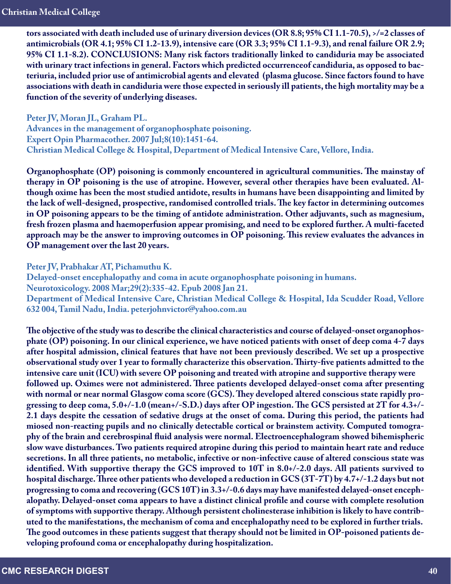**tors associated with death included use of urinary diversion devices (OR 8.8; 95% CI 1.1-70.5), >/=2 classes of antimicrobials (OR 4.1; 95% CI 1.2-13.9), intensive care (OR 3.3; 95% CI 1.1-9.3), and renal failure OR 2.9; 95% CI 1.1-8.2). CONCLUSIONS: Many risk factors traditionally linked to candiduria may be associated with urinary tract infections in general. Factors which predicted occurrenceof candiduria, as opposed to bacteriuria, included prior use of antimicrobial agents and elevated (plasma glucose. Since factors found to have associations with death in candiduria were those expected in seriously ill patients, the high mortality may be a function of the severity of underlying diseases.** 

**Peter JV, Moran JL, Graham PL. Advances in the management of organophosphate poisoning. Expert Opin Pharmacother. 2007 Jul;8(10):1451-64. Christian Medical College & Hospital, Department of Medical Intensive Care, Vellore, India.** 

**Organophosphate (OP) poisoning is commonly encountered in agricultural communities. The mainstay of therapy in OP poisoning is the use of atropine. However, several other therapies have been evaluated. Although oxime has been the most studied antidote, results in humans have been disappointing and limited by the lack of well-designed, prospective, randomised controlled trials. The key factor in determining outcomes in OP poisoning appears to be the timing of antidote administration. Other adjuvants, such as magnesium, fresh frozen plasma and haemoperfusion appear promising, and need to be explored further. A multi-faceted approach may be the answer to improving outcomes in OP poisoning. This review evaluates the advances in OP management over the last 20 years.**

**Peter JV, Prabhakar AT, Pichamuthu K.**

**Delayed-onset encephalopathy and coma in acute organophosphate poisoning in humans.**

**Neurotoxicology. 2008 Mar;29(2):335-42. Epub 2008 Jan 21.**

**Department of Medical Intensive Care, Christian Medical College & Hospital, Ida Scudder Road, Vellore 632 004, Tamil Nadu, India. peterjohnvictor@yahoo.com.au** 

**The objective of the study was to describe the clinical characteristics and course of delayed-onset organophosphate (OP) poisoning. In our clinical experience, we have noticed patients with onset of deep coma 4-7 days after hospital admission, clinical features that have not been previously described. We set up a prospective observational study over 1 year to formally characterize this observation. Thirty-five patients admitted to the intensive care unit (ICU) with severe OP poisoning and treated with atropine and supportive therapy were followed up. Oximes were not administered. Three patients developed delayed-onset coma after presenting with normal or near normal Glasgow coma score (GCS). They developed altered conscious state rapidly progressing to deep coma, 5.0+/-1.0 (mean+/-S.D.) days after OP ingestion. The GCS persisted at 2T for 4.3+/- 2.1 days despite the cessation of sedative drugs at the onset of coma. During this period, the patients had miosed non-reacting pupils and no clinically detectable cortical or brainstem activity. Computed tomography of the brain and cerebrospinal fluid analysis were normal. Electroencephalogram showed bihemispheric slow wave disturbances. Two patients required atropine during this period to maintain heart rate and reduce secretions. In all three patients, no metabolic, infective or non-infective cause of altered conscious state was identified. With supportive therapy the GCS improved to 10T in 8.0+/-2.0 days. All patients survived to hospital discharge. Three other patients who developed a reduction in GCS (3T-7T) by 4.7+/-1.2 days but not progressing to coma and recovering (GCS 10T) in 3.3+/-0.6 days may have manifested delayed-onset encephalopathy. Delayed-onset coma appears to have a distinct clinical profile and course with complete resolution of symptoms with supportive therapy. Although persistent cholinesterase inhibition is likely to have contributed to the manifestations, the mechanism of coma and encephalopathy need to be explored in further trials. The good outcomes in these patients suggest that therapy should not be limited in OP-poisoned patients developing profound coma or encephalopathy during hospitalization.**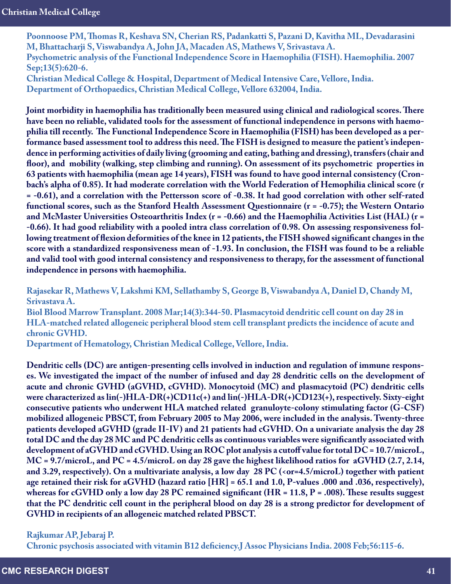**Poonnoose PM, Thomas R, Keshava SN, Cherian RS, Padankatti S, Pazani D, Kavitha ML, Devadarasini M, Bhattacharji S, Viswabandya A, John JA, Macaden AS, Mathews V, Srivastava A. Psychometric analysis of the Functional Independence Score in Haemophilia (FISH). Haemophilia. 2007 Sep;13(5):620-6. Christian Medical College & Hospital, Department of Medical Intensive Care, Vellore, India. Department of Orthopaedics, Christian Medical College, Vellore 632004, India.** 

**Joint morbidity in haemophilia has traditionally been measured using clinical and radiological scores. There have been no reliable, validated tools for the assessment of functional independence in persons with haemophilia till recently. The Functional Independence Score in Haemophilia (FISH) has been developed as a performance based assessment tool to address this need. The FISH is designed to measure the patient's independence in performing activities of daily living (grooming and eating, bathing and dressing), transfers (chair and floor), and mobility (walking, step climbing and running). On assessment of its psychometric properties in 63 patients with haemophilia (mean age 14 years), FISH was found to have good internal consistency (Cronbach's alpha of 0.85). It had moderate correlation with the World Federation of Hemophilia clinical score (r = -0.61), and a correlation with the Pettersson score of -0.38. It had good correlation with other self-rated functional scores, such as the Stanford Health Assessment Questionnaire (r = -0.75); the Western Ontario and McMaster Universities Osteoarthritis Index (r = -0.66) and the Haemophilia Activities List (HAL) (r = -0.66). It had good reliability with a pooled intra class correlation of 0.98. On assessing responsiveness following treatment of flexion deformities of the knee in 12 patients, the FISH showed significant changes in the score with a standardized responsiveness mean of -1.93. In conclusion, the FISH was found to be a reliable and valid tool with good internal consistency and responsiveness to therapy, for the assessment of functional independence in persons with haemophilia.**

**Rajasekar R, Mathews V, Lakshmi KM, Sellathamby S, George B, Viswabandya A, Daniel D, Chandy M, Srivastava A.**

**Biol Blood Marrow Transplant. 2008 Mar;14(3):344-50. Plasmacytoid dendritic cell count on day 28 in HLA-matched related allogeneic peripheral blood stem cell transplant predicts the incidence of acute and chronic GVHD.**

**Department of Hematology, Christian Medical College, Vellore, India.**

**Dendritic cells (DC) are antigen-presenting cells involved in induction and regulation of immune responses. We investigated the impact of the number of infused and day 28 dendritic cells on the development of acute and chronic GVHD (aGVHD, cGVHD). Monocytoid (MC) and plasmacytoid (PC) dendritic cells were characterized as lin(-)HLA-DR(+)CD11c(+) and lin(-)HLA-DR(+)CD123(+), respectively. Sixty-eight consecutive patients who underwent HLA matched related granuloyte-colony stimulating factor (G-CSF) mobilized allogeneic PBSCT, from February 2005 to May 2006, were included in the analysis. Twenty-three patients developed aGVHD (grade II-IV) and 21 patients had cGVHD. On a univariate analysis the day 28 total DC and the day 28 MC and PC dendritic cells as continuous variables were significantly associated with development of aGVHD and cGVHD. Using an ROC plot analysis a cutoff value for total DC = 10.7/microL, MC = 9.7/microL, and PC = 4.5/microL on day 28 gave the highest likelihood ratios for aGVHD (2.7, 2.14, and 3.29, respectively). On a multivariate analysis, a low day 28 PC (<or=4.5/microL) together with patient age retained their risk for aGVHD (hazard ratio [HR] = 65.1 and 1.0, P-values .000 and .036, respectively), whereas for cGVHD only a low day 28 PC remained significant (HR = 11.8, P = .008). These results suggest that the PC dendritic cell count in the peripheral blood on day 28 is a strong predictor for development of GVHD in recipients of an allogeneic matched related PBSCT.**

#### **Rajkumar AP, Jebaraj P.**

**Chronic psychosis associated with vitamin B12 deficiency.J Assoc Physicians India. 2008 Feb;56:115-6.**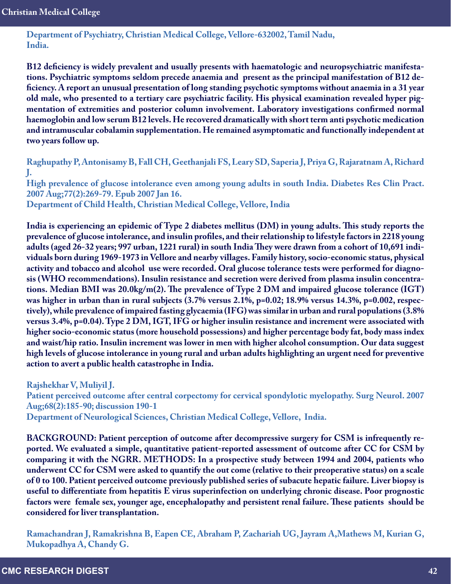**Department of Psychiatry, Christian Medical College, Vellore-632002, Tamil Nadu, India.**

**B12 deficiency is widely prevalent and usually presents with haematologic and neuropsychiatric manifestations. Psychiatric symptoms seldom precede anaemia and present as the principal manifestation of B12 deficiency. A report an unusual presentation of long standing psychotic symptoms without anaemia in a 31 year old male, who presented to a tertiary care psychiatric facility. His physical examination revealed hyper pigmentation of extremities and posterior column involvement. Laboratory investigations confirmed normal haemoglobin and low serum B12 levels. He recovered dramatically with short term anti psychotic medication and intramuscular cobalamin supplementation. He remained asymptomatic and functionally independent at two years follow up.**

**Raghupathy P, Antonisamy B, Fall CH, Geethanjali FS, Leary SD, Saperia J, Priya G, Rajaratnam A, Richard J.**

**High prevalence of glucose intolerance even among young adults in south India. Diabetes Res Clin Pract. 2007 Aug;77(2):269-79. Epub 2007 Jan 16.**

**Department of Child Health, Christian Medical College, Vellore, India** 

**India is experiencing an epidemic of Type 2 diabetes mellitus (DM) in young adults. This study reports the prevalence of glucose intolerance, and insulin profiles, and their relationship to lifestyle factors in 2218 young adults (aged 26-32 years; 997 urban, 1221 rural) in south India They were drawn from a cohort of 10,691 individuals born during 1969-1973 in Vellore and nearby villages. Family history, socio-economic status, physical activity and tobacco and alcohol use were recorded. Oral glucose tolerance tests were performed for diagnosis (WHO recommendations). Insulin resistance and secretion were derived from plasma insulin concentrations. Median BMI was 20.0kg/m(2). The prevalence of Type 2 DM and impaired glucose tolerance (IGT) was higher in urban than in rural subjects (3.7% versus 2.1%, p=0.02; 18.9% versus 14.3%, p=0.002, respectively), while prevalence of impaired fasting glycaemia (IFG) was similar in urban and rural populations (3.8% versus 3.4%, p=0.04). Type 2 DM, IGT, IFG or higher insulin resistance and increment were associated with higher socio-economic status (more household possessions) and higher percentage body fat, body mass index and waist/hip ratio. Insulin increment was lower in men with higher alcohol consumption. Our data suggest high levels of glucose intolerance in young rural and urban adults highlighting an urgent need for preventive action to avert a public health catastrophe in India.**

**Rajshekhar V, Muliyil J.**

**Patient perceived outcome after central corpectomy for cervical spondylotic myelopathy. Surg Neurol. 2007 Aug;68(2):185-90; discussion 190-1 Department of Neurological Sciences, Christian Medical College, Vellore, India.** 

**BACKGROUND: Patient perception of outcome after decompressive surgery for CSM is infrequently reported. We evaluated a simple, quantitative patient-reported assessment of outcome after CC for CSM by comparing it with the NGRR. METHODS: In a prospective study between 1994 and 2004, patients who underwent CC for CSM were asked to quantify the out come (relative to their preoperative status) on a scale of 0 to 100. Patient perceived outcome previously published series of subacute hepatic failure. Liver biopsy is useful to differentiate from hepatitis E virus superinfection on underlying chronic disease. Poor prognostic factors were female sex, younger age, encephalopathy and persistent renal failure. These patients should be considered for liver transplantation.**

**Ramachandran J, Ramakrishna B, Eapen CE, Abraham P, Zachariah UG, Jayram A,Mathews M, Kurian G, Mukopadhya A, Chandy G.**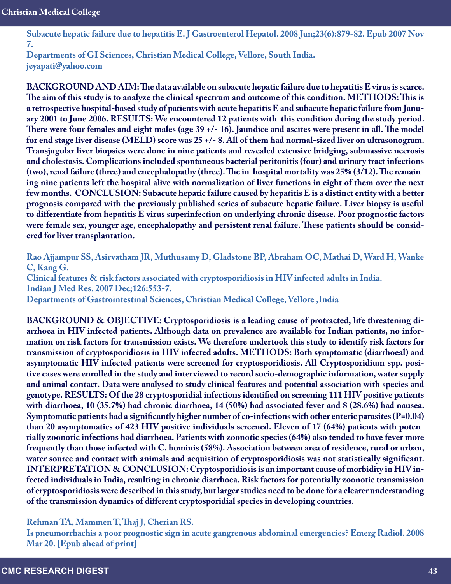**Subacute hepatic failure due to hepatitis E. J Gastroenterol Hepatol. 2008 Jun;23(6):879-82. Epub 2007 Nov 7.**

**Departments of GI Sciences, Christian Medical College, Vellore, South India. jeyapati@yahoo.com**

**BACKGROUND AND AIM: The data available on subacute hepatic failure due to hepatitis E virus is scarce. The aim of this study is to analyze the clinical spectrum and outcome of this condition. METHODS: This is a retrospective hospital-based study of patients with acute hepatitis E and subacute hepatic failure from January 2001 to June 2006. RESULTS: We encountered 12 patients with this condition during the study period. There were four females and eight males (age 39 +/- 16). Jaundice and ascites were present in all. The model for end stage liver disease (MELD) score was 25 +/- 8. All of them had normal-sized liver on ultrasonogram. Transjugular liver biopsies were done in nine patients and revealed extensive bridging, submassive necrosis and cholestasis. Complications included spontaneous bacterial peritonitis (four) and urinary tract infections (two), renal failure (three) and encephalopathy (three). The in-hospital mortality was 25% (3/12). The remaining nine patients left the hospital alive with normalization of liver functions in eight of them over the next few months. CONCLUSION: Subacute hepatic failure caused by hepatitis E is a distinct entity with a better prognosis compared with the previously published series of subacute hepatic failure. Liver biopsy is useful to differentiate from hepatitis E virus superinfection on underlying chronic disease. Poor prognostic factors were female sex, younger age, encephalopathy and persistent renal failure. These patients should be considered for liver transplantation.** 

**Rao Ajjampur SS, Asirvatham JR, Muthusamy D, Gladstone BP, Abraham OC, Mathai D, Ward H, Wanke C, Kang G. Clinical features & risk factors associated with cryptosporidiosis in HIV infected adults in India.**

**Indian J Med Res. 2007 Dec;126:553-7.**

**Departments of Gastrointestinal Sciences, Christian Medical College, Vellore ,India** 

**BACKGROUND & OBJECTIVE: Cryptosporidiosis is a leading cause of protracted, life threatening diarrhoea in HIV infected patients. Although data on prevalence are available for Indian patients, no information on risk factors for transmission exists. We therefore undertook this study to identify risk factors for transmission of cryptosporidiosis in HIV infected adults. METHODS: Both symptomatic (diarrhoeal) and asymptomatic HIV infected patients were screened for cryptosporidiosis. All Cryptosporidium spp. positive cases were enrolled in the study and interviewed to record socio-demographic information, water supply and animal contact. Data were analysed to study clinical features and potential association with species and genotype. RESULTS: Of the 28 cryptosporidial infections identified on screening 111 HIV positive patients with diarrhoea, 10 (35.7%) had chronic diarrhoea, 14 (50%) had associated fever and 8 (28.6%) had nausea. Symptomatic patients had a significantly higher number of co-infections with other enteric parasites (P=0.04) than 20 asymptomatics of 423 HIV positive individuals screened. Eleven of 17 (64%) patients with potentially zoonotic infections had diarrhoea. Patients with zoonotic species (64%) also tended to have fever more frequently than those infected with C. hominis (58%). Association between area of residence, rural or urban, water source and contact with animals and acquisition of cryptosporidiosis was not statistically significant. INTERPRETATION & CONCLUSION: Cryptosporidiosis is an important cause of morbidity in HIV infected individuals in India, resulting in chronic diarrhoea. Risk factors for potentially zoonotic transmission of cryptosporidiosis were described in this study, but larger studies need to be done for a clearer understanding of the transmission dynamics of different cryptosporidial species in developing countries.**

**Rehman TA, Mammen T, Thaj J, Cherian RS.**

**Is pneumorrhachis a poor prognostic sign in acute gangrenous abdominal emergencies? Emerg Radiol. 2008 Mar 20. [Epub ahead of print]**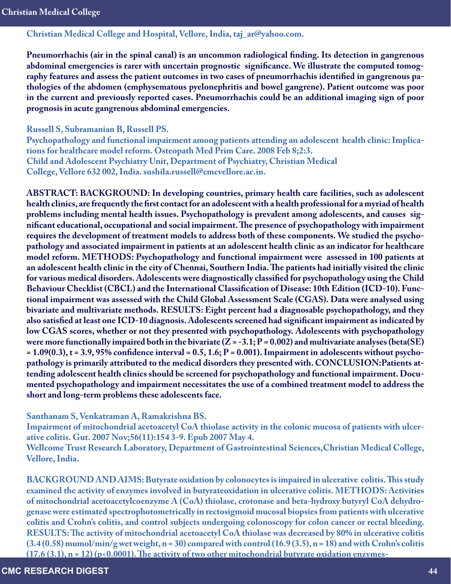#### **Christian Medical College and Hospital, Vellore, India, taj\_ar@yahoo.com.**

**Pneumorrhachis (air in the spinal canal) is an uncommon radiological finding. Its detection in gangrenous abdominal emergencies is rarer with uncertain prognostic significance. We illustrate the computed tomography features and assess the patient outcomes in two cases of pneumorrhachis identified in gangrenous pathologies of the abdomen (emphysematous pyelonephritis and bowel gangrene). Patient outcome was poor in the current and previously reported cases. Pneumorrhachis could be an additional imaging sign of poor prognosis in acute gangrenous abdominal emergencies.**

**Russell S, Subramanian B, Russell PS.**

**Psychopathology and functional impairment among patients attending an adolescent health clinic: Implications for healthcare model reform. Osteopath Med Prim Care. 2008 Feb 8;2:3. Child and Adolescent Psychiatry Unit, Department of Psychiatry, Christian Medical College, Vellore 632 002, India. sushila.russell@cmcvellore.ac.in.** 

**ABSTRACT: BACKGROUND: In developing countries, primary health care facilities, such as adolescent health clinics, are frequently the first contact for an adolescent with a health professional for a myriad of health problems including mental health issues. Psychopathology is prevalent among adolescents, and causes significant educational, occupational and social impairment. The presence of psychopathology with impairment requires the development of treatment models to address both of these components. We studied the psychopathology and associated impairment in patients at an adolescent health clinic as an indicator for healthcare model reform. METHODS: Psychopathology and functional impairment were assessed in 100 patients at an adolescent health clinic in the city of Chennai, Southern India. The patients had initially visited the clinic for various medical disorders. Adolescents were diagnostically classified for psychopathology using the Child Behaviour Checklist (CBCL) and the International Classification of Disease: 10th Edition (ICD-10). Functional impairment was assessed with the Child Global Assessment Scale (CGAS). Data were analysed using bivariate and multivariate methods. RESULTS: Eight percent had a diagnosable psychopathology, and they also satisfied at least one ICD-10 diagnosis. Adolescents screened had significant impairment as indicated by low CGAS scores, whether or not they presented with psychopathology. Adolescents with psychopathology**  were more functionally impaired both in the bivariate  $(Z = -3.1; P = 0.002)$  and multivariate analyses (beta(SE) **= 1.09(0.3), t = 3.9, 95% confidence interval = 0.5, 1.6; P = 0.001). Impairment in adolescents without psychopathology is primarily attributed to the medical disorders they presented with. CONCLUSION:Patients attending adolescent health clinics should be screened for psychopathology and functional impairment. Documented psychopathology and impairment necessitates the use of a combined treatment model to address the short and long-term problems these adolescents face.** 

**Santhanam S, Venkatraman A, Ramakrishna BS.**

**Impairment of mitochondrial acetoacetyl CoA thiolase activity in the colonic mucosa of patients with ulcerative colitis. Gut. 2007 Nov;56(11):154 3-9. Epub 2007 May 4.**

**Wellcome Trust Research Laboratory, Department of Gastrointestinal Sciences,Christian Medical College, Vellore, India.**

**BACKGROUND AND AIMS: Butyrate oxidation by colonocytes is impaired in ulcerative colitis. This study examined the activity of enzymes involved in butyrateoxidation in ulcerative colitis. METHODS: Activities of mitochondrial acetoacetylcoenzyme A (CoA) thiolase, crotonase and beta-hydroxy butyryl CoA dehydrogenase were estimated spectrophotometrically in rectosigmoid mucosal biopsies from patients with ulcerative colitis and Crohn's colitis, and control subjects undergoing colonoscopy for colon cancer or rectal bleeding. RESULTS: The activity of mitochondrial acetoacetyl CoA thiolase was decreased by 80% in ulcerative colitis (3.4 (0.58) mumol/min/g wet weight, n = 30) compared with control (16.9 (3.5), n = 18) and with Crohn's colitis (17.6 (3.1), n = 12) (p<0.0001). The activity of two other mitochondrial butyrate oxidation enzymes-**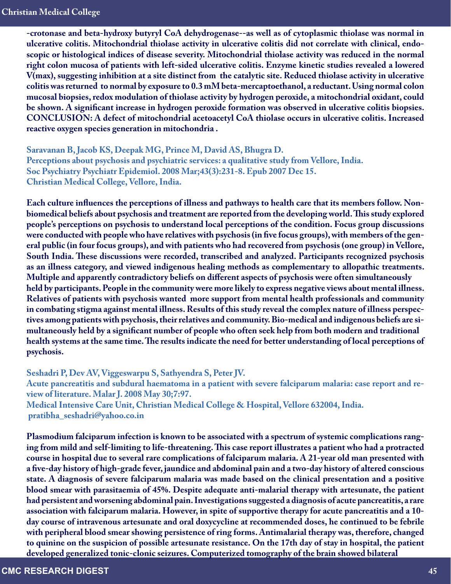**-crotonase and beta-hydroxy butyryl CoA dehydrogenase--as well as of cytoplasmic thiolase was normal in ulcerative colitis. Mitochondrial thiolase activity in ulcerative colitis did not correlate with clinical, endoscopic or histological indices of disease severity. Mitochondrial thiolase activity was reduced in the normal right colon mucosa of patients with left-sided ulcerative colitis. Enzyme kinetic studies revealed a lowered V(max), suggesting inhibition at a site distinct from the catalytic site. Reduced thiolase activity in ulcerative colitis was returned to normal by exposure to 0.3 mM beta-mercaptoethanol, a reductant. Using normal colon mucosal biopsies, redox modulation of thiolase activity by hydrogen peroxide, a mitochondrial oxidant, could be shown. A significant increase in hydrogen peroxide formation was observed in ulcerative colitis biopsies. CONCLUSION: A defect of mitochondrial acetoacetyl CoA thiolase occurs in ulcerative colitis. Increased reactive oxygen species generation in mitochondria .**

**Saravanan B, Jacob KS, Deepak MG, Prince M, David AS, Bhugra D. Perceptions about psychosis and psychiatric services: a qualitative study from Vellore, India. Soc Psychiatry Psychiatr Epidemiol. 2008 Mar;43(3):231-8. Epub 2007 Dec 15. Christian Medical College, Vellore, India.**

**Each culture influences the perceptions of illness and pathways to health care that its members follow. Nonbiomedical beliefs about psychosis and treatment are reported from the developing world. This study explored people's perceptions on psychosis to understand local perceptions of the condition. Focus group discussions were conducted with people who have relatives with psychosis (in five focus groups), with members of the general public (in four focus groups), and with patients who had recovered from psychosis (one group) in Vellore, South India. These discussions were recorded, transcribed and analyzed. Participants recognized psychosis as an illness category, and viewed indigenous healing methods as complementary to allopathic treatments. Multiple and apparently contradictory beliefs on different aspects of psychosis were often simultaneously held by participants. People in the community were more likely to express negative views about mental illness. Relatives of patients with psychosis wanted more support from mental health professionals and community in combating stigma against mental illness. Results of this study reveal the complex nature of illness perspectives among patients with psychosis, their relatives and community. Bio-medical and indigenous beliefs are simultaneously held by a significant number of people who often seek help from both modern and traditional health systems at the same time. The results indicate the need for better understanding of local perceptions of psychosis.**

**Seshadri P, Dev AV, Viggeswarpu S, Sathyendra S, Peter JV. Acute pancreatitis and subdural haematoma in a patient with severe falciparum malaria: case report and review of literature. Malar J. 2008 May 30;7:97. Medical Intensive Care Unit, Christian Medical College & Hospital, Vellore 632004, India. pratibha\_seshadri@yahoo.co.in**

**Plasmodium falciparum infection is known to be associated with a spectrum of systemic complications ranging from mild and self-limiting to life-threatening. This case report illustrates a patient who had a protracted course in hospital due to several rare complications of falciparum malaria. A 21-year old man presented with a five-day history of high-grade fever, jaundice and abdominal pain and a two-day history of altered conscious state. A diagnosis of severe falciparum malaria was made based on the clinical presentation and a positive blood smear with parasitaemia of 45%. Despite adequate anti-malarial therapy with artesunate, the patient had persistent and worsening abdominal pain. Investigations suggested a diagnosis of acute pancreatitis, a rare association with falciparum malaria. However, in spite of supportive therapy for acute pancreatitis and a 10 day course of intravenous artesunate and oral doxycycline at recommended doses, he continued to be febrile with peripheral blood smear showing persistence of ring forms. Antimalarial therapy was, therefore, changed to quinine on the suspicion of possible artesunate resistance. On the 17th day of stay in hospital, the patient developed generalized tonic-clonic seizures. Computerized tomography of the brain showed bilateral**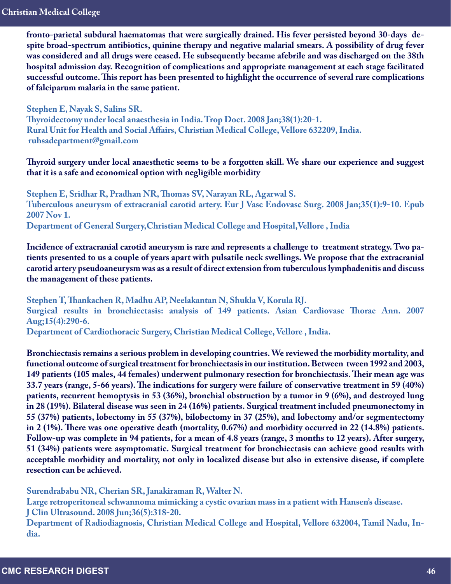**fronto-parietal subdural haematomas that were surgically drained. His fever persisted beyond 30-days despite broad-spectrum antibiotics, quinine therapy and negative malarial smears. A possibility of drug fever was considered and all drugs were ceased. He subsequently became afebrile and was discharged on the 38th hospital admission day. Recognition of complications and appropriate management at each stage facilitated successful outcome. This report has been presented to highlight the occurrence of several rare complications of falciparum malaria in the same patient.**

**Stephen E, Nayak S, Salins SR. Thyroidectomy under local anaesthesia in India. Trop Doct. 2008 Jan;38(1):20-1. Rural Unit for Health and Social Affairs, Christian Medical College, Vellore 632209, India. ruhsadepartment@gmail.com** 

#### **Thyroid surgery under local anaesthetic seems to be a forgotten skill. We share our experience and suggest that it is a safe and economical option with negligible morbidity**

**Stephen E, Sridhar R, Pradhan NR, Thomas SV, Narayan RL, Agarwal S. Tuberculous aneurysm of extracranial carotid artery. Eur J Vasc Endovasc Surg. 2008 Jan;35(1):9-10. Epub 2007 Nov 1. Department of General Surgery,Christian Medical College and Hospital,Vellore , India**

**Incidence of extracranial carotid aneurysm is rare and represents a challenge to treatment strategy. Two patients presented to us a couple of years apart with pulsatile neck swellings. We propose that the extracranial carotid artery pseudoaneurysm was as a result of direct extension from tuberculous lymphadenitis and discuss the management of these patients.**

**Stephen T, Thankachen R, Madhu AP, Neelakantan N, Shukla V, Korula RJ. Surgical results in bronchiectasis: analysis of 149 patients. Asian Cardiovasc Thorac Ann. 2007 Aug;15(4):290-6.**

**Department of Cardiothoracic Surgery, Christian Medical College, Vellore , India.** 

**Bronchiectasis remains a serious problem in developing countries. We reviewed the morbidity mortality, and functional outcome of surgical treatment for bronchiectasis in our institution. Between tween 1992 and 2003, 149 patients (105 males, 44 females) underwent pulmonary resection for bronchiectasis. Their mean age was 33.7 years (range, 5-66 years). The indications for surgery were failure of conservative treatment in 59 (40%) patients, recurrent hemoptysis in 53 (36%), bronchial obstruction by a tumor in 9 (6%), and destroyed lung in 28 (19%). Bilateral disease was seen in 24 (16%) patients. Surgical treatment included pneumonectomy in 55 (37%) patients, lobectomy in 55 (37%), bilobectomy in 37 (25%), and lobectomy and/or segmentectomy in 2 (1%). There was one operative death (mortality, 0.67%) and morbidity occurred in 22 (14.8%) patients. Follow-up was complete in 94 patients, for a mean of 4.8 years (range, 3 months to 12 years). After surgery, 51 (34%) patients were asymptomatic. Surgical treatment for bronchiectasis can achieve good results with acceptable morbidity and mortality, not only in localized disease but also in extensive disease, if complete resection can be achieved.**

**Surendrababu NR, Cherian SR, Janakiraman R, Walter N.**

**Large retroperitoneal schwannoma mimicking a cystic ovarian mass in a patient with Hansen's disease. J Clin Ultrasound. 2008 Jun;36(5):318-20.**

**Department of Radiodiagnosis, Christian Medical College and Hospital, Vellore 632004, Tamil Nadu, India.**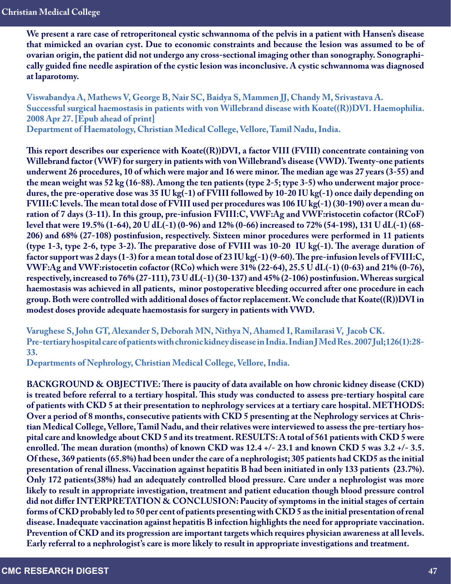**We present a rare case of retroperitoneal cystic schwannoma of the pelvis in a patient with Hansen's disease that mimicked an ovarian cyst. Due to economic constraints and because the lesion was assumed to be of ovarian origin, the patient did not undergo any cross-sectional imaging other than sonography. Sonographically guided fine needle aspiration of the cystic lesion was inconclusive. A cystic schwannoma was diagnosed at laparotomy.**

**Viswabandya A, Mathews V, George B, Nair SC, Baidya S, Mammen JJ, Chandy M, Srivastava A. Successful surgical haemostasis in patients with von Willebrand disease with Koate((R))DVI. Haemophilia. 2008 Apr 27. [Epub ahead of print]**

**Department of Haematology, Christian Medical College, Vellore, Tamil Nadu, India.**

**This report describes our experience with Koate((R))DVI, a factor VIII (FVIII) concentrate containing von Willebrand factor (VWF) for surgery in patients with von Willebrand's disease (VWD). Twenty-one patients underwent 26 procedures, 10 of which were major and 16 were minor. The median age was 27 years (3-55) and the mean weight was 52 kg (16-88). Among the ten patients (type 2-5; type 3-5) who underwent major procedures, the pre-operative dose was 35 IU kg(-1) of FVIII followed by 10-20 IU kg(-1) once daily depending on FVIII:C levels. The mean total dose of FVIII used per procedures was 106 IU kg(-1) (30-190) over a mean duration of 7 days (3-11). In this group, pre-infusion FVIII:C, VWF:Ag and VWF:ristocetin cofactor (RCoF) level that were 19.5% (1-64), 20 U dL(-1) (0-96) and 12% (0-66) increased to 72% (54-198), 131 U dL(-1) (68- 206) and 68% (27-108) postinfusion, respectively. Sixteen minor procedures were performed in 11 patients (type 1-3, type 2-6, type 3-2). The preparative dose of FVIII was 10-20 IU kg(-1). The average duration of factor support was 2 days (1-3) for a mean total dose of 23 IU kg(-1) (9-60). The pre-infusion levels of FVIII:C, VWF:Ag and VWF:ristocetin cofactor (RCo) which were 31% (22-64), 25.5 U dL(-1) (0-63) and 21% (0-76), respectively, increased to 76% (27-111), 73 U dL(-1) (30-137) and 45% (2-106) postinfusion. Whereas surgical haemostasis was achieved in all patients, minor postoperative bleeding occurred after one procedure in each group. Both were controlled with additional doses of factor replacement. We conclude that Koate((R))DVI in modest doses provide adequate haemostasis for surgery in patients with VWD.**

**Varughese S, John GT, Alexander S, Deborah MN, Nithya N, Ahamed I, Ramilarasi V, Jacob CK. Pre-tertiary hospital care of patients with chronic kidney disease in India. Indian J Med Res. 2007 Jul;126(1):28- 33.**

**Departments of Nephrology, Christian Medical College, Vellore, India.**

**BACKGROUND & OBJECTIVE: There is paucity of data available on how chronic kidney disease (CKD) is treated before referral to a tertiary hospital. This study was conducted to assess pre-tertiary hospital care of patients with CKD 5 at their presentation to nephrology services at a tertiary care hospital. METHODS: Over a period of 8 months, consecutive patients with CKD 5 presenting at the Nephrology services at Christian Medical College, Vellore, Tamil Nadu, and their relatives were interviewed to assess the pre-tertiary hospital care and knowledge about CKD 5 and its treatment. RESULTS: A total of 561 patients with CKD 5 were enrolled. The mean duration (months) of known CKD was 12.4 +/- 23.1 and known CKD 5 was 3.2 +/- 3.5. Of these, 369 patients (65.8%) had been under the care of a nephrologist; 305 patients had CKD5 as the initial presentation of renal illness. Vaccination against hepatitis B had been initiated in only 133 patients (23.7%). Only 172 patients(38%) had an adequately controlled blood pressure. Care under a nephrologist was more likely to result in appropriate investigation, treatment and patient education though blood pressure control did not differ INTERPRETATION & CONCLUSION: Paucity of symptoms in the initial stages of certain forms of CKD probably led to 50 per cent of patients presenting with CKD 5 as the initial presentation of renal disease. Inadequate vaccination against hepatitis B infection highlights the need for appropriate vaccination. Prevention of CKD and its progression are important targets which requires physician awareness at all levels. Early referral to a nephrologist's care is more likely to result in appropriate investigations and treatment.**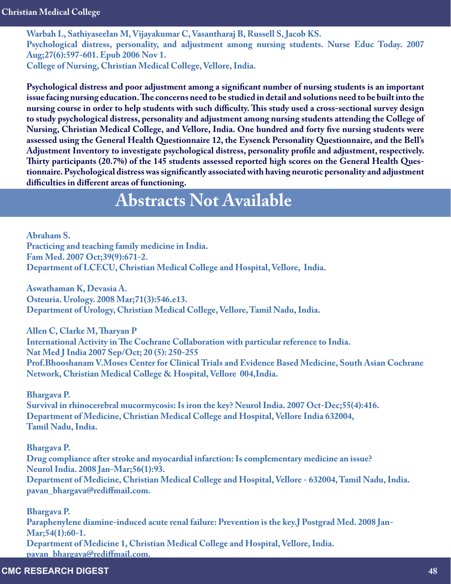**Warbah L, Sathiyaseelan M, Vijayakumar C, Vasantharaj B, Russell S, Jacob KS. Psychological distress, personality, and adjustment among nursing students. Nurse Educ Today. 2007 Aug;27(6):597-601. Epub 2006 Nov 1. College of Nursing, Christian Medical College, Vellore, India.**

**Psychological distress and poor adjustment among a significant number of nursing students is an important issue facing nursing education. The concerns need to be studied in detail and solutions need to be built into the nursing course in order to help students with such difficulty. This study used a cross-sectional survey design to study psychological distress, personality and adjustment among nursing students attending the College of Nursing, Christian Medical College, and Vellore, India. One hundred and forty five nursing students were assessed using the General Health Questionnaire 12, the Eysenck Personality Questionnaire, and the Bell's Adjustment Inventory to investigate psychological distress, personality profile and adjustment, respectively. Thirty participants (20.7%) of the 145 students assessed reported high scores on the General Health Questionnaire. Psychological distress was significantly associated with having neurotic personality and adjustment difficulties in different areas of functioning.**

### **Abstracts Not Available**

**Abraham S. Practicing and teaching family medicine in India. Fam Med. 2007 Oct;39(9):671-2. Department of LCECU, Christian Medical College and Hospital, Vellore, India.** 

**Aswathaman K, Devasia A. Osteuria. Urology. 2008 Mar;71(3):546.e13. Department of Urology, Christian Medical College, Vellore, Tamil Nadu, India.**

**Allen C, Clarke M, Tharyan P International Activity in The Cochrane Collaboration with particular reference to India. Nat Med J India 2007 Sep/Oct; 20 (5): 250-255 Prof.Bhooshanam V.Moses Center for Clinical Trials and Evidence Based Medicine, South Asian Cochrane Network, Christian Medical College & Hospital, Vellore 004,India.**

**Bhargava P. Survival in rhinocerebral mucormycosis: Is iron the key? Neurol India. 2007 Oct-Dec;55(4):416. Department of Medicine, Christian Medical College and Hospital, Vellore India 632004, Tamil Nadu, India.** 

**Bhargava P.**

**Drug compliance after stroke and myocardial infarction: Is complementary medicine an issue? Neurol India. 2008 Jan-Mar;56(1):93. Department of Medicine, Christian Medical College and Hospital, Vellore - 632004, Tamil Nadu, India. pavan\_bhargava@rediffmail.com.**

**Bhargava P. Paraphenylene diamine-induced acute renal failure: Prevention is the key.J Postgrad Med. 2008 Jan-Mar;54(1):60-1. Department of Medicine 1, Christian Medical College and Hospital, Vellore, India. pavan\_bhargava@rediffmail.com.**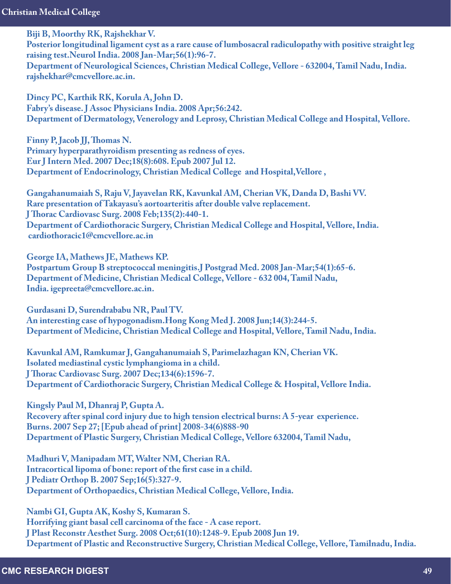**Biji B, Moorthy RK, Rajshekhar V.**

**Posterior longitudinal ligament cyst as a rare cause of lumbosacral radiculopathy with positive straight leg raising test.Neurol India. 2008 Jan-Mar;56(1):96-7.**

**Department of Neurological Sciences, Christian Medical College, Vellore - 632004, Tamil Nadu, India. rajshekhar@cmcvellore.ac.in.**

**Dincy PC, Karthik RK, Korula A, John D. Fabry's disease. J Assoc Physicians India. 2008 Apr;56:242. Department of Dermatology, Venerology and Leprosy, Christian Medical College and Hospital, Vellore.**

**Finny P, Jacob JJ, Thomas N. Primary hyperparathyroidism presenting as redness of eyes. Eur J Intern Med. 2007 Dec;18(8):608. Epub 2007 Jul 12. Department of Endocrinology, Christian Medical College and Hospital,Vellore ,** 

**Gangahanumaiah S, Raju V, Jayavelan RK, Kavunkal AM, Cherian VK, Danda D, Bashi VV. Rare presentation of Takayasu's aortoarteritis after double valve replacement. J Thorac Cardiovasc Surg. 2008 Feb;135(2):440-1. Department of Cardiothoracic Surgery, Christian Medical College and Hospital, Vellore, India. cardiothoracic1@cmcvellore.ac.in** 

**George IA, Mathews JE, Mathews KP. Postpartum Group B streptococcal meningitis.J Postgrad Med. 2008 Jan-Mar;54(1):65-6. Department of Medicine, Christian Medical College, Vellore - 632 004, Tamil Nadu, India. igepreeta@cmcvellore.ac.in.**

**Gurdasani D, Surendrababu NR, Paul TV. An interesting case of hypogonadism.Hong Kong Med J. 2008 Jun;14(3):244-5. Department of Medicine, Christian Medical College and Hospital, Vellore, Tamil Nadu, India.**

**Kavunkal AM, Ramkumar J, Gangahanumaiah S, Parimelazhagan KN, Cherian VK. Isolated mediastinal cystic lymphangioma in a child. J Thorac Cardiovasc Surg. 2007 Dec;134(6):1596-7. Department of Cardiothoracic Surgery, Christian Medical College & Hospital, Vellore India.**

**Kingsly Paul M, Dhanraj P, Gupta A. Recovery after spinal cord injury due to high tension electrical burns: A 5-year experience. Burns. 2007 Sep 27; [Epub ahead of print] 2008-34(6)888-90 Department of Plastic Surgery, Christian Medical College, Vellore 632004, Tamil Nadu,** 

**Madhuri V, Manipadam MT, Walter NM, Cherian RA. Intracortical lipoma of bone: report of the first case in a child. J Pediatr Orthop B. 2007 Sep;16(5):327-9. Department of Orthopaedics, Christian Medical College, Vellore, India.**

**Nambi GI, Gupta AK, Koshy S, Kumaran S. Horrifying giant basal cell carcinoma of the face - A case report. J Plast Reconstr Aesthet Surg. 2008 Oct;61(10):1248-9. Epub 2008 Jun 19. Department of Plastic and Reconstructive Surgery, Christian Medical College, Vellore, Tamilnadu, India.**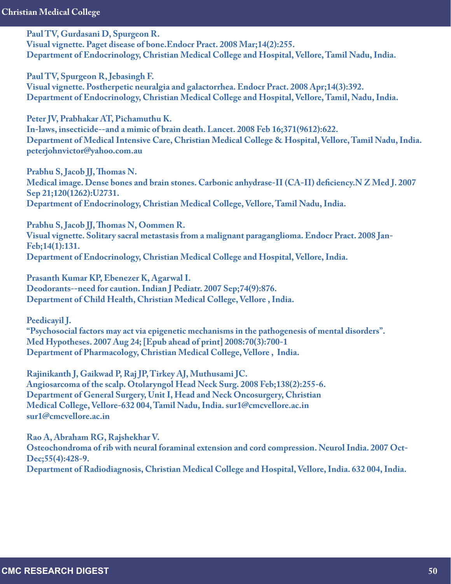**Paul TV, Gurdasani D, Spurgeon R.**

**Visual vignette. Paget disease of bone.Endocr Pract. 2008 Mar;14(2):255. Department of Endocrinology, Christian Medical College and Hospital, Vellore, Tamil Nadu, India.**

**Paul TV, Spurgeon R, Jebasingh F. Visual vignette. Postherpetic neuralgia and galactorrhea. Endocr Pract. 2008 Apr;14(3):392. Department of Endocrinology, Christian Medical College and Hospital, Vellore, Tamil, Nadu, India.**

**Peter JV, Prabhakar AT, Pichamuthu K. In-laws, insecticide--and a mimic of brain death. Lancet. 2008 Feb 16;371(9612):622. Department of Medical Intensive Care, Christian Medical College & Hospital, Vellore, Tamil Nadu, India. peterjohnvictor@yahoo.com.au**

**Prabhu S, Jacob JJ, Thomas N. Medical image. Dense bones and brain stones. Carbonic anhydrase-II (CA-II) deficiency.N Z Med J. 2007 Sep 21;120(1262):U2731. Department of Endocrinology, Christian Medical College, Vellore, Tamil Nadu, India.**

**Prabhu S, Jacob JJ, Thomas N, Oommen R. Visual vignette. Solitary sacral metastasis from a malignant paraganglioma. Endocr Pract. 2008 Jan-Feb;14(1):131. Department of Endocrinology, Christian Medical College and Hospital, Vellore, India.**

**Prasanth Kumar KP, Ebenezer K, Agarwal I. Deodorants--need for caution. Indian J Pediatr. 2007 Sep;74(9):876. Department of Child Health, Christian Medical College, Vellore , India.** 

**Peedicayil J. "Psychosocial factors may act via epigenetic mechanisms in the pathogenesis of mental disorders". Med Hypotheses. 2007 Aug 24; [Epub ahead of print] 2008:70(3):700-1 Department of Pharmacology, Christian Medical College, Vellore , India.**

**Rajinikanth J, Gaikwad P, Raj JP, Tirkey AJ, Muthusami JC. Angiosarcoma of the scalp. Otolaryngol Head Neck Surg. 2008 Feb;138(2):255-6. Department of General Surgery, Unit I, Head and Neck Oncosurgery, Christian Medical College, Vellore-632 004, Tamil Nadu, India. sur1@cmcvellore.ac.in sur1@cmcvellore.ac.in**

**Rao A, Abraham RG, Rajshekhar V. Osteochondroma of rib with neural foraminal extension and cord compression. Neurol India. 2007 Oct-Dec;55(4):428-9. Department of Radiodiagnosis, Christian Medical College and Hospital, Vellore, India. 632 004, India.**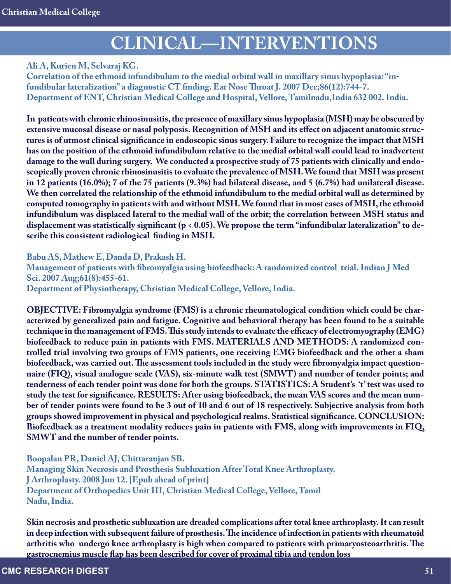### **CLINICAL—INTERVENTIONS**

#### **Ali A, Kurien M, Selvaraj KG.**

**Correlation of the ethmoid infundibulum to the medial orbital wall in maxillary sinus hypoplasia: "infundibular lateralization" a diagnostic CT finding. Ear Nose Throat J. 2007 Dec;86(12):744-7. Department of ENT, Christian Medical College and Hospital, Vellore, Tamilnadu,India 632 002. India.**

**In patients with chronic rhinosinusitis, the presence of maxillary sinus hypoplasia (MSH) may be obscured by extensive mucosal disease or nasal polyposis. Recognition of MSH and its effect on adjacent anatomic structures is of utmost clinical significance in endoscopic sinus surgery. Failure to recognize the impact that MSH has on the position of the ethmoid infundibulum relative to the medial orbital wall could lead to inadvertent damage to the wall during surgery. We conducted a prospective study of 75 patients with clinically and endoscopically proven chronic rhinosinusitis to evaluate the prevalence of MSH. We found that MSH was present in 12 patients (16.0%); 7 of the 75 patients (9.3%) had bilateral disease, and 5 (6.7%) had unilateral disease. We then correlated the relationship of the ethmoid infundibulum to the medial orbital wall as determined by computed tomography in patients with and without MSH. We found that in most cases of MSH, the ethmoid infundibulum was displaced lateral to the medial wall of the orbit; the correlation between MSH status and displacement was statistically significant (p < 0.05). We propose the term "infundibular lateralization" to describe this consistent radiological finding in MSH.**

**Babu AS, Mathew E, Danda D, Prakash H.**

**Management of patients with fibromyalgia using biofeedback: A randomized control trial. Indian J Med Sci. 2007 Aug;61(8):455-61. Department of Physiotherapy, Christian Medical College, Vellore, India.** 

**OBJECTIVE: Fibromyalgia syndrome (FMS) is a chronic rheumatological condition which could be characterized by generalized pain and fatigue. Cognitive and behavioral therapy has been found to be a suitable technique in the management of FMS. This study intends to evaluate the efficacy of electromyography (EMG) biofeedback to reduce pain in patients with FMS. MATERIALS AND METHODS: A randomized controlled trial involving two groups of FMS patients, one receiving EMG biofeedback and the other a sham biofeedback, was carried out. The assessment tools included in the study were fibromyalgia impact questionnaire (FIQ), visual analogue scale (VAS), six-minute walk test (SMWT) and number of tender points; and tenderness of each tender point was done for both the groups. STATISTICS: A Student's 't' test was used to study the test for significance. RESULTS: After using biofeedback, the mean VAS scores and the mean number of tender points were found to be 3 out of 10 and 6 out of 18 respectively. Subjective analysis from both groups showed improvement in physical and psychological realms. Statistical significance. CONCLUSION: Biofeedback as a treatment modality reduces pain in patients with FMS, along with improvements in FIQ, SMWT and the number of tender points.**

**Boopalan PR, Daniel AJ, Chittaranjan SB. Managing Skin Necrosis and Prosthesis Subluxation After Total Knee Arthroplasty. J Arthroplasty. 2008 Jun 12. [Epub ahead of print] Department of Orthopedics Unit III, Christian Medical College, Vellore, Tamil Nadu, India.**

**Skin necrosis and prosthetic subluxation are dreaded complications after total knee arthroplasty. It can result in deep infection with subsequent failure of prosthesis. The incidence of infection in patients with rheumatoid arthritis who undergo knee arthroplasty is high when compared to patients with primaryosteoarthritis. The gastrocnemius muscle flap has been described for cover of proximal tibia and tendon loss**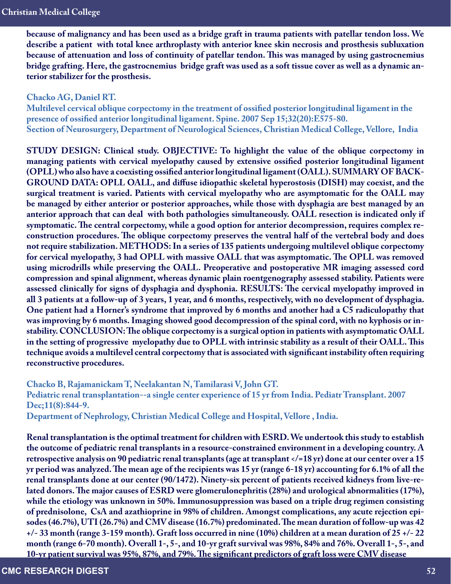**because of malignancy and has been used as a bridge graft in trauma patients with patellar tendon loss. We describe a patient with total knee arthroplasty with anterior knee skin necrosis and prosthesis subluxation because of attenuation and loss of continuity of patellar tendon. This was managed by using gastrocnemius bridge grafting. Here, the gastrocnemius bridge graft was used as a soft tissue cover as well as a dynamic anterior stabilizer for the prosthesis.**

**Chacko AG, Daniel RT.** 

**Multilevel cervical oblique corpectomy in the treatment of ossified posterior longitudinal ligament in the presence of ossified anterior longitudinal ligament. Spine. 2007 Sep 15;32(20):E575-80. Section of Neurosurgery, Department of Neurological Sciences, Christian Medical College, Vellore, India** 

**STUDY DESIGN: Clinical study. OBJECTIVE: To highlight the value of the oblique corpectomy in managing patients with cervical myelopathy caused by extensive ossified posterior longitudinal ligament (OPLL) who also have a coexisting ossified anterior longitudinal ligament (OALL). SUMMARY OF BACK-GROUND DATA: OPLL OALL, and diffuse idiopathic skeletal hyperostosis (DISH) may coexist, and the surgical treatment is varied. Patients with cervical myelopathy who are asymptomatic for the OALL may be managed by either anterior or posterior approaches, while those with dysphagia are best managed by an anterior approach that can deal with both pathologies simultaneously. OALL resection is indicated only if symptomatic. The central corpectomy, while a good option for anterior decompression, requires complex reconstruction procedures. The oblique corpectomy preserves the ventral half of the vertebral body and does not require stabilization. METHODS: In a series of 135 patients undergoing multilevel oblique corpectomy for cervical myelopathy, 3 had OPLL with massive OALL that was asymptomatic. The OPLL was removed using microdrills while preserving the OALL. Preoperative and postoperative MR imaging assessed cord compression and spinal alignment, whereas dynamic plain roentgenography assessed stability. Patients were assessed clinically for signs of dysphagia and dysphonia. RESULTS: The cervical myelopathy improved in all 3 patients at a follow-up of 3 years, 1 year, and 6 months, respectively, with no development of dysphagia. One patient had a Horner's syndrome that improved by 6 months and another had a C5 radiculopathy that was improving by 6 months. Imaging showed good decompression of the spinal cord, with no kyphosis or instability. CONCLUSION: The oblique corpectomy is a surgical option in patients with asymptomatic OALL in the setting of progressive myelopathy due to OPLL with intrinsic stability as a result of their OALL. This technique avoids a multilevel central corpectomy that is associated with significant instability often requiring reconstructive procedures.**

**Chacko B, Rajamanickam T, Neelakantan N, Tamilarasi V, John GT.**

**Pediatric renal transplantation--a single center experience of 15 yr from India. Pediatr Transplant. 2007 Dec;11(8):844-9.**

**Department of Nephrology, Christian Medical College and Hospital, Vellore , India.**

**Renal transplantation is the optimal treatment for children with ESRD. We undertook this study to establish the outcome of pediatric renal transplants in a resource-constrained environment in a developing country. A retrospective analysis on 90 pediatric renal transplants (age at transplant </=18 yr) done at our center over a 15 yr period was analyzed. The mean age of the recipients was 15 yr (range 6-18 yr) accounting for 6.1% of all the renal transplants done at our center (90/1472). Ninety-six percent of patients received kidneys from live-related donors. The major causes of ESRD were glomerulonephritis (28%) and urological abnormalities (17%), while the etiology was unknown in 50%. Immunosuppression was based on a triple drug regimen consisting of prednisolone, CsA and azathioprine in 98% of children. Amongst complications, any acute rejection episodes (46.7%), UTI (26.7%) and CMV disease (16.7%) predominated. The mean duration of follow-up was 42 +/- 33 month (range 3-159 month). Graft loss occurred in nine (10%) children at a mean duration of 25 +/- 22 month (range 6-70 month). Overall 1-, 5-, and 10-yr graft survival was 98%, 84% and 76%. Overall 1-, 5-, and 10-yr patient survival was 95%, 87%, and 79%. The significant predictors of graft loss were CMV disease**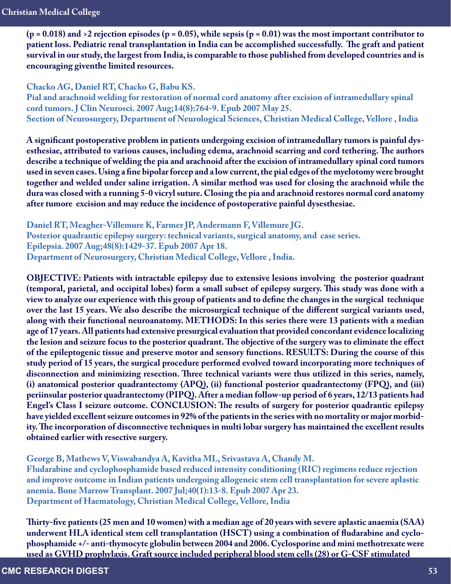$(p = 0.018)$  and  $>2$  rejection episodes  $(p = 0.05)$ , while sepsis  $(p = 0.01)$  was the most important contributor to **patient loss. Pediatric renal transplantation in India can be accomplished successfully. The graft and patient survival in our study, the largest from India, is comparable to those published from developed countries and is encouraging giventhe limited resources.** 

**Chacko AG, Daniel RT, Chacko G, Babu KS.**

**Pial and arachnoid welding for restoration of normal cord anatomy after excision of intramedullary spinal cord tumors. J Clin Neurosci. 2007 Aug;14(8):764-9. Epub 2007 May 25. Section of Neurosurgery, Department of Neurological Sciences, Christian Medical College, Vellore , India** 

**A significant postoperative problem in patients undergoing excision of intramedullary tumors is painful dysesthesiae, attributed to various causes, including edema, arachnoid scarring and cord tethering. The authors describe a technique of welding the pia and arachnoid after the excision of intramedullary spinal cord tumors used in seven cases. Using a fine bipolar forcep and a low current, the pial edges of the myelotomy were brought together and welded under saline irrigation. A similar method was used for closing the arachnoid while the dura was closed with a running 5-0 vicryl suture. Closing the pia and arachnoid restores normal cord anatomy after tumore excision and may reduce the incidence of postoperative painful dysesthesiae.** 

**Daniel RT, Meagher-Villemure K, Farmer JP, Andermann F, Villemure JG. Posterior quadrantic epilepsy surgery: technical variants, surgical anatomy, and case series. Epilepsia. 2007 Aug;48(8):1429-37. Epub 2007 Apr 18. Department of Neurosurgery, Christian Medical College, Vellore , India.** 

**OBJECTIVE: Patients with intractable epilepsy due to extensive lesions involving the posterior quadrant (temporal, parietal, and occipital lobes) form a small subset of epilepsy surgery. This study was done with a view to analyze our experience with this group of patients and to define the changes in the surgical technique over the last 15 years. We also describe the microsurgical technique of the different surgical variants used, along with their functional neuroanatomy. METHODS: In this series there were 13 patients with a median age of 17 years. All patients had extensive presurgical evaluation that provided concordant evidence localizing the lesion and seizure focus to the posterior quadrant. The objective of the surgery was to eliminate the effect of the epileptogenic tissue and preserve motor and sensory functions. RESULTS: During the course of this study period of 15 years, the surgical procedure performed evolved toward incorporating more techniques of disconnection and minimizing resection. Three technical variants were thus utilized in this series, namely, (i) anatomical posterior quadrantectomy (APQ), (ii) functional posterior quadrantectomy (FPQ), and (iii) periinsular posterior quadrantectomy (PIPQ). After a median follow-up period of 6 years, 12/13 patients had Engel's Class I seizure outcome. CONCLUSION: The results of surgery for posterior quadrantic epilepsy have yielded excellent seizure outcomes in 92% of the patients in the series with no mortality or major morbidity. The incorporation of disconnective techniques in multi lobar surgery has maintained the excellent results obtained earlier with resective surgery.**

**George B, Mathews V, Viswabandya A, Kavitha ML, Srivastava A, Chandy M. Fludarabine and cyclophosphamide based reduced intensity conditioning (RIC) regimens reduce rejection and improve outcome in Indian patients undergoing allogeneic stem cell transplantation for severe aplastic anemia. Bone Marrow Transplant. 2007 Jul;40(1):13-8. Epub 2007 Apr 23. Department of Haematology, Christian Medical College, Vellore, India** 

**Thirty-five patients (25 men and 10 women) with a median age of 20 years with severe aplastic anaemia (SAA) underwent HLA identical stem cell transplantation (HSCT) using a combination of fludarabine and cyclophosphamide +/- anti-thymocyte globulin between 2004 and 2006. Cyclosporine and mini methotrexate were used as GVHD prophylaxis. Graft source included peripheral blood stem cells (28) or G-CSF stimulated**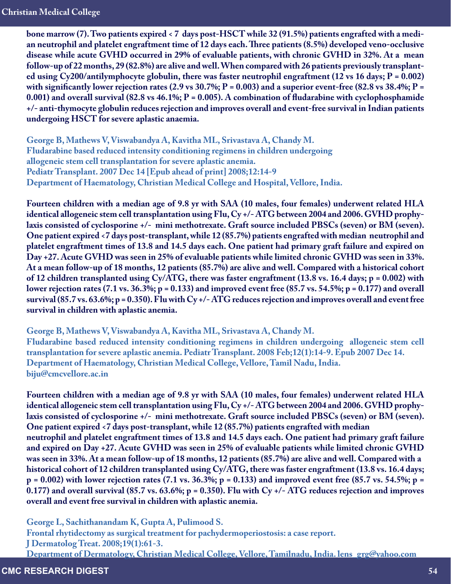**bone marrow (7). Two patients expired < 7 days post-HSCT while 32 (91.5%) patients engrafted with a median neutrophil and platelet engraftment time of 12 days each. Three patients (8.5%) developed veno-occlusive disease while acute GVHD occurred in 29% of evaluable patients, with chronic GVHD in 32%. At a mean follow-up of 22 months, 29 (82.8%) are alive and well. When compared with 26 patients previously transplanted using Cy200/antilymphocyte globulin, there was faster neutrophil engraftment (12 vs 16 days; P = 0.002) with significantly lower rejection rates (2.9 vs 30.7%; P = 0.003) and a superior event-free (82.8 vs 38.4%; P = 0.001) and overall survival (82.8 vs 46.1%; P = 0.005). A combination of fludarabine with cyclophosphamide +/- anti-thymocyte globulin reduces rejection and improves overall and event-free survival in Indian patients undergoing HSCT for severe aplastic anaemia.**

**George B, Mathews V, Viswabandya A, Kavitha ML, Srivastava A, Chandy M. Fludarabine based reduced intensity conditioning regimens in children undergoing allogeneic stem cell transplantation for severe aplastic anemia. Pediatr Transplant. 2007 Dec 14 [Epub ahead of print] 2008;12:14-9 Department of Haematology, Christian Medical College and Hospital, Vellore, India.** 

**Fourteen children with a median age of 9.8 yr with SAA (10 males, four females) underwent related HLA identical allogeneic stem cell transplantation using Flu, Cy +/- ATG between 2004 and 2006. GVHD prophylaxis consisted of cyclosporine +/- mini methotrexate. Graft source included PBSCs (seven) or BM (seven). One patient expired <7 days post-transplant, while 12 (85.7%) patients engrafted with median neutrophil and platelet engraftment times of 13.8 and 14.5 days each. One patient had primary graft failure and expired on Day +27. Acute GVHD was seen in 25% of evaluable patients while limited chronic GVHD was seen in 33%. At a mean follow-up of 18 months, 12 patients (85.7%) are alive and well. Compared with a historical cohort of 12 children transplanted using Cy/ATG, there was faster engraftment (13.8 vs. 16.4 days; p = 0.002) with lower rejection rates (7.1 vs. 36.3%; p = 0.133) and improved event free (85.7 vs. 54.5%; p = 0.177) and overall survival (85.7 vs. 63.6%; p = 0.350). Flu with Cy +/- ATG reduces rejection and improves overall and event free survival in children with aplastic anemia.**

**George B, Mathews V, Viswabandya A, Kavitha ML, Srivastava A, Chandy M. Fludarabine based reduced intensity conditioning regimens in children undergoing allogeneic stem cell transplantation for severe aplastic anemia. Pediatr Transplant. 2008 Feb;12(1):14-9. Epub 2007 Dec 14. Department of Haematology, Christian Medical College, Vellore, Tamil Nadu, India. biju@cmcvellore.ac.in** 

**Fourteen children with a median age of 9.8 yr with SAA (10 males, four females) underwent related HLA identical allogeneic stem cell transplantation using Flu, Cy +/- ATG between 2004 and 2006. GVHD prophylaxis consisted of cyclosporine +/- mini methotrexate. Graft source included PBSCs (seven) or BM (seven). One patient expired <7 days post-transplant, while 12 (85.7%) patients engrafted with median neutrophil and platelet engraftment times of 13.8 and 14.5 days each. One patient had primary graft failure and expired on Day +27. Acute GVHD was seen in 25% of evaluable patients while limited chronic GVHD was seen in 33%. At a mean follow-up of 18 months, 12 patients (85.7%) are alive and well. Compared with a historical cohort of 12 children transplanted using Cy/ATG, there was faster engraftment (13.8 vs. 16.4 days; p = 0.002) with lower rejection rates (7.1 vs. 36.3%; p = 0.133) and improved event free (85.7 vs. 54.5%; p = 0.177) and overall survival (85.7 vs. 63.6%; p = 0.350). Flu with Cy +/- ATG reduces rejection and improves overall and event free survival in children with aplastic anemia.**

**George L, Sachithanandam K, Gupta A, Pulimood S.**

**Frontal rhytidectomy as surgical treatment for pachydermoperiostosis: a case report.**

**J Dermatolog Treat. 2008;19(1):61-3.** 

**Department of Dermatology, Christian Medical College, Vellore, Tamilnadu, India. lens\_grg@yahoo.com**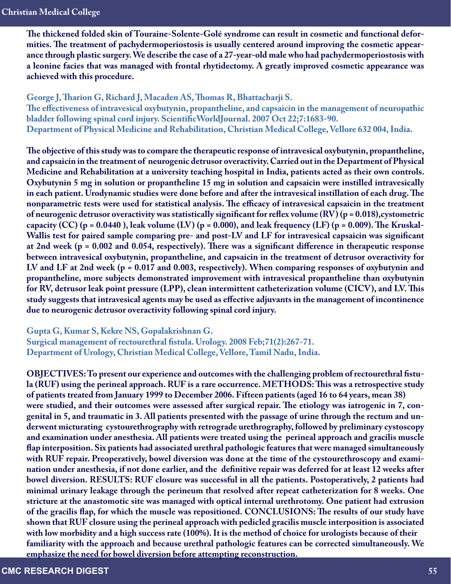**The thickened folded skin of Touraine-Solente-Golé syndrome can result in cosmetic and functional deformities. The treatment of pachydermoperiostosis is usually centered around improving the cosmetic appearance through plastic surgery. We describe the case of a 27-year-old male who had pachydermoperiostosis with a leonine facies that was managed with frontal rhytidectomy. A greatly improved cosmetic appearance was achieved with this procedure.**

**George J, Tharion G, Richard J, Macaden AS, Thomas R, Bhattacharji S. The effectiveness of intravesical oxybutynin, propantheline, and capsaicin in the management of neuropathic bladder following spinal cord injury. ScientificWorldJournal. 2007 Oct 22;7:1683-90. Department of Physical Medicine and Rehabilitation, Christian Medical College, Vellore 632 004, India.**

**The objective of this study was to compare the therapeutic response of intravesical oxybutynin, propantheline, and capsaicin in the treatment of neurogenic detrusor overactivity. Carried out in the Department of Physical Medicine and Rehabilitation at a university teaching hospital in India, patients acted as their own controls. Oxybutynin 5 mg in solution or propantheline 15 mg in solution and capsaicin were instilled intravesically in each patient. Urodynamic studies were done before and after the intravesical instillation of each drug. The nonparametric tests were used for statistical analysis. The efficacy of intravesical capsaicin in the treatment of neurogenic detrusor overactivity was statistically significant for reflex volume (RV) (p = 0.018),cystometric capacity (CC) (p = 0.0440 ), leak volume (LV) (p = 0.000), and leak frequency (LF) (p = 0.009). The Kruskal-Wallis test for paired sample comparing pre- and post-LV and LF for intravesical capsaicin was significant at 2nd week (p = 0.002 and 0.054, respectively). There was a significant difference in therapeutic response between intravesical oxybutynin, propantheline, and capsaicin in the treatment of detrusor overactivity for LV and LF at 2nd week (p = 0.017 and 0.003, respectively). When comparing responses of oxybutynin and propantheline, more subjects demonstrated improvement with intravesical propantheline than oxybutynin for RV, detrusor leak point pressure (LPP), clean intermittent catheterization volume (CICV), and LV. This study suggests that intravesical agents may be used as effective adjuvants in the management of incontinence due to neurogenic detrusor overactivity following spinal cord injury.**

**Gupta G, Kumar S, Kekre NS, Gopalakrishnan G. Surgical management of rectourethral fistula. Urology. 2008 Feb;71(2):267-71. Department of Urology, Christian Medical College, Vellore, Tamil Nadu, India.**

**OBJECTIVES: To present our experience and outcomes with the challenging problem of rectourethral fistula (RUF) using the perineal approach. RUF is a rare occurrence. METHODS: This was a retrospective study of patients treated from January 1999 to December 2006. Fifteen patients (aged 16 to 64 years, mean 38) were studied, and their outcomes were assessed after surgical repair. The etiology was iatrogenic in 7, congenital in 5, and traumatic in 3. All patients presented with the passage of urine through the rectum and underwent micturating cystourethrography with retrograde urethrography, followed by preliminary cystoscopy and examination under anesthesia. All patients were treated using the perineal approach and gracilis muscle flap interposition. Six patients had associated urethral pathologic features that were managed simultaneously with RUF repair. Preoperatively, bowel diversion was done at the time of the cystourethroscopy and examination under anesthesia, if not done earlier, and the definitive repair was deferred for at least 12 weeks after bowel diversion. RESULTS: RUF closure was successful in all the patients. Postoperatively, 2 patients had minimal urinary leakage through the perineum that resolved after repeat catheterization for 8 weeks. One stricture at the anastomotic site was managed with optical internal urethrotomy. One patient had extrusion of the gracilis flap, for which the muscle was repositioned. CONCLUSIONS: The results of our study have shown that RUF closure using the perineal approach with pedicled gracilis muscle interposition is associated with low morbidity and a high success rate (100%). It is the method of choice for urologists because of their familiarity with the approach and because urethral pathologic features can be corrected simultaneously. We emphasize the need for bowel diversion before attempting reconstruction.**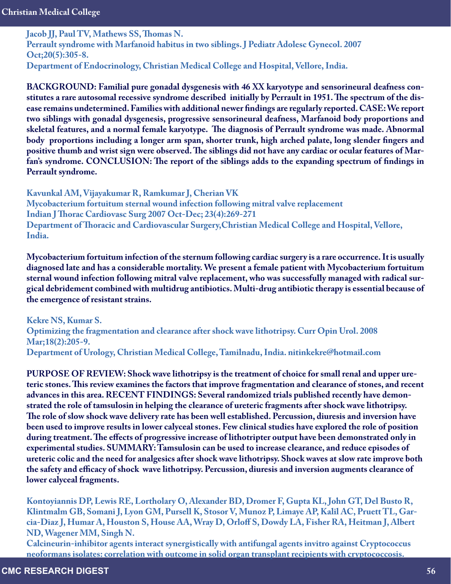**Jacob JJ, Paul TV, Mathews SS, Thomas N. Perrault syndrome with Marfanoid habitus in two siblings. J Pediatr Adolesc Gynecol. 2007 Oct;20(5):305-8. Department of Endocrinology, Christian Medical College and Hospital, Vellore, India.**

**BACKGROUND: Familial pure gonadal dysgenesis with 46 XX karyotype and sensorineural deafness constitutes a rare autosomal recessive syndrome described initially by Perrault in 1951. The spectrum of the disease remains undetermined. Families with additional newer findings are regularly reported. CASE: We report two siblings with gonadal dysgenesis, progressive sensorineural deafness, Marfanoid body proportions and skeletal features, and a normal female karyotype. The diagnosis of Perrault syndrome was made. Abnormal body proportions including a longer arm span, shorter trunk, high arched palate, long slender fingers and positive thumb and wrist sign were observed. The siblings did not have any cardiac or ocular features of Marfan's syndrome. CONCLUSION: The report of the siblings adds to the expanding spectrum of findings in Perrault syndrome.** 

**Kavunkal AM, Vijayakumar R, Ramkumar J, Cherian VK Mycobacterium fortuitum sternal wound infection following mitral valve replacement Indian J Thorac Cardiovasc Surg 2007 Oct-Dec; 23(4):269-271 Department of Thoracic and Cardiovascular Surgery,Christian Medical College and Hospital, Vellore, India.**

**Mycobacterium fortuitum infection of the sternum following cardiac surgery is a rare occurrence. It is usually diagnosed late and has a considerable mortality. We present a female patient with Mycobacterium fortuitum sternal wound infection following mitral valve replacement, who was successfully managed with radical surgical debridement combined with multidrug antibiotics. Multi-drug antibiotic therapy is essential because of the emergence of resistant strains.**

**Kekre NS, Kumar S. Optimizing the fragmentation and clearance after shock wave lithotripsy. Curr Opin Urol. 2008 Mar;18(2):205-9. Department of Urology, Christian Medical College, Tamilnadu, India. nitinkekre@hotmail.com** 

**PURPOSE OF REVIEW: Shock wave lithotripsy is the treatment of choice for small renal and upper ureteric stones. This review examines the factors that improve fragmentation and clearance of stones, and recent advances in this area. RECENT FINDINGS: Several randomized trials published recently have demonstrated the role of tamsulosin in helping the clearance of ureteric fragments after shock wave lithotripsy. The role of slow shock wave delivery rate has been well established. Percussion, diuresis and inversion have been used to improve results in lower calyceal stones. Few clinical studies have explored the role of position during treatment. The effects of progressive increase of lithotripter output have been demonstrated only in experimental studies. SUMMARY: Tamsulosin can be used to increase clearance, and reduce episodes of ureteric colic and the need for analgesics after shock wave lithotripsy. Shock waves at slow rate improve both the safety and efficacy of shock wave lithotripsy. Percussion, diuresis and inversion augments clearance of lower calyceal fragments.**

**Kontoyiannis DP, Lewis RE, Lortholary O, Alexander BD, Dromer F, Gupta KL, John GT, Del Busto R, Klintmalm GB, Somani J, Lyon GM, Pursell K, Stosor V, Munoz P, Limaye AP, Kalil AC, Pruett TL, Garcia-Diaz J, Humar A, Houston S, House AA, Wray D, Orloff S, Dowdy LA, Fisher RA, Heitman J, Albert ND, Wagener MM, Singh N.**

**Calcineurin-inhibitor agents interact synergistically with antifungal agents invitro against Cryptococcus neoformans isolates: correlation with outcome in solid organ transplant recipients with cryptococcosis.**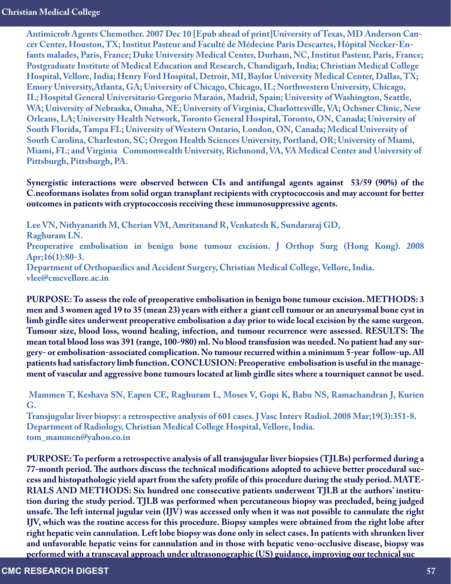**Antimicrob Agents Chemother. 2007 Dec 10 [Epub ahead of print]University of Texas, MD Anderson Cancer Center, Houston, TX; Institut Pasteur and Faculté de Médecine Paris Descartes, Hôpital Necker-Enfants malades, Paris, France; Duke University Medical Center, Durham, NC, Institut Pasteur, Paris, France; Postgraduate Institute of Medical Education and Research, Chandigarh, India; Christian Medical College Hospital, Vellore, India; Henry Ford Hospital, Detroit, MI, Baylor University Medical Center, Dallas, TX; Emory University,Atlanta, GA; University of Chicago, Chicago, IL; Northwestern University, Chicago, IL; Hospital General Universitario Gregorio Maraón, Madrid, Spain; University of Washington, Seattle, WA; University of Nebraska, Omaha, NE; University of Virginia, Charlottesville, VA; Ochsner Clinic, New Orleans, LA; University Health Network, Toronto General Hospital, Toronto, ON, Canada; University of South Florida, Tampa FL; University of Western Ontario, London, ON, Canada; Medical University of South Carolina, Charleston, SC; Oregon Health Sciences University, Portland, OR; University of Miami, Miami, FL; and Virginia Commonwealth University, Richmond, VA, VA Medical Center and University of Pittsburgh, Pittsburgh, PA.**

**Synergistic interactions were observed between CIs and antifungal agents against 53/59 (90%) of the C.neoformans isolates from solid organ transplant recipients with cryptococcosis and may account for better outcomes in patients with cryptococcosis receiving these immunosuppressive agents.** 

**Lee VN, Nithyananth M, Cherian VM, Amritanand R, Venkatesh K, Sundararaj GD,**

**Raghuram LN.**

**Preoperative embolisation in benign bone tumour excision. J Orthop Surg (Hong Kong). 2008 Apr;16(1):80-3.**

**Department of Orthopaedics and Accident Surgery, Christian Medical College, Vellore, India. vlee@cmcvellore.ac.in**

**PURPOSE: To assess the role of preoperative embolisation in benign bone tumour excision. METHODS: 3 men and 3 women aged 19 to 35 (mean 23) years with either a giant cell tumour or an aneurysmal bone cyst in limb girdle sites underwent preoperative embolisation a day prior to wide local excision by the same surgeon. Tumour size, blood loss, wound healing, infection, and tumour recurrence were assessed. RESULTS: The mean total blood loss was 391 (range, 100-980) ml. No blood transfusion was needed. No patient had any surgery- or embolisation-associated complication. No tumour recurred within a minimum 5-year follow-up. All patients had satisfactory limb function. CONCLUSION: Preoperative embolisation is useful in the management of vascular and aggressive bone tumours located at limb girdle sites where a tourniquet cannot be used.**

 **Mammen T, Keshava SN, Eapen CE, Raghuram L, Moses V, Gopi K, Babu NS, Ramachandran J, Kurien G.**

**Transjugular liver biopsy: a retrospective analysis of 601 cases. J Vasc Interv Radiol. 2008 Mar;19(3):351-8. Department of Radiology, Christian Medical College Hospital, Vellore, India. tom\_mammen@yahoo.co.in** 

**PURPOSE: To perform a retrospective analysis of all transjugular liver biopsies (TJLBs) performed during a 77-month period. The authors discuss the technical modifications adopted to achieve better procedural success and histopathologic yield apart from the safety profile of this procedure during the study period. MATE-RIALS AND METHODS: Six hundred one consecutive patients underwent TJLB at the authors' institution during the study period. TJLB was performed when percutaneous biopsy was precluded, being judged unsafe. The left internal jugular vein (IJV) was accessed only when it was not possible to cannulate the right IJV, which was the routine access for this procedure. Biopsy samples were obtained from the right lobe after right hepatic vein cannulation. Left lobe biopsy was done only in select cases. In patients with shrunken liver and unfavorable hepatic veins for cannulation and in those with hepatic veno-occlusive disease, biopsy was performed with a transcaval approach under ultrasonographic (US) guidance, improving our technical suc**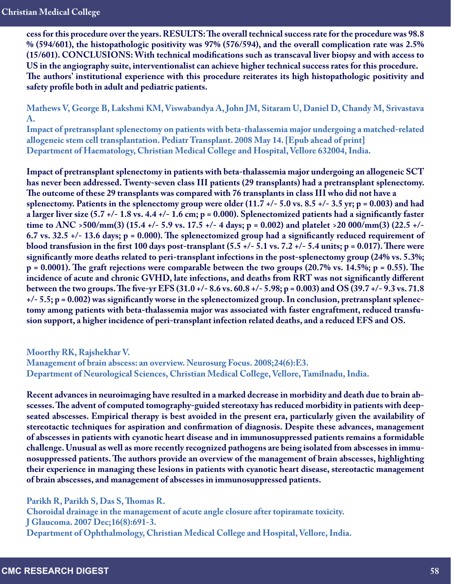**cess for this procedure over the years. RESULTS: The overall technical success rate for the procedure was 98.8 % (594/601), the histopathologic positivity was 97% (576/594), and the overall complication rate was 2.5% (15/601). CONCLUSIONS: With technical modifications such as transcaval liver biopsy and with access to US in the angiography suite, interventionalist can achieve higher technical success rates for this procedure. The authors' institutional experience with this procedure reiterates its high histopathologic positivity and safety profile both in adult and pediatric patients.**

**Mathews V, George B, Lakshmi KM, Viswabandya A, John JM, Sitaram U, Daniel D, Chandy M, Srivastava A.**

**Impact of pretransplant splenectomy on patients with beta-thalassemia major undergoing a matched-related allogeneic stem cell transplantation. Pediatr Transplant. 2008 May 14. [Epub ahead of print] Department of Haematology, Christian Medical College and Hospital, Vellore 632004, India.**

**Impact of pretransplant splenectomy in patients with beta-thalassemia major undergoing an allogeneic SCT has never been addressed. Twenty-seven class III patients (29 transplants) had a pretransplant splenectomy. The outcome of these 29 transplants was compared with 76 transplants in class III who did not have a splenectomy. Patients in the splenectomy group were older (11.7 +/- 5.0 vs. 8.5 +/- 3.5 yr; p = 0.003) and had a larger liver size (5.7 +/- 1.8 vs. 4.4 +/- 1.6 cm; p = 0.000). Splenectomized patients had a significantly faster time to ANC >500/mm(3) (15.4 +/- 5.9 vs. 17.5 +/- 4 days; p = 0.002) and platelet >20 000/mm(3) (22.5 +/- 6.7 vs. 32.5 +/- 13.6 days; p = 0.000). The splenectomized group had a significantly reduced requirement of blood transfusion in the first 100 days post-transplant (5.5 +/- 5.1 vs. 7.2 +/- 5.4 units; p = 0.017). There were significantly more deaths related to peri-transplant infections in the post-splenectomy group (24% vs. 5.3%; p = 0.0001). The graft rejections were comparable between the two groups (20.7% vs. 14.5%; p = 0.55). The incidence of acute and chronic GVHD, late infections, and deaths from RRT was not significantly different between the two groups. The five-yr EFS (31.0 +/- 8.6 vs. 60.8 +/- 5.98; p = 0.003) and OS (39.7 +/- 9.3 vs. 71.8 +/- 5.5; p = 0.002) was significantly worse in the splenectomized group. In conclusion, pretransplant splenectomy among patients with beta-thalassemia major was associated with faster engraftment, reduced transfusion support, a higher incidence of peri-transplant infection related deaths, and a reduced EFS and OS.**

**Moorthy RK, Rajshekhar V. Management of brain abscess: an overview. Neurosurg Focus. 2008;24(6):E3. Department of Neurological Sciences, Christian Medical College, Vellore, Tamilnadu, India.**

**Recent advances in neuroimaging have resulted in a marked decrease in morbidity and death due to brain abscesses. The advent of computed tomography-guided stereotaxy has reduced morbidity in patients with deepseated abscesses. Empirical therapy is best avoided in the present era, particularly given the availability of stereotactic techniques for aspiration and confirmation of diagnosis. Despite these advances, management of abscesses in patients with cyanotic heart disease and in immunosuppressed patients remains a formidable challenge. Unusual as well as more recently recognized pathogens are being isolated from abscesses in immunosuppressed patients. The authors provide an overview of the management of brain abscesses, highlighting their experience in managing these lesions in patients with cyanotic heart disease, stereotactic management of brain abscesses, and management of abscesses in immunosuppressed patients.**

**Parikh R, Parikh S, Das S, Thomas R. Choroidal drainage in the management of acute angle closure after topiramate toxicity. J Glaucoma. 2007 Dec;16(8):691-3. Department of Ophthalmology, Christian Medical College and Hospital, Vellore, India.**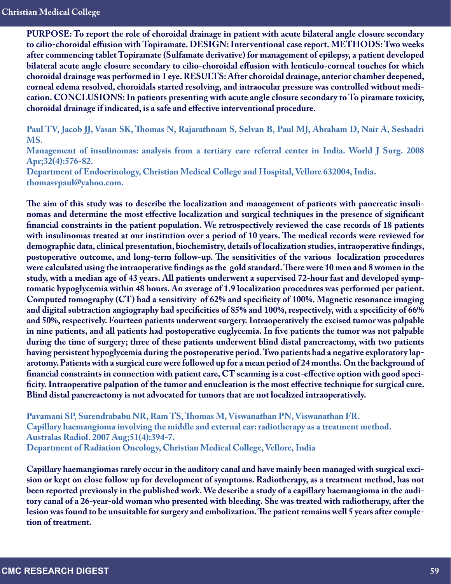**PURPOSE: To report the role of choroidal drainage in patient with acute bilateral angle closure secondary to cilio-choroidal effusion with Topiramate. DESIGN: Interventional case report. METHODS: Two weeks after commencing tablet Topiramate (Sulfamate derivative) for management of epilepsy, a patient developed bilateral acute angle closure secondary to cilio-choroidal effusion with lenticulo-corneal touches for which choroidal drainage was performed in 1 eye. RESULTS: After choroidal drainage, anterior chamber deepened, corneal edema resolved, choroidals started resolving, and intraocular pressure was controlled without medication. CONCLUSIONS: In patients presenting with acute angle closure secondary to To piramate toxicity, choroidal drainage if indicated, is a safe and effective interventional procedure.**

**Paul TV, Jacob JJ, Vasan SK, Thomas N, Rajarathnam S, Selvan B, Paul MJ, Abraham D, Nair A, Seshadri MS.**

**Management of insulinomas: analysis from a tertiary care referral center in India. World J Surg. 2008 Apr;32(4):576-82.**

**Department of Endocrinology, Christian Medical College and Hospital, Vellore 632004, India. thomasvpaul@yahoo.com.**

**The aim of this study was to describe the localization and management of patients with pancreatic insulinomas and determine the most effective localization and surgical techniques in the presence of significant financial constraints in the patient population. We retrospectively reviewed the case records of 18 patients with insulinomas treated at our institution over a period of 10 years. The medical records were reviewed for demographic data, clinical presentation, biochemistry, details of localization studies, intraoperative findings, postoperative outcome, and long-term follow-up. The sensitivities of the various localization procedures were calculated using the intraoperative findings as the gold standard. There were 10 men and 8 women in the study, with a median age of 43 years. All patients underwent a supervised 72-hour fast and developed symptomatic hypoglycemia within 48 hours. An average of 1.9 localization procedures was performed per patient. Computed tomography (CT) had a sensitivity of 62% and specificity of 100%. Magnetic resonance imaging and digital subtraction angiography had specificities of 85% and 100%, respectively, with a specificity of 66% and 50%, respectively. Fourteen patients underwent surgery. Intraoperatively the excised tumor was palpable in nine patients, and all patients had postoperative euglycemia. In five patients the tumor was not palpable during the time of surgery; three of these patients underwent blind distal pancreactomy, with two patients having persistent hypoglycemia during the postoperative period. Two patients had a negative exploratory laparotomy. Patients with a surgical cure were followed up for a mean period of 24 months. On the background of financial constraints in connection with patient care, CT scanning is a cost-effective option with good specificity. Intraoperative palpation of the tumor and enucleation is the most effective technique for surgical cure. Blind distal pancreactomy is not advocated for tumors that are not localized intraoperatively.**

**Pavamani SP, Surendrababu NR, Ram TS, Thomas M, Viswanathan PN, Viswanathan FR. Capillary haemangioma involving the middle and external ear: radiotherapy as a treatment method. Australas Radiol. 2007 Aug;51(4):394-7. Department of Radiation Oncology, Christian Medical College, Vellore, India** 

**Capillary haemangiomas rarely occur in the auditory canal and have mainly been managed with surgical excision or kept on close follow up for development of symptoms. Radiotherapy, as a treatment method, has not been reported previously in the published work. We describe a study of a capillary haemangioma in the auditory canal of a 26-year-old woman who presented with bleeding. She was treated with radiotherapy, after the lesion was found to be unsuitable for surgery and embolization. The patient remains well 5 years after completion of treatment.**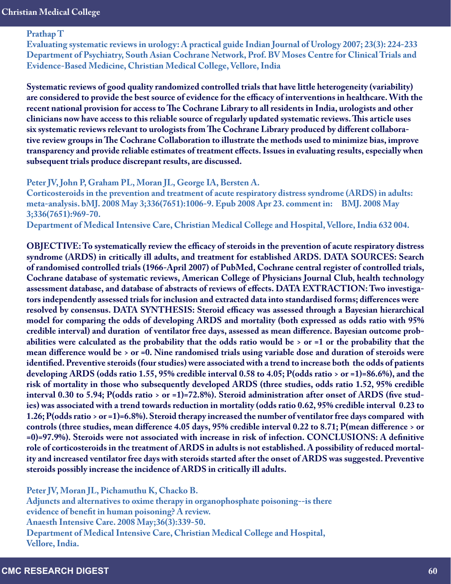#### **Prathap T**

**Evaluating systematic reviews in urology: A practical guide Indian Journal of Urology 2007; 23(3): 224-233 Department of Psychiatry, South Asian Cochrane Network, Prof. BV Moses Centre for Clinical Trials and Evidence-Based Medicine, Christian Medical College, Vellore, India**

**Systematic reviews of good quality randomized controlled trials that have little heterogeneity (variability) are considered to provide the best source of evidence for the efficacy of interventions in healthcare. With the recent national provision for access to The Cochrane Library to all residents in India, urologists and other clinicians now have access to this reliable source of regularly updated systematic reviews. This article uses six systematic reviews relevant to urologists from The Cochrane Library produced by different collaborative review groups in The Cochrane Collaboration to illustrate the methods used to minimize bias, improve transparency and provide reliable estimates of treatment effects. Issues in evaluating results, especially when subsequent trials produce discrepant results, are discussed.**

#### **Peter JV, John P, Graham PL, Moran JL, George IA, Bersten A.**

**Corticosteroids in the prevention and treatment of acute respiratory distress syndrome (ARDS) in adults: meta-analysis. bMJ. 2008 May 3;336(7651):1006-9. Epub 2008 Apr 23. comment in: BMJ. 2008 May 3;336(7651):969-70.**

**Department of Medical Intensive Care, Christian Medical College and Hospital, Vellore, India 632 004.**

**OBJECTIVE: To systematically review the efficacy of steroids in the prevention of acute respiratory distress syndrome (ARDS) in critically ill adults, and treatment for established ARDS. DATA SOURCES: Search of randomised controlled trials (1966-April 2007) of PubMed, Cochrane central register of controlled trials, Cochrane database of systematic reviews, American College of Physicians Journal Club, health technology assessment database, and database of abstracts of reviews of effects. DATA EXTRACTION: Two investigators independently assessed trials for inclusion and extracted data into standardised forms; differences were resolved by consensus. DATA SYNTHESIS: Steroid efficacy was assessed through a Bayesian hierarchical model for comparing the odds of developing ARDS and mortality (both expressed as odds ratio with 95% credible interval) and duration of ventilator free days, assessed as mean difference. Bayesian outcome probabilities were calculated as the probability that the odds ratio would be > or =1 or the probability that the mean difference would be > or =0. Nine randomised trials using variable dose and duration of steroids were identified. Preventive steroids (four studies) were associated with a trend to increase both the odds of patients developing ARDS (odds ratio 1.55, 95% credible interval 0.58 to 4.05; P(odds ratio > or =1)=86.6%), and the risk of mortality in those who subsequently developed ARDS (three studies, odds ratio 1.52, 95% credible interval 0.30 to 5.94; P(odds ratio > or =1)=72.8%). Steroid administration after onset of ARDS (five studies) was associated with a trend towards reduction in mortality (odds ratio 0.62, 95% credible interval 0.23 to 1.26; P(odds ratio > or =1)=6.8%). Steroid therapy increased the number of ventilator free days compared with controls (three studies, mean difference 4.05 days, 95% credible interval 0.22 to 8.71; P(mean difference > or =0)=97.9%). Steroids were not associated with increase in risk of infection. CONCLUSIONS: A definitive role of corticosteroids in the treatment of ARDS in adults is not established. A possibility of reduced mortality and increased ventilator free days with steroids started after the onset of ARDS was suggested. Preventive steroids possibly increase the incidence of ARDS in critically ill adults.**

**Peter JV, Moran JL, Pichamuthu K, Chacko B.**

**Adjuncts and alternatives to oxime therapy in organophosphate poisoning--is there evidence of benefit in human poisoning? A review.**

**Anaesth Intensive Care. 2008 May;36(3):339-50.**

**Department of Medical Intensive Care, Christian Medical College and Hospital, Vellore, India.**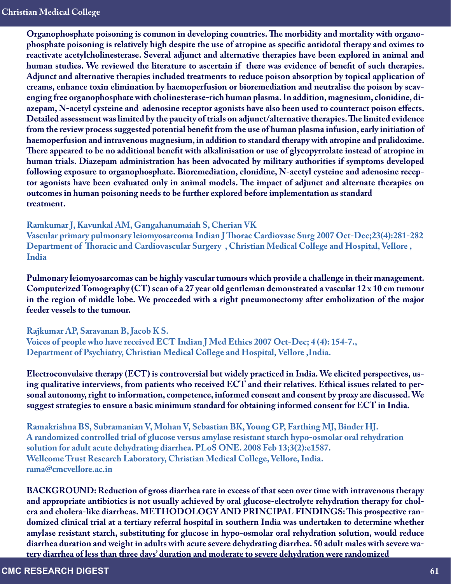**Organophosphate poisoning is common in developing countries. The morbidity and mortality with organophosphate poisoning is relatively high despite the use of atropine as specific antidotal therapy and oximes to reactivate acetylcholinesterase. Several adjunct and alternative therapies have been explored in animal and human studies. We reviewed the literature to ascertain if there was evidence of benefit of such therapies. Adjunct and alternative therapies included treatments to reduce poison absorption by topical application of creams, enhance toxin elimination by haemoperfusion or bioremediation and neutralise the poison by scavenging free organophosphate with cholinesterase-rich human plasma. In addition, magnesium, clonidine, diazepam, N-acetyl cysteine and adenosine receptor agonists have also been used to counteract poison effects. Detailed assessment was limited by the paucity of trials on adjunct/alternative therapies. The limited evidence from the review process suggested potential benefit from the use of human plasma infusion, early initiation of haemoperfusion and intravenous magnesium, in addition to standard therapy with atropine and pralidoxime. There appeared to be no additional benefit with alkalinisation or use of glycopyrrolate instead of atropine in human trials. Diazepam administration has been advocated by military authorities if symptoms developed following exposure to organophosphate. Bioremediation, clonidine, N-acetyl cysteine and adenosine receptor agonists have been evaluated only in animal models. The impact of adjunct and alternate therapies on outcomes in human poisoning needs to be further explored before implementation as standard treatment.**

**Ramkumar J, Kavunkal AM, Gangahanumaiah S, Cherian VK**

**Vascular primary pulmonary leiomyosarcoma Indian J Thorac Cardiovasc Surg 2007 Oct-Dec;23(4):281-282 Department of Thoracic and Cardiovascular Surgery , Christian Medical College and Hospital, Vellore , India**

**Pulmonary leiomyosarcomas can be highly vascular tumours which provide a challenge in their management. Computerized Tomography (CT) scan of a 27 year old gentleman demonstrated a vascular 12 x 10 cm tumour in the region of middle lobe. We proceeded with a right pneumonectomy after embolization of the major feeder vessels to the tumour.** 

**Rajkumar AP, Saravanan B, Jacob K S. Voices of people who have received ECT Indian J Med Ethics 2007 Oct-Dec; 4 (4): 154-7., Department of Psychiatry, Christian Medical College and Hospital, Vellore ,India.**

**Electroconvulsive therapy (ECT) is controversial but widely practiced in India. We elicited perspectives, using qualitative interviews, from patients who received ECT and their relatives. Ethical issues related to personal autonomy, right to information, competence, informed consent and consent by proxy are discussed. We suggest strategies to ensure a basic minimum standard for obtaining informed consent for ECT in India.**

**Ramakrishna BS, Subramanian V, Mohan V, Sebastian BK, Young GP, Farthing MJ, Binder HJ. A randomized controlled trial of glucose versus amylase resistant starch hypo-osmolar oral rehydration solution for adult acute dehydrating diarrhea. PLoS ONE. 2008 Feb 13;3(2):e1587. Wellcome Trust Research Laboratory, Christian Medical College, Vellore, India. rama@cmcvellore.ac.in**

**BACKGROUND: Reduction of gross diarrhea rate in excess of that seen over time with intravenous therapy and appropriate antibiotics is not usually achieved by oral glucose-electrolyte rehydration therapy for cholera and cholera-like diarrheas. METHODOLOGY AND PRINCIPAL FINDINGS: This prospective randomized clinical trial at a tertiary referral hospital in southern India was undertaken to determine whether amylase resistant starch, substituting for glucose in hypo-osmolar oral rehydration solution, would reduce diarrhea duration and weight in adults with acute severe dehydrating diarrhea. 50 adult males with severe watery diarrhea of less than three days' duration and moderate to severe dehydration were randomized**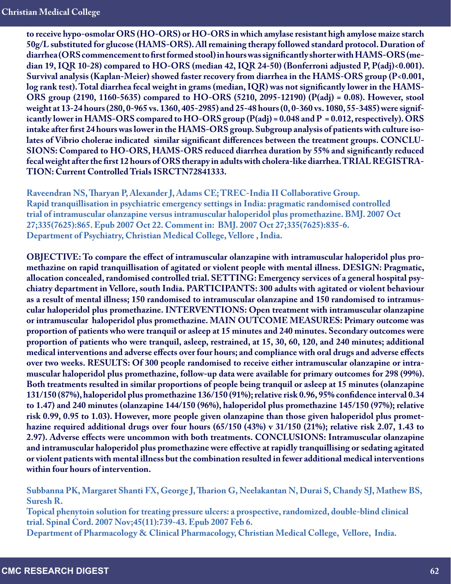**to receive hypo-osmolar ORS (HO-ORS) or HO-ORS in which amylase resistant high amylose maize starch 50g/L substituted for glucose (HAMS-ORS). All remaining therapy followed standard protocol. Duration of diarrhea (ORS commencement to first formed stool) in hours was significantly shorter with HAMS-ORS (median 19, IQR 10-28) compared to HO-ORS (median 42, IQR 24-50) (Bonferroni adjusted P, P(adj)<0.001). Survival analysis (Kaplan-Meier) showed faster recovery from diarrhea in the HAMS-ORS group (P<0.001, log rank test). Total diarrhea fecal weight in grams (median, IQR) was not significantly lower in the HAMS-ORS group (2190, 1160-5635) compared to HO-ORS (5210, 2095-12190) (P(adj) = 0.08). However, stool weight at 13-24 hours (280, 0-965 vs. 1360, 405-2985) and 25-48 hours (0, 0-360 vs. 1080, 55-3485) were significantly lower in HAMS-ORS compared to HO-ORS group (P(adj) = 0.048 and P = 0.012, respectively). ORS intake after first 24 hours was lower in the HAMS-ORS group. Subgroup analysis of patients with culture isolates of Vibrio cholerae indicated similar significant differences between the treatment groups. CONCLU-SIONS: Compared to HO-ORS, HAMS-ORS reduced diarrhea duration by 55% and significantly reduced fecal weight after the first 12 hours of ORS therapy in adults with cholera-like diarrhea. TRIAL REGISTRA-TION: Current Controlled Trials ISRCTN72841333.**

**Raveendran NS, Tharyan P, Alexander J, Adams CE; TREC-India II Collaborative Group. Rapid tranquillisation in psychiatric emergency settings in India: pragmatic randomised controlled trial of intramuscular olanzapine versus intramuscular haloperidol plus promethazine. BMJ. 2007 Oct 27;335(7625):865. Epub 2007 Oct 22. Comment in: BMJ. 2007 Oct 27;335(7625):835-6. Department of Psychiatry, Christian Medical College, Vellore , India.**

**OBJECTIVE: To compare the effect of intramuscular olanzapine with intramuscular haloperidol plus promethazine on rapid tranquillisation of agitated or violent people with mental illness. DESIGN: Pragmatic, allocation concealed, randomised controlled trial. SETTING: Emergency services of a general hospital psychiatry department in Vellore, south India. PARTICIPANTS: 300 adults with agitated or violent behaviour as a result of mental illness; 150 randomised to intramuscular olanzapine and 150 randomised to intramuscular haloperidol plus promethazine. INTERVENTIONS: Open treatment with intramuscular olanzapine or intramuscular haloperidol plus promethazine. MAIN OUTCOME MEASURES: Primary outcome was proportion of patients who were tranquil or asleep at 15 minutes and 240 minutes. Secondary outcomes were proportion of patients who were tranquil, asleep, restrained, at 15, 30, 60, 120, and 240 minutes; additional medical interventions and adverse effects over four hours; and compliance with oral drugs and adverse effects over two weeks. RESULTS: Of 300 people randomised to receive either intramuscular olanzapine or intramuscular haloperidol plus promethazine, follow-up data were available for primary outcomes for 298 (99%). Both treatments resulted in similar proportions of people being tranquil or asleep at 15 minutes (olanzapine 131/150 (87%), haloperidol plus promethazine 136/150 (91%); relative risk 0.96, 95% confidence interval 0.34 to 1.47) and 240 minutes (olanzapine 144/150 (96%), haloperidol plus promethazine 145/150 (97%); relative risk 0.99, 0.95 to 1.03). However, more people given olanzapine than those given haloperidol plus promethazine required additional drugs over four hours (65/150 (43%) v 31/150 (21%); relative risk 2.07, 1.43 to 2.97). Adverse effects were uncommon with both treatments. CONCLUSIONS: Intramuscular olanzapine and intramuscular haloperidol plus promethazine were effective at rapidly tranquillising or sedating agitated or violent patients with mental illness but the combination resulted in fewer additional medical interventions within four hours of intervention.**

**Subbanna PK, Margaret Shanti FX, George J, Tharion G, Neelakantan N, Durai S, Chandy SJ, Mathew BS, Suresh R.**

**Topical phenytoin solution for treating pressure ulcers: a prospective, randomized, double-blind clinical trial. Spinal Cord. 2007 Nov;45(11):739-43. Epub 2007 Feb 6.**

**Department of Pharmacology & Clinical Pharmacology, Christian Medical College, Vellore, India.**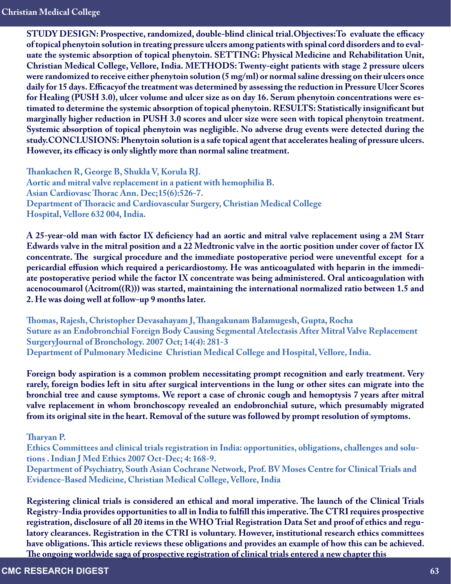**STUDY DESIGN: Prospective, randomized, double-blind clinical trial.Objectives:To evaluate the efficacy of topical phenytoin solution in treating pressure ulcers among patients with spinal cord disorders and to evaluate the systemic absorption of topical phenytoin. SETTING: Physical Medicine and Rehabilitation Unit, Christian Medical College, Vellore, India. METHODS: Twenty-eight patients with stage 2 pressure ulcers were randomized to receive either phenytoin solution (5 mg/ml) or normal saline dressing on their ulcers once daily for 15 days. Efficacyof the treatment was determined by assessing the reduction in Pressure Ulcer Scores for Healing (PUSH 3.0), ulcer volume and ulcer size as on day 16. Serum phenytoin concentrations were estimated to determine the systemic absorption of topical phenytoin. RESULTS: Statistically insignificant but marginally higher reduction in PUSH 3.0 scores and ulcer size were seen with topical phenytoin treatment. Systemic absorption of topical phenytoin was negligible. No adverse drug events were detected during the study.CONCLUSIONS: Phenytoin solution is a safe topical agent that accelerates healing of pressure ulcers. However, its efficacy is only slightly more than normal saline treatment.** 

**Thankachen R, George B, Shukla V, Korula RJ. Aortic and mitral valve replacement in a patient with hemophilia B. Asian Cardiovasc Thorac Ann. Dec;15(6):526-7. Department of Thoracic and Cardiovascular Surgery, Christian Medical College Hospital, Vellore 632 004, India.** 

**A 25-year-old man with factor IX deficiency had an aortic and mitral valve replacement using a 2M Starr Edwards valve in the mitral position and a 22 Medtronic valve in the aortic position under cover of factor IX concentrate. The surgical procedure and the immediate postoperative period were uneventful except for a pericardial effusion which required a pericardiostomy. He was anticoagulated with heparin in the immediate postoperative period while the factor IX concentrate was being administered. Oral anticoagulation with acenocoumarol (Acitrom((R))) was started, maintaining the international normalized ratio between 1.5 and 2. He was doing well at follow-up 9 months later.**

**Thomas, Rajesh, Christopher Devasahayam J, Thangakunam Balamugesh, Gupta, Rocha Suture as an Endobronchial Foreign Body Causing Segmental Atelectasis After Mitral Valve Replacement SurgeryJournal of Bronchology. 2007 Oct; 14(4): 281-3 Department of Pulmonary Medicine Christian Medical College and Hospital, Vellore, India.**

**Foreign body aspiration is a common problem necessitating prompt recognition and early treatment. Very rarely, foreign bodies left in situ after surgical interventions in the lung or other sites can migrate into the bronchial tree and cause symptoms. We report a case of chronic cough and hemoptysis 7 years after mitral valve replacement in whom bronchoscopy revealed an endobronchial suture, which presumably migrated from its original site in the heart. Removal of the suture was followed by prompt resolution of symptoms.**

**Tharyan P.**

**Ethics Committees and clinical trials registration in India: opportunities, obligations, challenges and solutions . Indian J Med Ethics 2007 Oct-Dec; 4: 168-9.**

**Department of Psychiatry, South Asian Cochrane Network, Prof. BV Moses Centre for Clinical Trials and Evidence-Based Medicine, Christian Medical College, Vellore, India**

**Registering clinical trials is considered an ethical and moral imperative. The launch of the Clinical Trials Registry-India provides opportunities to all in India to fulfill this imperative. The CTRI requires prospective registration, disclosure of all 20 items in the WHO Trial Registration Data Set and proof of ethics and regulatory clearances. Registration in the CTRI is voluntary. However, institutional research ethics committees have obligations. This article reviews these obligations and provides an example of how this can be achieved. The ongoing worldwide saga of prospective registration of clinical trials entered a new chapter this**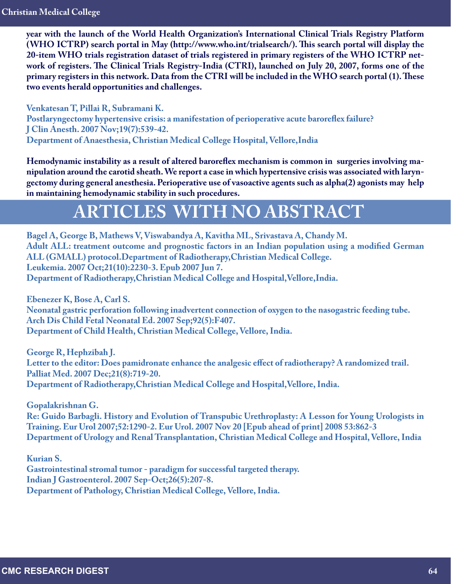**year with the launch of the World Health Organization's International Clinical Trials Registry Platform (WHO ICTRP) search portal in May (http://www.who.int/trialsearch/). This search portal will display the 20-item WHO trials registration dataset of trials registered in primary registers of the WHO ICTRP network of registers. The Clinical Trials Registry-India (CTRI), launched on July 20, 2007, forms one of the primary registers in this network. Data from the CTRI will be included in the WHO search portal (1). These two events herald opportunities and challenges.**

**Venkatesan T, Pillai R, Subramani K. Postlaryngectomy hypertensive crisis: a manifestation of perioperative acute baroreflex failure? J Clin Anesth. 2007 Nov;19(7):539-42. Department of Anaesthesia, Christian Medical College Hospital, Vellore,India**

**Hemodynamic instability as a result of altered baroreflex mechanism is common in surgeries involving manipulation around the carotid sheath. We report a case in which hypertensive crisis was associated with laryngectomy during general anesthesia. Perioperative use of vasoactive agents such as alpha(2) agonists may help in maintaining hemodynamic stability in such procedures.**

### **ARTICLES WITH NO ABSTRACT**

**Bagel A, George B, Mathews V, Viswabandya A, Kavitha ML, Srivastava A, Chandy M. Adult ALL: treatment outcome and prognostic factors in an Indian population using a modified German ALL (GMALL) protocol.Department of Radiotherapy,Christian Medical College. Leukemia. 2007 Oct;21(10):2230-3. Epub 2007 Jun 7. Department of Radiotherapy,Christian Medical College and Hospital,Vellore,India.** 

**Ebenezer K, Bose A, Carl S.**

**Neonatal gastric perforation following inadvertent connection of oxygen to the nasogastric feeding tube. Arch Dis Child Fetal Neonatal Ed. 2007 Sep;92(5):F407. Department of Child Health, Christian Medical College, Vellore, India.** 

**George R, Hephzibah J. Letter to the editor: Does pamidronate enhance the analgesic effect of radiotherapy? A randomized trail. Palliat Med. 2007 Dec;21(8):719-20. Department of Radiotherapy,Christian Medical College and Hospital,Vellore, India.** 

**Gopalakrishnan G.**

**Re: Guido Barbagli. History and Evolution of Transpubic Urethroplasty: A Lesson for Young Urologists in Training. Eur Urol 2007;52:1290-2. Eur Urol. 2007 Nov 20 [Epub ahead of print] 2008 53:862-3 Department of Urology and Renal Transplantation, Christian Medical College and Hospital, Vellore, India**

**Kurian S.**

**Gastrointestinal stromal tumor - paradigm for successful targeted therapy. Indian J Gastroenterol. 2007 Sep-Oct;26(5):207-8. Department of Pathology, Christian Medical College, Vellore, India.**